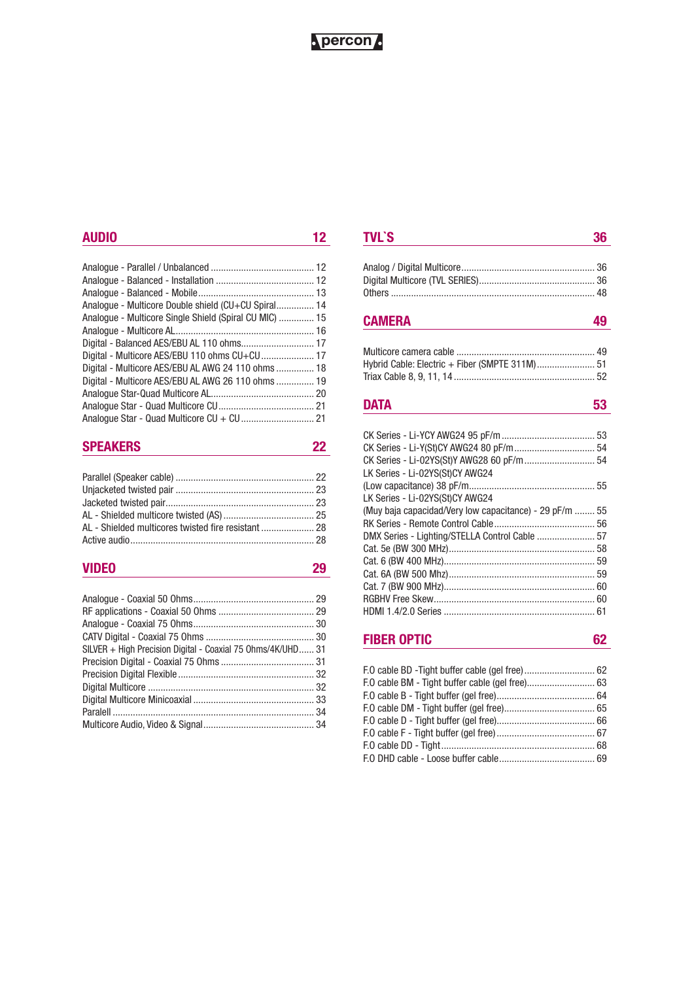## Nercon.

## **AUDIO 12**

| Analogue - Multicore Double shield (CU+CU Spiral 14    |  |
|--------------------------------------------------------|--|
| Analogue - Multicore Single Shield (Spiral CU MIC)  15 |  |
|                                                        |  |
|                                                        |  |
| Digital - Multicore AES/EBU 110 ohms CU+CU 17          |  |
| Digital - Multicore AES/EBU AL AWG 24 110 ohms  18     |  |
| Digital - Multicore AES/EBU AL AWG 26 110 ohms  19     |  |
|                                                        |  |
|                                                        |  |
|                                                        |  |

## **SPEAKERS 22**

## **VIDEO 29**

| SILVER + High Precision Digital - Coaxial 75 Ohms/4K/UHD 31 |
|-------------------------------------------------------------|
|                                                             |
|                                                             |
|                                                             |
|                                                             |
|                                                             |
|                                                             |
|                                                             |

| <b>TVL`S</b> |  |
|--------------|--|
|              |  |

## **CAMERA 49**

| Hybrid Cable: Electric + Fiber (SMPTE 311M) 51 |  |
|------------------------------------------------|--|
|                                                |  |

## **DATA** 53

| CK Series - Li-Y(St)CY AWG24 80 pF/m 54                 |  |
|---------------------------------------------------------|--|
| CK Series - Li-02YS(St)Y AWG28 60 pF/m 54               |  |
| LK Series - Li-02YS(St)CY AWG24                         |  |
|                                                         |  |
| LK Series - Li-02YS(St)CY AWG24                         |  |
| (Muy baja capacidad/Very low capacitance) - 29 pF/m  55 |  |
|                                                         |  |
| DMX Series - Lighting/STELLA Control Cable  57          |  |
|                                                         |  |
|                                                         |  |
|                                                         |  |
|                                                         |  |
|                                                         |  |
|                                                         |  |
|                                                         |  |

## **FIBER OPTIC 62**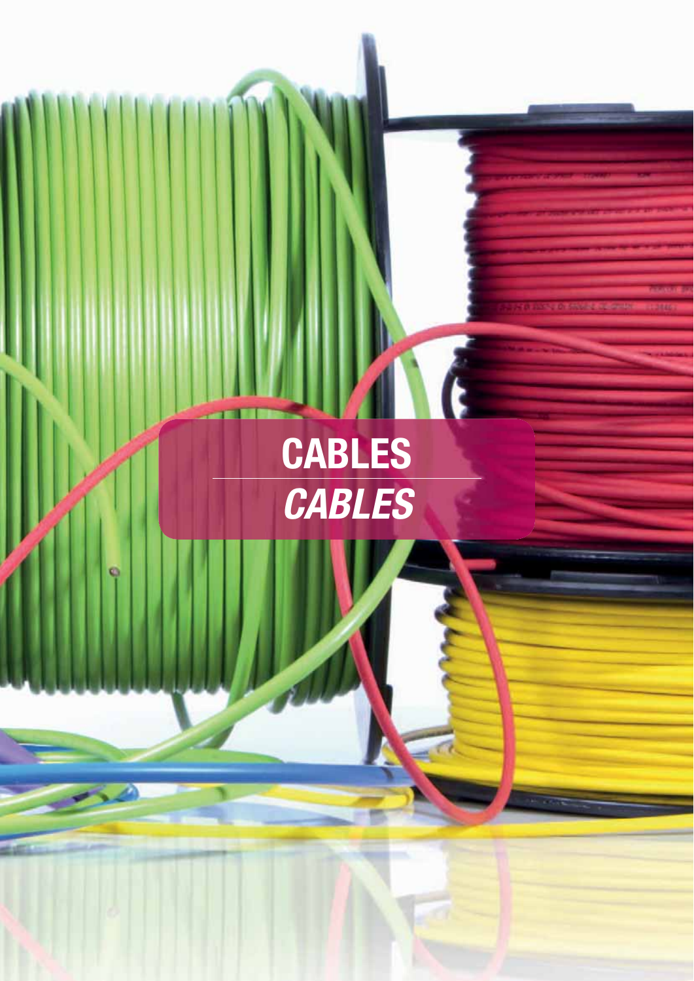# **CABLES** *CABLES*

G

a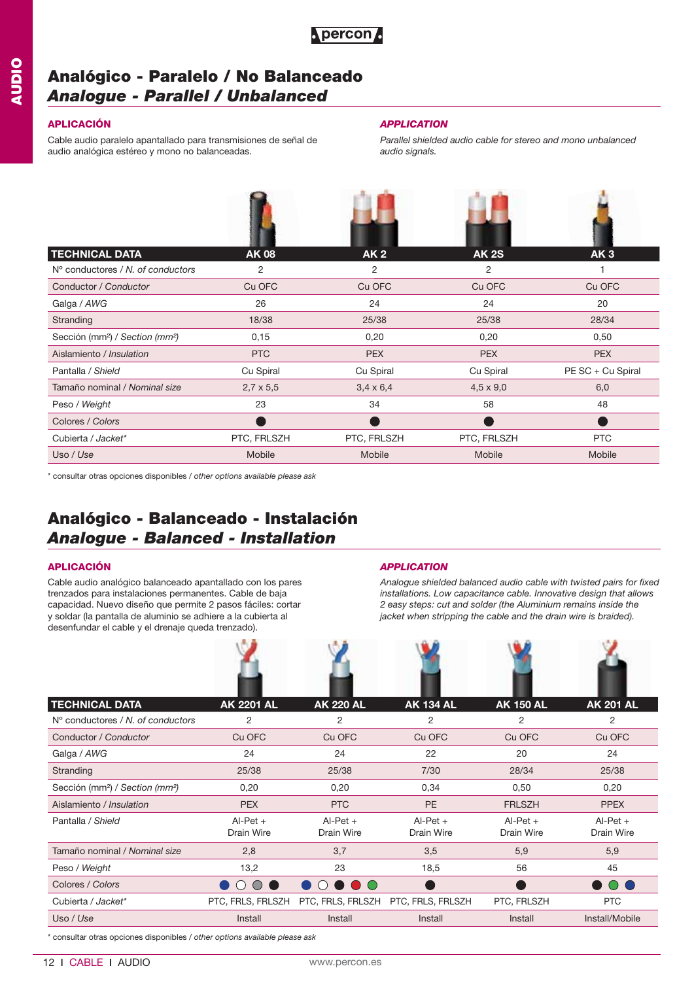

## **Analógico - Paralelo / No Balanceado** *Analogue - Parallel / Unbalanced*

Cable audio paralelo apantallado para transmisiones de señal de audio analógica estéreo y mono no balanceadas.

### **APLICACIÓN** *APPLICATION*

*Parallel shielded audio cable for stereo and mono unbalanced audio signals.*

| <b>TECHNICAL DATA</b>                                   | <b>AK08</b>      | AK <sub>2</sub>  | <b>AK 2S</b>     | AK <sub>3</sub>   |
|---------------------------------------------------------|------------------|------------------|------------------|-------------------|
| N° conductores / N, of conductors                       | 2                | 2                | 2                |                   |
| Conductor / Conductor                                   | Cu OFC           | Cu OFC           | Cu OFC           | Cu OFC            |
| Galga / AWG                                             | 26               | 24               | 24               | 20                |
| Stranding                                               | 18/38            | 25/38            | 25/38            | 28/34             |
| Sección (mm <sup>2</sup> ) / Section (mm <sup>2</sup> ) | 0,15             | 0,20             | 0,20             | 0,50              |
| Aislamiento / Insulation                                | <b>PTC</b>       | <b>PEX</b>       | <b>PEX</b>       | <b>PEX</b>        |
| Pantalla / Shield                                       | Cu Spiral        | Cu Spiral        | Cu Spiral        | PE SC + Cu Spiral |
| Tamaño nominal / Nominal size                           | $2,7 \times 5,5$ | $3,4 \times 6,4$ | $4,5 \times 9,0$ | 6,0               |
| Peso / Weight                                           | 23               | 34               | 58               | 48                |
| Colores / Colors                                        |                  |                  |                  |                   |
| Cubierta / Jacket*                                      | PTC, FRLSZH      | PTC, FRLSZH      | PTC, FRLSZH      | <b>PTC</b>        |
| Uso / Use                                               | Mobile           | Mobile           | Mobile           | Mobile            |

\* consultar otras opciones disponibles / *other options available please ask*

## **Analógico - Balanceado - Instalación** *Analogue - Balanced - Installation*

Cable audio analógico balanceado apantallado con los pares trenzados para instalaciones permanentes. Cable de baja capacidad. Nuevo diseño que permite 2 pasos fáciles: cortar y soldar (la pantalla de aluminio se adhiere a la cubierta al desenfundar el cable y el drenaje queda trenzado).

## **APLICACIÓN** *APPLICATION*

*Analogue shielded balanced audio cable with twisted pairs for fixed installations. Low capacitance cable. Innovative design that allows 2 easy steps: cut and solder (the Aluminium remains inside the jacket when stripping the cable and the drain wire is braided).*

| <b>TECHNICAL DATA</b>                                   | <b>AK 2201 AL</b>        | <b>AK 220 AL</b>         | <b>AK 134 AL</b>         | <b>AK 150 AL</b>         | <b>AK 201 AL</b>         |
|---------------------------------------------------------|--------------------------|--------------------------|--------------------------|--------------------------|--------------------------|
| $No$ conductores / N, of conductors                     | 2                        | 2                        | 2                        | 2                        | 2                        |
| Conductor / Conductor                                   | Cu OFC                   | Cu OFC                   | Cu OFC                   | Cu OFC                   | Cu OFC                   |
| Galga / AWG                                             | 24                       | 24                       | 22                       | 20                       | 24                       |
| Stranding                                               | 25/38                    | 25/38                    | 7/30                     | 28/34                    | 25/38                    |
| Sección (mm <sup>2</sup> ) / Section (mm <sup>2</sup> ) | 0,20                     | 0,20                     | 0,34                     | 0,50                     | 0,20                     |
| Aislamiento / Insulation                                | <b>PEX</b>               | <b>PTC</b>               | <b>PE</b>                | <b>FRLSZH</b>            | <b>PPEX</b>              |
| Pantalla / Shield                                       | $Al-Pet +$<br>Drain Wire | $AI-Pet +$<br>Drain Wire | $Al-Pet +$<br>Drain Wire | $Al-Pet +$<br>Drain Wire | $AI-Pet +$<br>Drain Wire |
| Tamaño nominal / Nominal size                           | 2,8                      | 3,7                      | 3,5                      | 5,9                      | 5,9                      |
| Peso / Weight                                           | 13,2                     | 23                       | 18,5                     | 56                       | 45                       |
| Colores / Colors                                        |                          |                          |                          |                          | $($ )                    |
| Cubierta / Jacket*                                      | PTC, FRLS, FRLSZH        | PTC, FRLS, FRLSZH        | PTC, FRLS, FRLSZH        | PTC, FRLSZH              | <b>PTC</b>               |
| Uso / Use                                               | Install                  | Install                  | Install                  | Install                  | Install/Mobile           |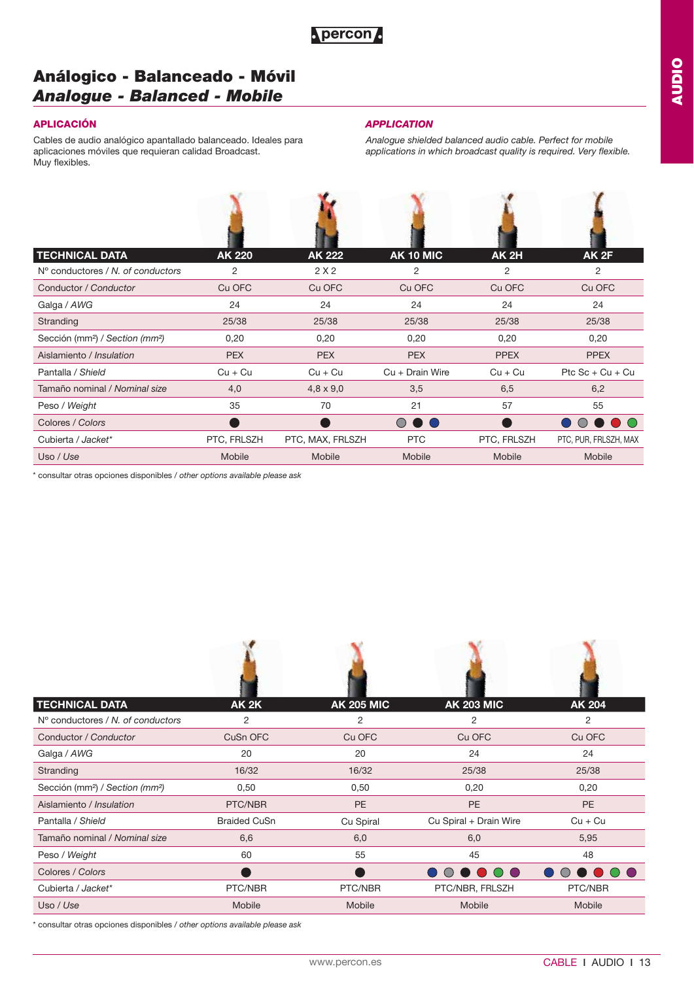## **Análogico - Balanceado - Móvil** *Analogue - Balanced - Mobile*

Cables de audio analógico apantallado balanceado. Ideales para aplicaciones móviles que requieran calidad Broadcast. Muy flexibles.

### **APLICACIÓN** *APPLICATION*

*Analogue shielded balanced audio cable. Perfect for mobile applications in which broadcast quality is required. Very flexible.*

| <b>TECHNICAL DATA</b>                                   | <b>AK 220</b>  | <b>AK 222</b>    | AK 10 MIC                                   | <b>AK 2H</b> | AK2F                  |
|---------------------------------------------------------|----------------|------------------|---------------------------------------------|--------------|-----------------------|
| N° conductores / N, of conductors                       | $\overline{2}$ | 2X2              | 2                                           | 2            | 2                     |
| Conductor / Conductor                                   | Cu OFC         | Cu OFC           | Cu OFC                                      | Cu OFC       | Cu OFC                |
| Galga / AWG                                             | 24             | 24               | 24                                          | 24           | 24                    |
| Stranding                                               | 25/38          | 25/38            | 25/38                                       | 25/38        | 25/38                 |
| Sección (mm <sup>2</sup> ) / Section (mm <sup>2</sup> ) | 0,20           | 0,20             | 0,20                                        | 0,20         | 0,20                  |
| Aislamiento / Insulation                                | <b>PEX</b>     | <b>PEX</b>       | <b>PEX</b>                                  | <b>PPEX</b>  | <b>PPEX</b>           |
| Pantalla / Shield                                       | $Cu + Cu$      | $Cu + Cu$        | $Cu + Drain Wire$                           | $Cu + Cu$    | Ptc $Sc + Cu + Cu$    |
| Tamaño nominal / Nominal size                           | 4,0            | $4,8 \times 9,0$ | 3,5                                         | 6,5          | 6,2                   |
| Peso / Weight                                           | 35             | 70               | 21                                          | 57           | 55                    |
| Colores / Colors                                        |                |                  | $\bigcirc$<br>$\blacksquare$ $\blacksquare$ |              |                       |
| Cubierta / Jacket*                                      | PTC, FRLSZH    | PTC, MAX, FRLSZH | <b>PTC</b>                                  | PTC, FRLSZH  | PTC, PUR, FRLSZH, MAX |
| Uso / Use                                               | Mobile         | Mobile           | Mobile                                      | Mobile       | Mobile                |

\* consultar otras opciones disponibles / *other options available please ask*

| <b>TECHNICAL DATA</b>                                   | <b>AK 2K</b>        | <b>AK 205 MIC</b> | <b>AK 203 MIC</b>      | <b>AK 204</b> |
|---------------------------------------------------------|---------------------|-------------------|------------------------|---------------|
| $No$ conductores / N, of conductors                     | 2                   | 2                 | 2                      | 2             |
| Conductor / Conductor                                   | CuSn OFC            | Cu OFC            | Cu OFC                 | Cu OFC        |
| Galga / AWG                                             | 20                  | 20                | 24                     | 24            |
| Stranding                                               | 16/32               | 16/32             | 25/38                  | 25/38         |
| Sección (mm <sup>2</sup> ) / Section (mm <sup>2</sup> ) | 0,50                | 0,50              | 0,20                   | 0,20          |
| Aislamiento / Insulation                                | PTC/NBR             | <b>PE</b>         | <b>PE</b>              | <b>PE</b>     |
| Pantalla / Shield                                       | <b>Braided CuSn</b> | Cu Spiral         | Cu Spiral + Drain Wire | $Cu + Cu$     |
| Tamaño nominal / Nominal size                           | 6,6                 | 6,0               | 6,0                    | 5,95          |
| Peso / Weight                                           | 60                  | 55                | 45                     | 48            |
| Colores / Colors                                        |                     |                   | $\bigcap$ $\bigcap$    | (             |
| Cubierta / Jacket*                                      | PTC/NBR             | PTC/NBR           | PTC/NBR, FRLSZH        | PTC/NBR       |
| Uso / Use                                               | Mobile              | Mobile            | Mobile                 | Mobile        |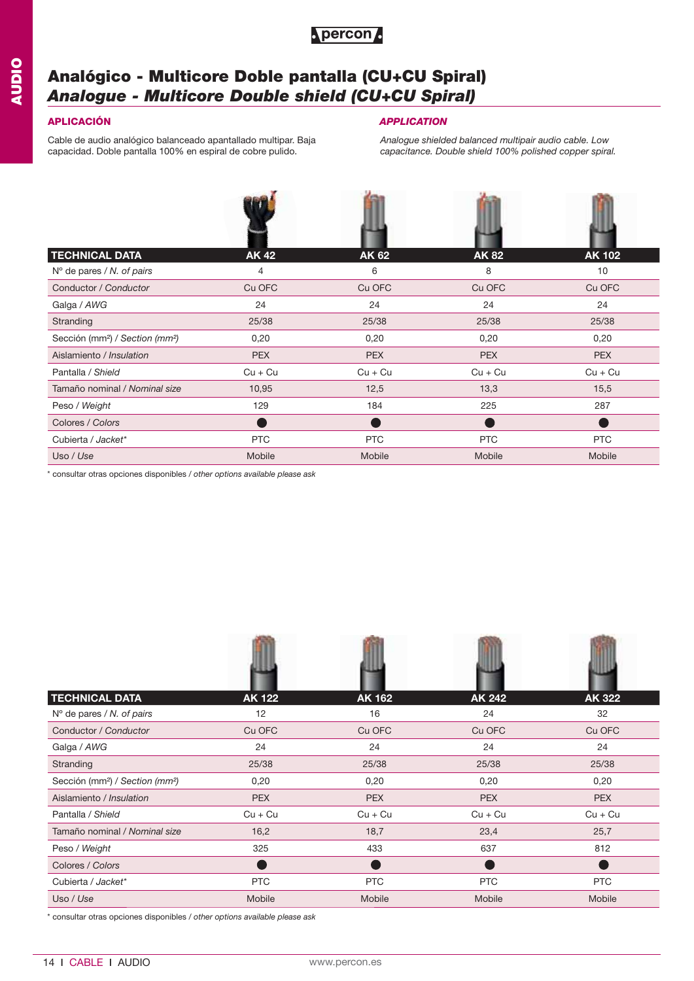

## **Analógico - Multicore Doble pantalla (CU+CU Spiral)** *Analogue - Multicore Double shield (CU+CU Spiral)*

Cable de audio analógico balanceado apantallado multipar. Baja capacidad. Doble pantalla 100% en espiral de cobre pulido.

### **APLICACIÓN** *APPLICATION*

*Analogue shielded balanced multipair audio cable. Low capacitance. Double shield 100% polished copper spiral.*

| <b>TECHNICAL DATA</b>                                   | <b>AK42</b> | <b>AK 62</b> | <b>AK82</b> | <b>AK 102</b> |
|---------------------------------------------------------|-------------|--------------|-------------|---------------|
| $No$ de pares / N. of pairs                             | 4           | 6            | 8           | 10            |
| Conductor / Conductor                                   | Cu OFC      | Cu OFC       | Cu OFC      | Cu OFC        |
| Galga / AWG                                             | 24          | 24           | 24          | 24            |
| Stranding                                               | 25/38       | 25/38        | 25/38       | 25/38         |
| Sección (mm <sup>2</sup> ) / Section (mm <sup>2</sup> ) | 0,20        | 0,20         | 0,20        | 0,20          |
| Aislamiento / Insulation                                | <b>PEX</b>  | <b>PEX</b>   | <b>PEX</b>  | <b>PEX</b>    |
| Pantalla / Shield                                       | $Cu + Cu$   | $Cu + Cu$    | $Cu + Cu$   | $Cu + Cu$     |
| Tamaño nominal / Nominal size                           | 10,95       | 12,5         | 13,3        | 15,5          |
| Peso / Weight                                           | 129         | 184          | 225         | 287           |
| Colores / Colors                                        |             |              |             |               |
| Cubierta / Jacket*                                      | <b>PTC</b>  | <b>PTC</b>   | <b>PTC</b>  | <b>PTC</b>    |
| Uso / Use                                               | Mobile      | Mobile       | Mobile      | Mobile        |

\* consultar otras opciones disponibles / *other options available please ask*

| <b>TECHNICAL DATA</b>                                   | <b>AK 122</b> | <b>AK 162</b> | <b>AK 242</b> | <b>AK 322</b> |
|---------------------------------------------------------|---------------|---------------|---------------|---------------|
| $No$ de pares / N. of pairs                             | 12            | 16            | 24            | 32            |
| Conductor / Conductor                                   | Cu OFC        | Cu OFC        | Cu OFC        | Cu OFC        |
| Galga / AWG                                             | 24            | 24            | 24            | 24            |
| Stranding                                               | 25/38         | 25/38         | 25/38         | 25/38         |
| Sección (mm <sup>2</sup> ) / Section (mm <sup>2</sup> ) | 0,20          | 0,20          | 0,20          | 0,20          |
| Aislamiento / Insulation                                | <b>PEX</b>    | <b>PEX</b>    | <b>PEX</b>    | <b>PEX</b>    |
| Pantalla / Shield                                       | $Cu + Cu$     | $Cu + Cu$     | $Cu + Cu$     | $Cu + Cu$     |
| Tamaño nominal / Nominal size                           | 16,2          | 18,7          | 23,4          | 25,7          |
| Peso / Weight                                           | 325           | 433           | 637           | 812           |
| Colores / Colors                                        |               |               |               |               |
| Cubierta / Jacket*                                      | <b>PTC</b>    | <b>PTC</b>    | <b>PTC</b>    | <b>PTC</b>    |
| Uso / Use                                               | Mobile        | Mobile        | Mobile        | Mobile        |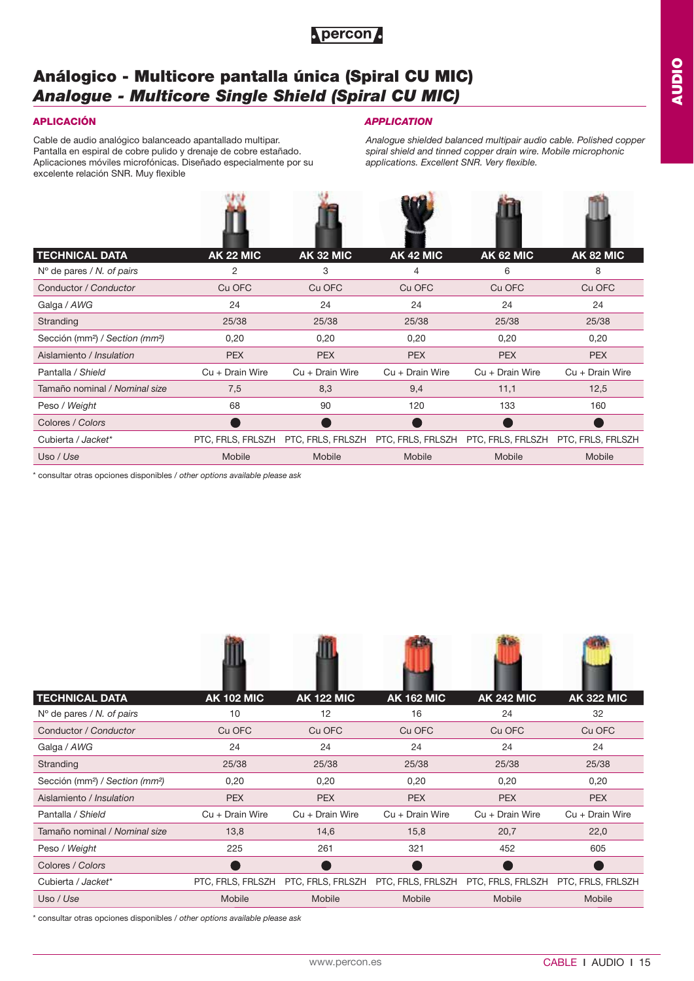

## **Análogico - Multicore pantalla única (Spiral CU MIC)** *Analogue - Multicore Single Shield (Spiral CU MIC)*

 $(3, 4)$ 

Cable de audio analógico balanceado apantallado multipar. Pantalla en espiral de cobre pulido y drenaje de cobre estañado. Aplicaciones móviles microfónicas. Diseñado especialmente por su excelente relación SNR. Muy flexible

## **APLICACIÓN** *APPLICATION*

 $\mathbf{Q}$  and  $\mathbf{Q}$ 

*Analogue shielded balanced multipair audio cable. Polished copper spiral shield and tinned copper drain wire. Mobile microphonic applications. Excellent SNR. Very flexible.*

حناه

感

| <b>TECHNICAL DATA</b>                                   | <b>AK 22 MIC</b>  | <b>AK 32 MIC</b>  | <b>AK 42 MIC</b>                    | <b>AK 62 MIC</b>  | <b>AK 82 MIC</b>  |
|---------------------------------------------------------|-------------------|-------------------|-------------------------------------|-------------------|-------------------|
| $No$ de pares / N. of pairs                             | 2                 | 3                 | 4                                   | 6                 | 8                 |
| Conductor / Conductor                                   | Cu OFC            | Cu OFC            | Cu OFC                              | Cu OFC            | Cu OFC            |
| Galga / AWG                                             | 24                | 24                | 24                                  | 24                | 24                |
| Stranding                                               | 25/38             | 25/38             | 25/38                               | 25/38             | 25/38             |
| Sección (mm <sup>2</sup> ) / Section (mm <sup>2</sup> ) | 0,20              | 0,20              | 0,20                                | 0,20              | 0,20              |
| Aislamiento / Insulation                                | <b>PEX</b>        | <b>PEX</b>        | <b>PEX</b>                          | <b>PEX</b>        | <b>PEX</b>        |
| Pantalla / Shield                                       | $Cu + Drain Wire$ | Cu + Drain Wire   | $Cu + Drain Wire$                   | $Cu + Drain Wire$ | $Cu + Drain Wire$ |
| Tamaño nominal / Nominal size                           | 7,5               | 8,3               | 9,4                                 | 11,1              | 12,5              |
| Peso / Weight                                           | 68                | 90                | 120                                 | 133               | 160               |
| Colores / Colors                                        |                   |                   |                                     |                   |                   |
| Cubierta / Jacket*                                      | PTC, FRLS, FRLSZH | PTC, FRLS, FRLSZH | PTC, FRLS, FRLSZH PTC, FRLS, FRLSZH |                   | PTC, FRLS, FRLSZH |
| Uso / Use                                               | Mobile            | <b>Mobile</b>     | Mobile                              | Mobile            | Mobile            |

\* consultar otras opciones disponibles / *other options available please ask*

| <b>TECHNICAL DATA</b>                                   | <b>AK 102 MIC</b> | <b>AK 122 MIC</b> | <b>AK 162 MIC</b> | <b>AK 242 MIC</b> | <b>AK 322 MIC</b> |
|---------------------------------------------------------|-------------------|-------------------|-------------------|-------------------|-------------------|
| $No$ de pares / N. of pairs                             | 10                | 12                | 16                | 24                | 32                |
| Conductor / Conductor                                   | Cu OFC            | Cu OFC            | Cu OFC            | Cu OFC            | Cu OFC            |
| Galga / AWG                                             | 24                | 24                | 24                | 24                | 24                |
| Stranding                                               | 25/38             | 25/38             | 25/38             | 25/38             | 25/38             |
| Sección (mm <sup>2</sup> ) / Section (mm <sup>2</sup> ) | 0,20              | 0,20              | 0,20              | 0,20              | 0,20              |
| Aislamiento / Insulation                                | <b>PEX</b>        | <b>PEX</b>        | <b>PEX</b>        | <b>PEX</b>        | <b>PEX</b>        |
| Pantalla / Shield                                       | $Cu + Drain Wire$ | $Cu + Drain Wire$ | $Cu + Drain Wire$ | $Cu + Drain Wire$ | $Cu + Drain Wire$ |
| Tamaño nominal / Nominal size                           | 13,8              | 14,6              | 15,8              | 20,7              | 22,0              |
| Peso / Weight                                           | 225               | 261               | 321               | 452               | 605               |
| Colores / Colors                                        |                   |                   |                   |                   |                   |
| Cubierta / Jacket*                                      | PTC, FRLS, FRLSZH | PTC, FRLS, FRLSZH | PTC, FRLS, FRLSZH | PTC, FRLS, FRLSZH | PTC, FRLS, FRLSZH |
| Uso / Use                                               | Mobile            | Mobile            | Mobile            | Mobile            | Mobile            |

HB.

\* consultar otras opciones disponibles / *other options available please ask*

**STATISTICS**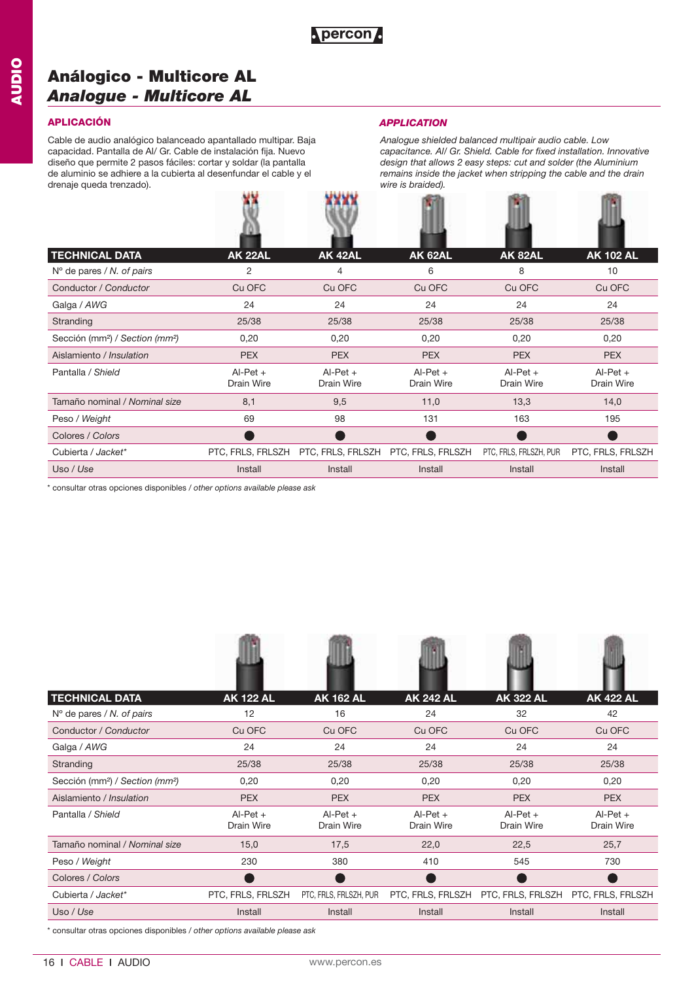**WWW** 

## **Análogico - Multicore AL** *Analogue - Multicore AL*

## **APLICACIÓN** *APPLICATION*

Cable de audio analógico balanceado apantallado multipar. Baja capacidad. Pantalla de Al/ Gr. Cable de instalación fija. Nuevo diseño que permite 2 pasos fáciles: cortar y soldar (la pantalla de aluminio se adhiere a la cubierta al desenfundar el cable y el drenaje queda trenzado).

w

**Parties** 

*Analogue shielded balanced multipair audio cable. Low capacitance. Al/ Gr. Shield. Cable for fixed installation. Innovative design that allows 2 easy steps: cut and solder (the Aluminium remains inside the jacket when stripping the cable and the drain wire is braided).*

**PER** 

学校生

| <b>TECHNICAL DATA</b>                                   | <b>AK 22AL</b>           | <b>AK 42AL</b>           | <b>AK 62AL</b>           | <b>AK 82AL</b>           | <b>AK 102 AL</b>         |
|---------------------------------------------------------|--------------------------|--------------------------|--------------------------|--------------------------|--------------------------|
| $No$ de pares / N. of pairs                             | 2                        | 4                        | 6                        | 8                        | 10                       |
| Conductor / Conductor                                   | Cu OFC                   | Cu OFC                   | Cu OFC                   | Cu OFC                   | Cu OFC                   |
| Galga / AWG                                             | 24                       | 24                       | 24                       | 24                       | 24                       |
| Stranding                                               | 25/38                    | 25/38                    | 25/38                    | 25/38                    | 25/38                    |
| Sección (mm <sup>2</sup> ) / Section (mm <sup>2</sup> ) | 0,20                     | 0,20                     | 0,20                     | 0,20                     | 0,20                     |
| Aislamiento / Insulation                                | <b>PEX</b>               | <b>PEX</b>               | <b>PEX</b>               | <b>PEX</b>               | <b>PEX</b>               |
| Pantalla / Shield                                       | $Al-Pet +$<br>Drain Wire | $Al-Pet +$<br>Drain Wire | $AI-Pet +$<br>Drain Wire | $AI-Pet +$<br>Drain Wire | $AI-Pet +$<br>Drain Wire |
| Tamaño nominal / Nominal size                           | 8,1                      | 9,5                      | 11,0                     | 13,3                     | 14,0                     |
| Peso / Weight                                           | 69                       | 98                       | 131                      | 163                      | 195                      |
| Colores / Colors                                        |                          |                          |                          |                          |                          |
| Cubierta / Jacket*                                      | PTC, FRLS, FRLSZH        | PTC, FRLS, FRLSZH        | PTC, FRLS, FRLSZH        | PTC, FRLS, FRLSZH, PUR   | PTC, FRLS, FRLSZH        |
| Uso / Use                                               | Install                  | Install                  | Install                  | Install                  | Install                  |

\* consultar otras opciones disponibles / *other options available please ask*

| <b>TECHNICAL DATA</b>                                   | <b>AK 122 AL</b>         | <b>AK 162 AL</b>         | <b>AK 242 AL</b>         | <b>AK 322 AL</b>                                      | <b>AK 422 AL</b>         |
|---------------------------------------------------------|--------------------------|--------------------------|--------------------------|-------------------------------------------------------|--------------------------|
| $No$ de pares / N. of pairs                             | 12                       | 16                       | 24                       | 32                                                    | 42                       |
| Conductor / Conductor                                   | Cu OFC                   | Cu OFC                   | Cu OFC                   | Cu OFC                                                | Cu OFC                   |
| Galga / AWG                                             | 24                       | 24                       | 24                       | 24                                                    | 24                       |
| Stranding                                               | 25/38                    | 25/38                    | 25/38                    | 25/38                                                 | 25/38                    |
| Sección (mm <sup>2</sup> ) / Section (mm <sup>2</sup> ) | 0,20                     | 0,20                     | 0,20                     | 0,20                                                  | 0,20                     |
| Aislamiento / Insulation                                | <b>PEX</b>               | <b>PEX</b>               | <b>PEX</b>               | <b>PEX</b>                                            | <b>PEX</b>               |
| Pantalla / Shield                                       | $Al-Pet +$<br>Drain Wire | $AI-Pet +$<br>Drain Wire | $AI-Pet +$<br>Drain Wire | $Al-Pet +$<br>Drain Wire                              | $AI-Pet +$<br>Drain Wire |
| Tamaño nominal / Nominal size                           | 15,0                     | 17,5                     | 22,0                     | 22,5                                                  | 25,7                     |
| Peso / Weight                                           | 230                      | 380                      | 410                      | 545                                                   | 730                      |
| Colores / Colors                                        |                          |                          |                          |                                                       |                          |
| Cubierta / Jacket*                                      | PTC, FRLS, FRLSZH        | PTC, FRLS, FRLSZH, PUR   |                          | PTC, FRLS, FRLSZH PTC, FRLS, FRLSZH PTC, FRLS, FRLSZH |                          |
| Uso / Use                                               | Install                  | Install                  | Install                  | Install                                               | Install                  |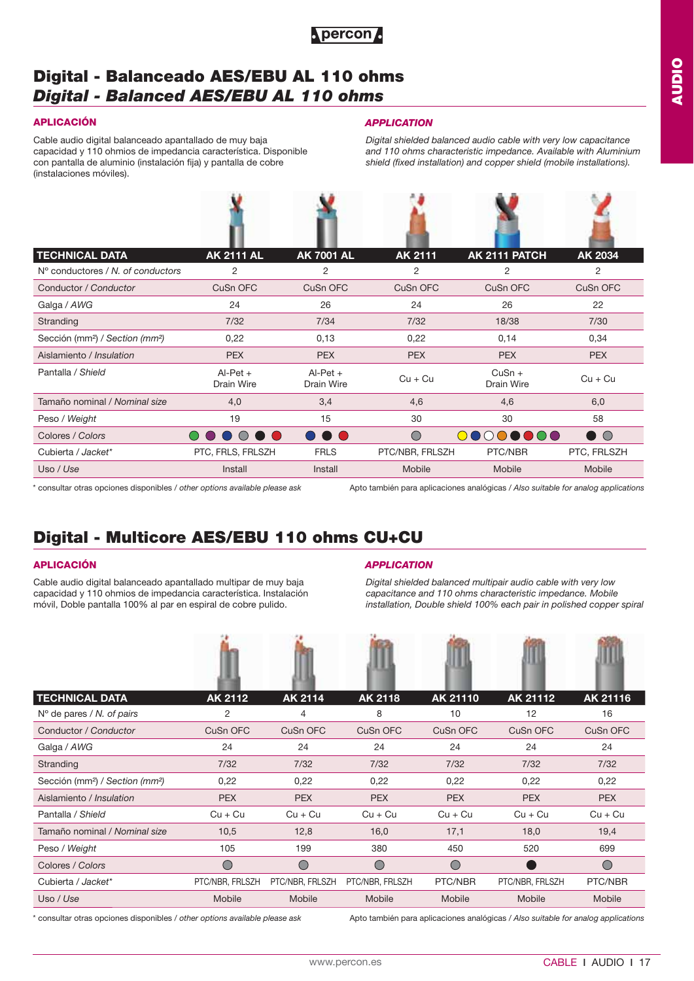

## **Digital - Balanceado AES/EBU AL 110 ohms**  *Digital - Balanced AES/EBU AL 110 ohms*

44

Cable audio digital balanceado apantallado de muy baja capacidad y 110 ohmios de impedancia característica. Disponible con pantalla de aluminio (instalación fija) y pantalla de cobre (instalaciones móviles).

### **APLICACIÓN** *APPLICATION*

光盘

*Digital shielded balanced audio cable with very low capacitance and 110 ohms characteristic impedance. Available with Aluminium shield (fixed installation) and copper shield (mobile installations).*

de de

| <b>TECHNICAL DATA</b>                                   | <b>AK 2111 AL</b>        | <b>AK 7001 AL</b>        | <b>AK 2111</b>  | AK 2111 PATCH          | <b>AK 2034</b> |
|---------------------------------------------------------|--------------------------|--------------------------|-----------------|------------------------|----------------|
| $No$ conductores / N, of conductors                     | 2                        | 2                        | 2               | 2                      | 2              |
| Conductor / Conductor                                   | CuSn OFC                 | CuSn OFC                 | CuSn OFC        | CuSn OFC               | CuSn OFC       |
| Galga / AWG                                             | 24                       | 26                       | 24              | 26                     | 22             |
| Stranding                                               | 7/32                     | 7/34                     | 7/32            | 18/38                  | 7/30           |
| Sección (mm <sup>2</sup> ) / Section (mm <sup>2</sup> ) | 0,22                     | 0,13                     | 0,22            | 0,14                   | 0,34           |
| Aislamiento / Insulation                                | <b>PEX</b>               | <b>PEX</b>               | <b>PEX</b>      | <b>PEX</b>             | <b>PEX</b>     |
| Pantalla / Shield                                       | $Al-Pet +$<br>Drain Wire | $AI-Pet +$<br>Drain Wire | $Cu + Cu$       | $CuSn +$<br>Drain Wire | $Cu + Cu$      |
| Tamaño nominal / Nominal size                           | 4,0                      | 3,4                      | 4,6             | 4,6                    | 6,0            |
| Peso / Weight                                           | 19                       | 15                       | 30              | 30                     | 58             |
| Colores / Colors                                        | $($ )                    | <b>.</b>                 | $\bigcirc$      | 00000000               | DO             |
| Cubierta / Jacket*                                      | PTC, FRLS, FRLSZH        | <b>FRLS</b>              | PTC/NBR, FRLSZH | PTC/NBR                | PTC, FRLSZH    |
| Uso / Use                                               | Install                  | Install                  | Mobile          | Mobile                 | Mobile         |

\* consultar otras opciones disponibles / *other options available please ask*

Apto también para aplicaciones analógicas / *Also suitable for analog applications*

## **Digital - Multicore AES/EBU 110 ohms CU+CU**

Cable audio digital balanceado apantallado multipar de muy baja capacidad y 110 ohmios de impedancia característica. Instalación móvil, Doble pantalla 100% al par en espiral de cobre pulido.

### **APLICACIÓN** *APPLICATION*

*Digital shielded balanced multipair audio cable with very low capacitance and 110 ohms characteristic impedance. Mobile installation, Double shield 100% each pair in polished copper spiral*

| <b>TECHNICAL DATA</b>                                   | AK 2112         | AK 2114         | <b>AK 2118</b>  | AK 21110   | AK 21112        | AK 21116   |
|---------------------------------------------------------|-----------------|-----------------|-----------------|------------|-----------------|------------|
| $No$ de pares / N. of pairs                             | 2               | 4               | 8               | 10         | 12              | 16         |
| Conductor / Conductor                                   | CuSn OFC        | CuSn OFC        | CuSn OFC        | CuSn OFC   | CuSn OFC        | CuSn OFC   |
| Galga / AWG                                             | 24              | 24              | 24              | 24         | 24              | 24         |
| Stranding                                               | 7/32            | 7/32            | 7/32            | 7/32       | 7/32            | 7/32       |
| Sección (mm <sup>2</sup> ) / Section (mm <sup>2</sup> ) | 0,22            | 0,22            | 0,22            | 0,22       | 0,22            | 0,22       |
| Aislamiento / Insulation                                | <b>PEX</b>      | <b>PEX</b>      | <b>PEX</b>      | <b>PEX</b> | <b>PEX</b>      | <b>PEX</b> |
| Pantalla / Shield                                       | $Cu + Cu$       | $Cu + Cu$       | $Cu + Cu$       | $Cu + Cu$  | $Cu + Cu$       | $Cu + Cu$  |
| Tamaño nominal / Nominal size                           | 10,5            | 12,8            | 16,0            | 17,1       | 18,0            | 19,4       |
| Peso / Weight                                           | 105             | 199             | 380             | 450        | 520             | 699        |
| Colores / Colors                                        | ◯               | $\subset$       | $\bigcirc$      | $\bigcirc$ |                 | $\subset$  |
| Cubierta / Jacket*                                      | PTC/NBR, FRLSZH | PTC/NBR, FRLSZH | PTC/NBR, FRLSZH | PTC/NBR    | PTC/NBR, FRLSZH | PTC/NBR    |
| Uso / Use                                               | <b>Mobile</b>   | Mobile          | Mobile          | Mobile     | Mobile          | Mobile     |

\* consultar otras opciones disponibles / *other options available please ask*

Apto también para aplicaciones analógicas / *Also suitable for analog applications*

**AA**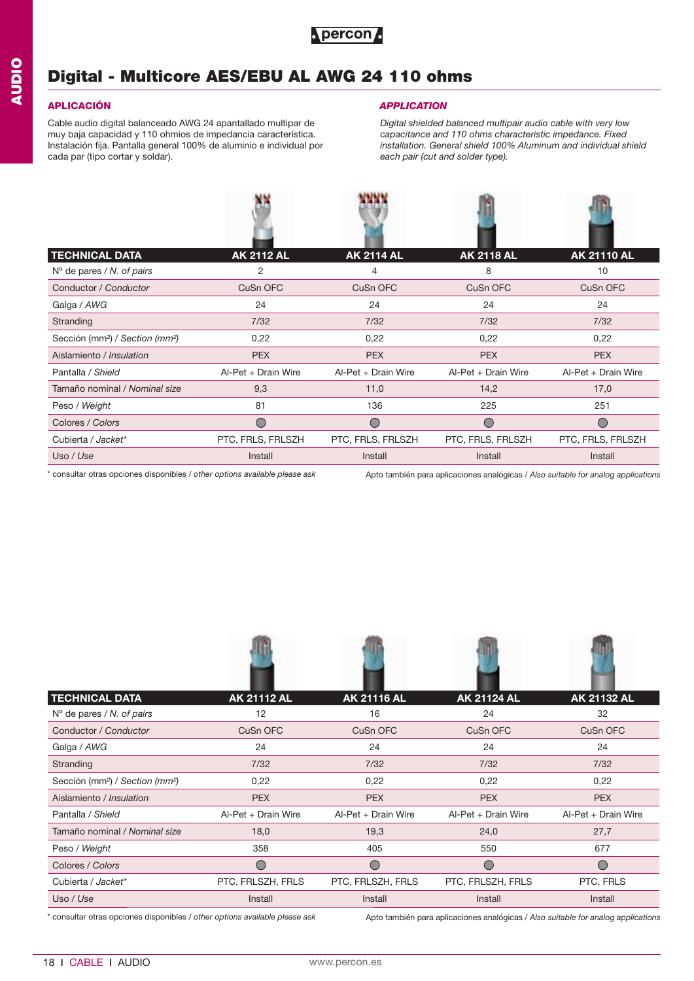

## **Digital - Multicore AES/EBU AL AWG 24 110 ohms**

Cable audio digital balanceado AWG 24 apantallado multipar de muy baja capacidad y 110 ohmios de impedancia característica. Instalación fija. Pantalla general 100% de aluminio e individual por cada par (tipo cortar y soldar).

### **APLICACIÓN** *APPLICATION*

**ABARBAD** 

*Digital shielded balanced multipair audio cable with very low capacitance and 110 ohms characteristic impedance. Fixed installation. General shield 100% Aluminum and individual shield each pair (cut and solder type).*

| <b>TECHNICAL DATA</b>                                   | <b>AK 2112 AL</b>   | <b>AK 2114 AL</b>   | <b>AK 2118 AL</b>   | <b>AK 21110 AL</b>  |
|---------------------------------------------------------|---------------------|---------------------|---------------------|---------------------|
| $No$ de pares / N. of pairs                             | 2                   | 4                   | 8                   | 10                  |
| Conductor / Conductor                                   | CuSn OFC            | CuSn OFC            | CuSn OFC            | CuSn OFC            |
| Galga / AWG                                             | 24                  | 24                  | 24                  | 24                  |
| Stranding                                               | 7/32                | 7/32                | 7/32                | 7/32                |
| Sección (mm <sup>2</sup> ) / Section (mm <sup>2</sup> ) | 0,22                | 0,22                | 0,22                | 0,22                |
| Aislamiento / Insulation                                | <b>PEX</b>          | <b>PEX</b>          | <b>PEX</b>          | <b>PEX</b>          |
| Pantalla / Shield                                       | Al-Pet + Drain Wire | Al-Pet + Drain Wire | Al-Pet + Drain Wire | Al-Pet + Drain Wire |
| Tamaño nominal / Nominal size                           | 9,3                 | 11,0                | 14,2                | 17,0                |
| Peso / Weight                                           | 81                  | 136                 | 225                 | 251                 |
| Colores / Colors                                        | $\bigcirc$          | $\bigcirc$          | ∩                   | O                   |
| Cubierta / Jacket*                                      | PTC, FRLS, FRLSZH   | PTC, FRLS, FRLSZH   | PTC, FRLS, FRLSZH   | PTC, FRLS, FRLSZH   |
| Uso / Use                                               | Install             | Install             | Install             | Install             |

\* consultar otras opciones disponibles / *other options available please ask*

Apto también para aplicaciones analógicas / *Also suitable for analog applications*

| <b>TECHNICAL DATA</b>                                   | <b>AK 21112 AL</b>  | <b>AK 21116 AL</b>                            | <b>AK 21124 AL</b>  | <b>AK 21132 AL</b>  |
|---------------------------------------------------------|---------------------|-----------------------------------------------|---------------------|---------------------|
| $No$ de pares / N. of pairs                             | 12                  | 16                                            | 24                  | 32                  |
| Conductor / Conductor                                   | CuSn OFC            | CuSn OFC                                      | CuSn OFC            | CuSn OFC            |
| Galga / AWG                                             | 24                  | 24                                            | 24                  | 24                  |
| Stranding                                               | 7/32                | 7/32                                          | 7/32                | 7/32                |
| Sección (mm <sup>2</sup> ) / Section (mm <sup>2</sup> ) | 0,22                | 0,22                                          | 0,22                | 0,22                |
| Aislamiento / Insulation                                | <b>PEX</b>          | <b>PEX</b>                                    | <b>PEX</b>          | <b>PEX</b>          |
| Pantalla / Shield                                       | Al-Pet + Drain Wire | Al-Pet + Drain Wire                           | Al-Pet + Drain Wire | Al-Pet + Drain Wire |
| Tamaño nominal / Nominal size                           | 18,0                | 19,3                                          | 24,0                | 27,7                |
| Peso / Weight                                           | 358                 | 405                                           | 550                 | 677                 |
| Colores / Colors                                        | $\overline{C}$      | $\left( \begin{array}{c} \end{array} \right)$ | $\bigcirc$          | ◯                   |
| Cubierta / Jacket*                                      | PTC, FRLSZH, FRLS   | PTC, FRLSZH, FRLS                             | PTC, FRLSZH, FRLS   | PTC, FRLS           |
| Uso / Use                                               | Install             | Install                                       | Install             | Install             |
|                                                         |                     |                                               |                     |                     |

\* consultar otras opciones disponibles / *other options available please ask*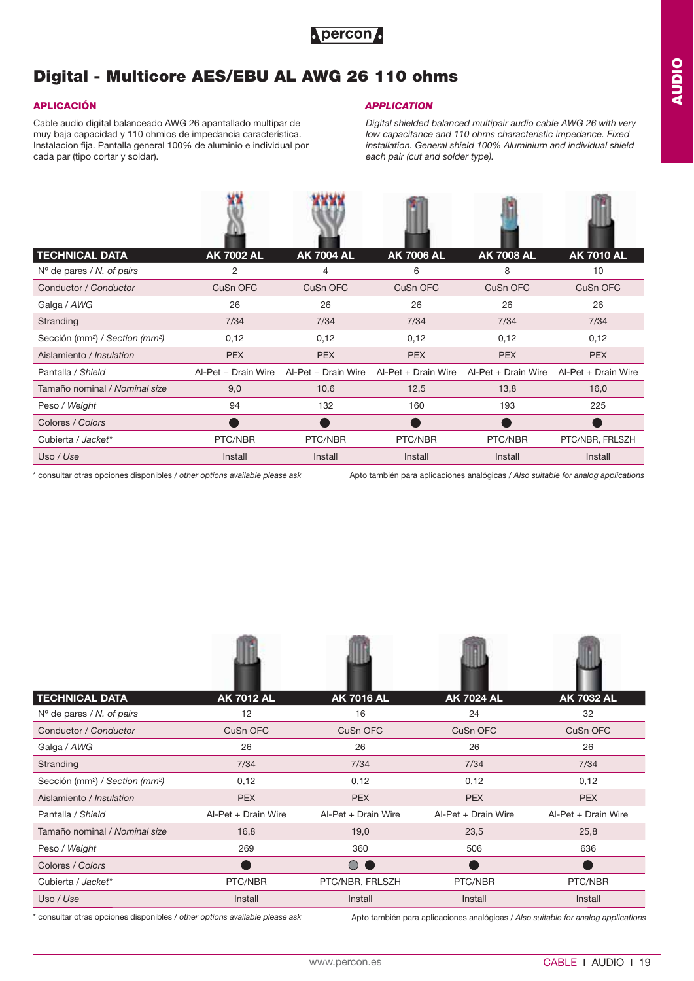

## **Digital - Multicore AES/EBU AL AWG 26 110 ohms**

**ARCHIVE** 

Cable audio digital balanceado AWG 26 apantallado multipar de muy baja capacidad y 110 ohmios de impedancia característica. Instalacion fija. Pantalla general 100% de aluminio e individual por cada par (tipo cortar y soldar).

### **APLICACIÓN** *APPLICATION*

*Digital shielded balanced multipair audio cable AWG 26 with very low capacitance and 110 ohms characteristic impedance. Fixed installation. General shield 100% Aluminium and individual shield each pair (cut and solder type).*

| <b>TECHNICAL DATA</b>                                   | <b>AK 7002 AL</b>   | <b>AK 7004 AL</b>   | <b>AK 7006 AL</b>   | <b>AK 7008 AL</b>   | <b>AK 7010 AL</b>   |
|---------------------------------------------------------|---------------------|---------------------|---------------------|---------------------|---------------------|
| $No$ de pares / N. of pairs                             | $\overline{2}$      | 4                   | 6                   | 8                   | 10                  |
| Conductor / Conductor                                   | CuSn OFC            | CuSn OFC            | CuSn OFC            | CuSn OFC            | CuSn OFC            |
| Galga / AWG                                             | 26                  | 26                  | 26                  | 26                  | 26                  |
| Stranding                                               | 7/34                | 7/34                | 7/34                | 7/34                | 7/34                |
| Sección (mm <sup>2</sup> ) / Section (mm <sup>2</sup> ) | 0,12                | 0,12                | 0,12                | 0,12                | 0,12                |
| Aislamiento / Insulation                                | <b>PEX</b>          | <b>PEX</b>          | <b>PEX</b>          | <b>PEX</b>          | <b>PEX</b>          |
| Pantalla / Shield                                       | Al-Pet + Drain Wire | Al-Pet + Drain Wire | Al-Pet + Drain Wire | Al-Pet + Drain Wire | Al-Pet + Drain Wire |
| Tamaño nominal / Nominal size                           | 9,0                 | 10,6                | 12,5                | 13,8                | 16,0                |
| Peso / Weight                                           | 94                  | 132                 | 160                 | 193                 | 225                 |
| Colores / Colors                                        |                     |                     |                     |                     |                     |
| Cubierta / Jacket*                                      | PTC/NBR             | PTC/NBR             | PTC/NBR             | PTC/NBR             | PTC/NBR, FRLSZH     |
| Uso / Use                                               | Install             | Install             | Install             | Install             | Install             |

\* consultar otras opciones disponibles / *other options available please ask* Apto también para aplicaciones analógicas / *Also suitable for analog applications*

| <b>TECHNICAL DATA</b>                                   | <b>AK 7012 AL</b>   | <b>AK 7016 AL</b>     | <b>AK 7024 AL</b>   | <b>AK 7032 AL</b>   |
|---------------------------------------------------------|---------------------|-----------------------|---------------------|---------------------|
| $No$ de pares / N. of pairs                             | 12                  | 16                    | 24                  | 32                  |
| Conductor / Conductor                                   | CuSn OFC            | CuSn OFC              | CuSn OFC            | CuSn OFC            |
| Galga / AWG                                             | 26                  | 26                    | 26                  | 26                  |
| Stranding                                               | 7/34                | 7/34                  | 7/34                | 7/34                |
| Sección (mm <sup>2</sup> ) / Section (mm <sup>2</sup> ) | 0,12                | 0,12                  | 0,12                | 0,12                |
| Aislamiento / Insulation                                | <b>PEX</b>          | <b>PEX</b>            | <b>PEX</b>          | <b>PEX</b>          |
| Pantalla / Shield                                       | Al-Pet + Drain Wire | Al-Pet + Drain Wire   | Al-Pet + Drain Wire | Al-Pet + Drain Wire |
| Tamaño nominal / Nominal size                           | 16,8                | 19,0                  | 23,5                | 25,8                |
| Peso / Weight                                           | 269                 | 360                   | 506                 | 636                 |
| Colores / Colors                                        |                     | $\bigcirc$ $\bigcirc$ |                     |                     |
| Cubierta / Jacket*                                      | PTC/NBR             | PTC/NBR, FRLSZH       | PTC/NBR             | PTC/NBR             |
| Uso / Use                                               | Install             | Install               | Install             | Install             |

400

\* consultar otras opciones disponibles / *other options available please ask*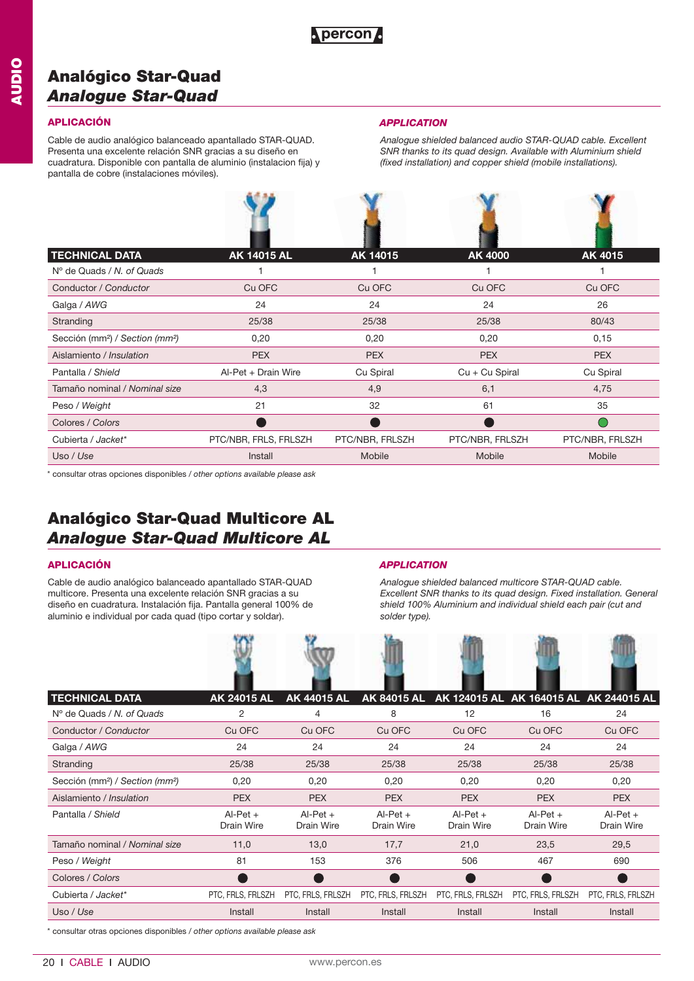## **Analógico Star-Quad**  *Analogue Star-Quad*

Cable de audio analógico balanceado apantallado STAR-QUAD. Presenta una excelente relación SNR gracias a su diseño en cuadratura. Disponible con pantalla de aluminio (instalacion fija) y pantalla de cobre (instalaciones móviles).

### **APLICACIÓN** *APPLICATION*

*Analogue shielded balanced audio STAR-QUAD cable. Excellent SNR thanks to its quad design. Available with Aluminium shield (fixed installation) and copper shield (mobile installations).*

| <b>TECHNICAL DATA</b>                                   | <b>AK 14015 AL</b>    | AK 14015        | AK 4000          | AK 4015         |
|---------------------------------------------------------|-----------------------|-----------------|------------------|-----------------|
| $N^{\circ}$ de Quads / N, of Quads                      |                       |                 |                  |                 |
| Conductor / Conductor                                   | Cu OFC                | Cu OFC          | Cu OFC           | Cu OFC          |
| Galga / AWG                                             | 24                    | 24              | 24               | 26              |
| Stranding                                               | 25/38                 | 25/38           | 25/38            | 80/43           |
| Sección (mm <sup>2</sup> ) / Section (mm <sup>2</sup> ) | 0,20                  | 0,20            | 0,20             | 0,15            |
| Aislamiento / Insulation                                | <b>PEX</b>            | <b>PEX</b>      | <b>PEX</b>       | <b>PEX</b>      |
| Pantalla / Shield                                       | Al-Pet + Drain Wire   | Cu Spiral       | $Cu + Cu$ Spiral | Cu Spiral       |
| Tamaño nominal / Nominal size                           | 4,3                   | 4,9             | 6,1              | 4,75            |
| Peso / Weight                                           | 21                    | 32              | 61               | 35              |
| Colores / Colors                                        |                       |                 |                  |                 |
| Cubierta / Jacket*                                      | PTC/NBR, FRLS, FRLSZH | PTC/NBR, FRLSZH | PTC/NBR, FRLSZH  | PTC/NBR, FRLSZH |
| Uso / Use                                               | Install               | Mobile          | Mobile           | Mobile          |

\* consultar otras opciones disponibles / *other options available please ask*

## **Analógico Star-Quad Multicore AL**  *Analogue Star-Quad Multicore AL*

Cable de audio analógico balanceado apantallado STAR-QUAD multicore. Presenta una excelente relación SNR gracias a su diseño en cuadratura. Instalación fija. Pantalla general 100% de aluminio e individual por cada quad (tipo cortar y soldar).

### **APLICACIÓN** *APPLICATION*

*Analogue shielded balanced multicore STAR-QUAD cable. Excellent SNR thanks to its quad design. Fixed installation. General shield 100% Aluminium and individual shield each pair (cut and solder type).*

| <b>TECHNICAL DATA</b>                                   | AK 24015 AL              | <b>AK 44015 AL</b>       |                          |                          | AK 84015 AL AK 124015 AL AK 164015 AL AK 244015 AL |                          |
|---------------------------------------------------------|--------------------------|--------------------------|--------------------------|--------------------------|----------------------------------------------------|--------------------------|
| $N^{\circ}$ de Quads / N, of Quads                      | 2                        | 4                        | 8                        | 12                       | 16                                                 | 24                       |
| Conductor / Conductor                                   | Cu OFC                   | Cu OFC                   | Cu OFC                   | Cu OFC                   | Cu OFC                                             | Cu OFC                   |
| Galga / AWG                                             | 24                       | 24                       | 24                       | 24                       | 24                                                 | 24                       |
| Stranding                                               | 25/38                    | 25/38                    | 25/38                    | 25/38                    | 25/38                                              | 25/38                    |
| Sección (mm <sup>2</sup> ) / Section (mm <sup>2</sup> ) | 0,20                     | 0,20                     | 0,20                     | 0,20                     | 0,20                                               | 0,20                     |
| Aislamiento / Insulation                                | <b>PEX</b>               | <b>PEX</b>               | <b>PEX</b>               | <b>PEX</b>               | <b>PEX</b>                                         | <b>PEX</b>               |
| Pantalla / Shield                                       | $AI-Pet +$<br>Drain Wire | $AI-Pet +$<br>Drain Wire | $AI-Pet +$<br>Drain Wire | $AI-Pet +$<br>Drain Wire | $AI-Pet +$<br>Drain Wire                           | $Al-Pet +$<br>Drain Wire |
| Tamaño nominal / Nominal size                           | 11,0                     | 13,0                     | 17,7                     | 21,0                     | 23,5                                               | 29,5                     |
| Peso / Weight                                           | 81                       | 153                      | 376                      | 506                      | 467                                                | 690                      |
| Colores / Colors                                        |                          |                          |                          |                          |                                                    |                          |
| Cubierta / Jacket*                                      | PTC, FRLS, FRLSZH        | PTC, FRLS, FRLSZH        | PTC, FRLS, FRLSZH        | PTC, FRLS, FRLSZH        | PTC, FRLS, FRLSZH                                  | PTC, FRLS, FRLSZH        |
| Uso / Use                                               | Install                  | Install                  | Install                  | Install                  | Install                                            | Install                  |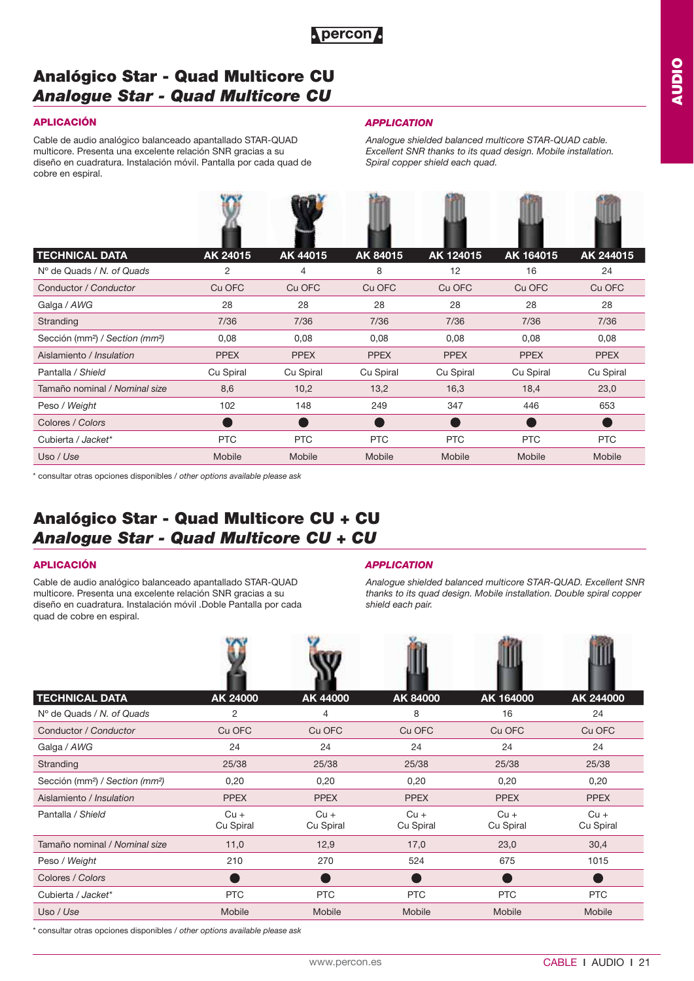

### **APLICACIÓN**

Cable de audio analógico balanceado apantallado STAR-QUAD multicore. Presenta una excelente relación SNR gracias a su diseño en cuadratura. Instalación móvil. Pantalla por cada quad de cobre en espiral.

5257

#### *APPLICATION*

*Analogue shielded balanced multicore STAR-QUAD cable. Excellent SNR thanks to its quad design. Mobile installation. Spiral copper shield each quad.* 

| <b>TECHNICAL DATA</b>                                   | AK 24015      | AK 44015       | AK 84015    | AK 124015   | AK 164015   | AK 244015   |
|---------------------------------------------------------|---------------|----------------|-------------|-------------|-------------|-------------|
| $N^{\circ}$ de Quads / N, of Quads                      | 2             | $\overline{4}$ | 8           | 12          | 16          | 24          |
| Conductor / Conductor                                   | Cu OFC        | Cu OFC         | Cu OFC      | Cu OFC      | Cu OFC      | Cu OFC      |
| Galga / AWG                                             | 28            | 28             | 28          | 28          | 28          | 28          |
| Stranding                                               | 7/36          | 7/36           | 7/36        | 7/36        | 7/36        | 7/36        |
| Sección (mm <sup>2</sup> ) / Section (mm <sup>2</sup> ) | 0,08          | 0,08           | 0,08        | 0,08        | 0,08        | 0,08        |
| Aislamiento / Insulation                                | <b>PPEX</b>   | <b>PPEX</b>    | <b>PPEX</b> | <b>PPEX</b> | <b>PPEX</b> | <b>PPEX</b> |
| Pantalla / Shield                                       | Cu Spiral     | Cu Spiral      | Cu Spiral   | Cu Spiral   | Cu Spiral   | Cu Spiral   |
| Tamaño nominal / Nominal size                           | 8,6           | 10,2           | 13,2        | 16,3        | 18,4        | 23,0        |
| Peso / Weight                                           | 102           | 148            | 249         | 347         | 446         | 653         |
| Colores / Colors                                        |               |                |             |             |             |             |
| Cubierta / Jacket*                                      | <b>PTC</b>    | PTC            | <b>PTC</b>  | <b>PTC</b>  | <b>PTC</b>  | <b>PTC</b>  |
| Uso / Use                                               | <b>Mobile</b> | Mobile         | Mobile      | Mobile      | Mobile      | Mobile      |

**Roo**y

\* consultar otras opciones disponibles / *other options available please ask*

## **Analógico Star - Quad Multicore CU + CU**  *Analogue Star - Quad Multicore CU + CU*

### **APLICACIÓN**

Cable de audio analógico balanceado apantallado STAR-QUAD multicore. Presenta una excelente relación SNR gracias a su diseño en cuadratura. Instalación móvil .Doble Pantalla por cada quad de cobre en espiral.

### *APPLICATION*

*Analogue shielded balanced multicore STAR-QUAD. Excellent SNR thanks to its quad design. Mobile installation. Double spiral copper shield each pair.*

| <b>TECHNICAL DATA</b>                                   | AK 24000            | AK 44000            | AK 84000            | AK 164000           | AK 244000           |
|---------------------------------------------------------|---------------------|---------------------|---------------------|---------------------|---------------------|
| $No$ de Quads / N, of Quads                             | 2                   | 4                   | 8                   | 16                  | 24                  |
| Conductor / Conductor                                   | Cu OFC              | Cu OFC              | Cu OFC              | Cu OFC              | Cu OFC              |
| Galga / AWG                                             | 24                  | 24                  | 24                  | 24                  | 24                  |
| Stranding                                               | 25/38               | 25/38               | 25/38               | 25/38               | 25/38               |
| Sección (mm <sup>2</sup> ) / Section (mm <sup>2</sup> ) | 0,20                | 0,20                | 0,20                | 0,20                | 0,20                |
| Aislamiento / Insulation                                | <b>PPEX</b>         | <b>PPEX</b>         | <b>PPEX</b>         | <b>PPEX</b>         | <b>PPEX</b>         |
| Pantalla / Shield                                       | $Cu +$<br>Cu Spiral | $Cu +$<br>Cu Spiral | $Cu +$<br>Cu Spiral | $Cu +$<br>Cu Spiral | $Cu +$<br>Cu Spiral |
| Tamaño nominal / Nominal size                           | 11,0                | 12,9                | 17,0                | 23,0                | 30,4                |
| Peso / Weight                                           | 210                 | 270                 | 524                 | 675                 | 1015                |
| Colores / Colors                                        |                     |                     |                     |                     |                     |
| Cubierta / Jacket*                                      | <b>PTC</b>          | <b>PTC</b>          | <b>PTC</b>          | <b>PTC</b>          | PTC                 |
| Uso / Use                                               | Mobile              | Mobile              | Mobile              | Mobile              | Mobile              |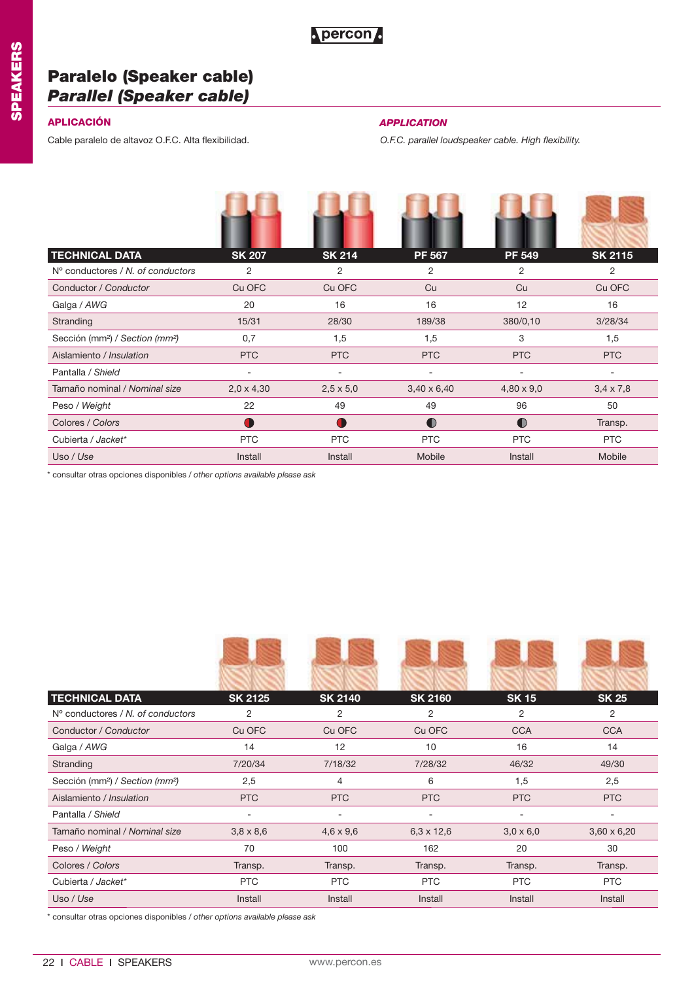

## **Paralelo (Speaker cable)** *Parallel (Speaker cable)*

Cable paralelo de altavoz O.F.C. Alta flexibilidad. *O.F.C. parallel loudspeaker cable. High flexibility.* 

## **APLICACIÓN** *APPLICATION*

| <b>TECHNICAL DATA</b>                                   | <b>SK 207</b>     | <b>SK 214</b>    | <b>PF 567</b>      | <b>PF 549</b>     | <b>SK 2115</b>   |
|---------------------------------------------------------|-------------------|------------------|--------------------|-------------------|------------------|
| N° conductores / N, of conductors                       | 2                 | 2                | 2                  | 2                 | 2                |
| Conductor / Conductor                                   | Cu OFC            | Cu OFC           | Cu                 | Cu                | Cu OFC           |
| Galga / AWG                                             | 20                | 16               | 16                 | 12                | 16               |
| Stranding                                               | 15/31             | 28/30            | 189/38             | 380/0,10          | 3/28/34          |
| Sección (mm <sup>2</sup> ) / Section (mm <sup>2</sup> ) | 0,7               | 1,5              | 1,5                | 3                 | 1,5              |
| Aislamiento / Insulation                                | <b>PTC</b>        | <b>PTC</b>       | <b>PTC</b>         | <b>PTC</b>        | <b>PTC</b>       |
| Pantalla / Shield                                       | ÷                 |                  | ۰                  |                   |                  |
| Tamaño nominal / Nominal size                           | $2,0 \times 4,30$ | $2,5 \times 5,0$ | $3,40 \times 6,40$ | $4,80 \times 9,0$ | $3,4 \times 7,8$ |
| Peso / Weight                                           | 22                | 49               | 49                 | 96                | 50               |
| Colores / Colors                                        | T                 |                  | $\bullet$          | $\bullet$         | Transp.          |
| Cubierta / Jacket*                                      | <b>PTC</b>        | <b>PTC</b>       | <b>PTC</b>         | <b>PTC</b>        | <b>PTC</b>       |
| Uso / Use                                               | Install           | Install          | Mobile             | Install           | Mobile           |

\* consultar otras opciones disponibles / *other options available please ask*

|                          |                  |                          |                          | <b>SK 25</b>             |
|--------------------------|------------------|--------------------------|--------------------------|--------------------------|
| 2                        | 2                | 2                        | 2                        | 2                        |
| Cu OFC                   | Cu OFC           | Cu OFC                   | <b>CCA</b>               | <b>CCA</b>               |
| 14                       | 12               | 10                       | 16                       | 14                       |
| 7/20/34                  | 7/18/32          | 7/28/32                  | 46/32                    | 49/30                    |
| 2,5                      | 4                | 6                        | 1,5                      | 2,5                      |
| <b>PTC</b>               | <b>PTC</b>       | <b>PTC</b>               | <b>PTC</b>               | <b>PTC</b>               |
| $\overline{\phantom{a}}$ | ۰                | $\overline{\phantom{a}}$ | $\overline{\phantom{a}}$ | $\overline{\phantom{a}}$ |
| $3,8 \times 8,6$         | $4,6 \times 9,6$ | $6,3 \times 12,6$        | $3,0 \times 6,0$         | $3,60 \times 6,20$       |
| 70                       | 100              | 162                      | 20                       | 30                       |
| Transp.                  | Transp.          | Transp.                  | Transp.                  | Transp.                  |
| <b>PTC</b>               | <b>PTC</b>       | <b>PTC</b>               | <b>PTC</b>               | <b>PTC</b>               |
| Install                  | Install          | Install                  | Install                  | Install                  |
|                          | <b>SK 2125</b>   | <b>SK 2140</b>           | <b>SK 2160</b>           | <b>SK15</b>              |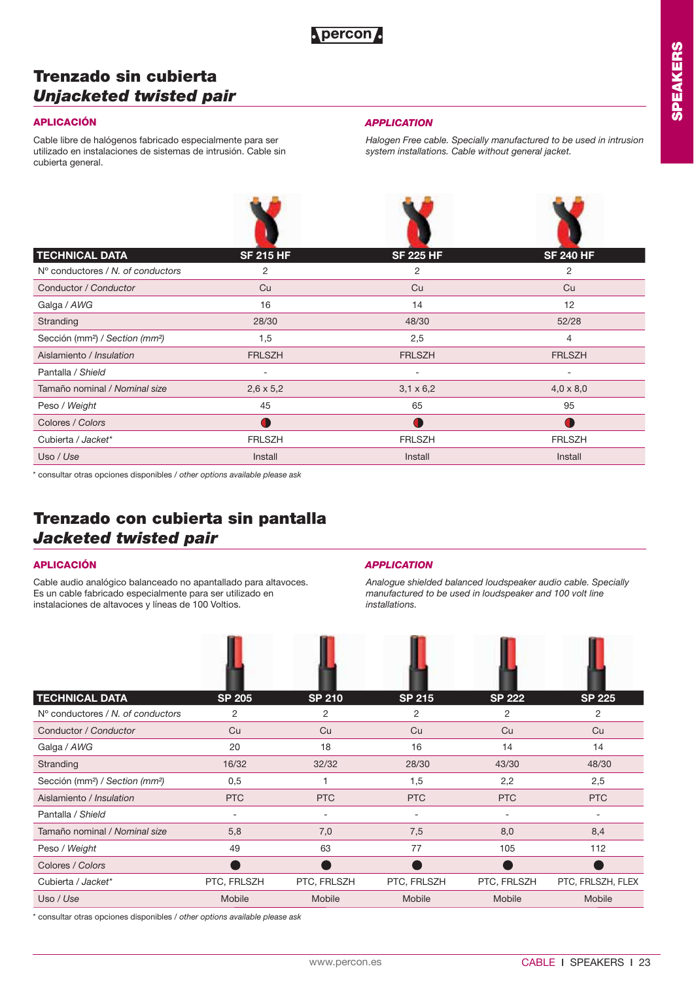## **Trenzado sin cubierta** *Unjacketed twisted pair*

Cable libre de halógenos fabricado especialmente para ser utilizado en instalaciones de sistemas de intrusión. Cable sin cubierta general.

### **APLICACIÓN** *APPLICATION*

*Halogen Free cable. Specially manufactured to be used in intrusion system installations. Cable without general jacket.* 

| <b>TECHNICAL DATA</b>                                   | <b>SF 215 HF</b> | <b>SF 225 HF</b> | <b>SF 240 HF</b> |
|---------------------------------------------------------|------------------|------------------|------------------|
| $No$ conductores / N, of conductors                     | 2                | 2                | 2                |
| Conductor / Conductor                                   | Cu               | Cu               | Cu               |
| Galga / AWG                                             | 16               | 14               | 12               |
| Stranding                                               | 28/30            | 48/30            | 52/28            |
| Sección (mm <sup>2</sup> ) / Section (mm <sup>2</sup> ) | 1,5              | 2,5              | 4                |
| Aislamiento / Insulation                                | <b>FRLSZH</b>    | <b>FRLSZH</b>    | <b>FRLSZH</b>    |
| Pantalla / Shield                                       | ۰                | ۰                | ۰                |
| Tamaño nominal / Nominal size                           | $2,6 \times 5,2$ | $3,1 \times 6,2$ | $4,0 \times 8,0$ |
| Peso / Weight                                           | 45               | 65               | 95               |
| Colores / Colors                                        | Œ                |                  | T                |
| Cubierta / Jacket*                                      | <b>FRLSZH</b>    | <b>FRLSZH</b>    | <b>FRLSZH</b>    |
| Uso / Use                                               | Install          | Install          | Install          |
|                                                         |                  |                  |                  |

\* consultar otras opciones disponibles / *other options available please ask*

## **Trenzado con cubierta sin pantalla** *Jacketed twisted pair*

Cable audio analógico balanceado no apantallado para altavoces. Es un cable fabricado especialmente para ser utilizado en instalaciones de altavoces y líneas de 100 Voltios.

## **APLICACIÓN** *APPLICATION*

*Analogue shielded balanced loudspeaker audio cable. Specially manufactured to be used in loudspeaker and 100 volt line installations.*

| <b>TECHNICAL DATA</b>                                   | <b>SP 205</b>            | <b>SP 210</b> | <b>SP 215</b> | <b>SP 222</b> | <b>SP 225</b>     |
|---------------------------------------------------------|--------------------------|---------------|---------------|---------------|-------------------|
| N° conductores / N, of conductors                       | 2                        | 2             | 2             | 2             | 2                 |
| Conductor / Conductor                                   | Cu                       | Cu            | Cu            | Cu            | Cu                |
| Galga / AWG                                             | 20                       | 18            | 16            | 14            | 14                |
| Stranding                                               | 16/32                    | 32/32         | 28/30         | 43/30         | 48/30             |
| Sección (mm <sup>2</sup> ) / Section (mm <sup>2</sup> ) | 0,5                      |               | 1,5           | 2,2           | 2,5               |
| Aislamiento / Insulation                                | <b>PTC</b>               | <b>PTC</b>    | <b>PTC</b>    | <b>PTC</b>    | <b>PTC</b>        |
| Pantalla / Shield                                       | $\overline{\phantom{a}}$ |               |               | ۰             | ۰                 |
| Tamaño nominal / Nominal size                           | 5,8                      | 7,0           | 7,5           | 8,0           | 8,4               |
| Peso / Weight                                           | 49                       | 63            | 77            | 105           | 112               |
| Colores / Colors                                        |                          |               |               |               |                   |
| Cubierta / Jacket*                                      | PTC, FRLSZH              | PTC, FRLSZH   | PTC, FRLSZH   | PTC, FRLSZH   | PTC, FRLSZH, FLEX |
| Uso / Use                                               | Mobile                   | Mobile        | Mobile        | Mobile        | Mobile            |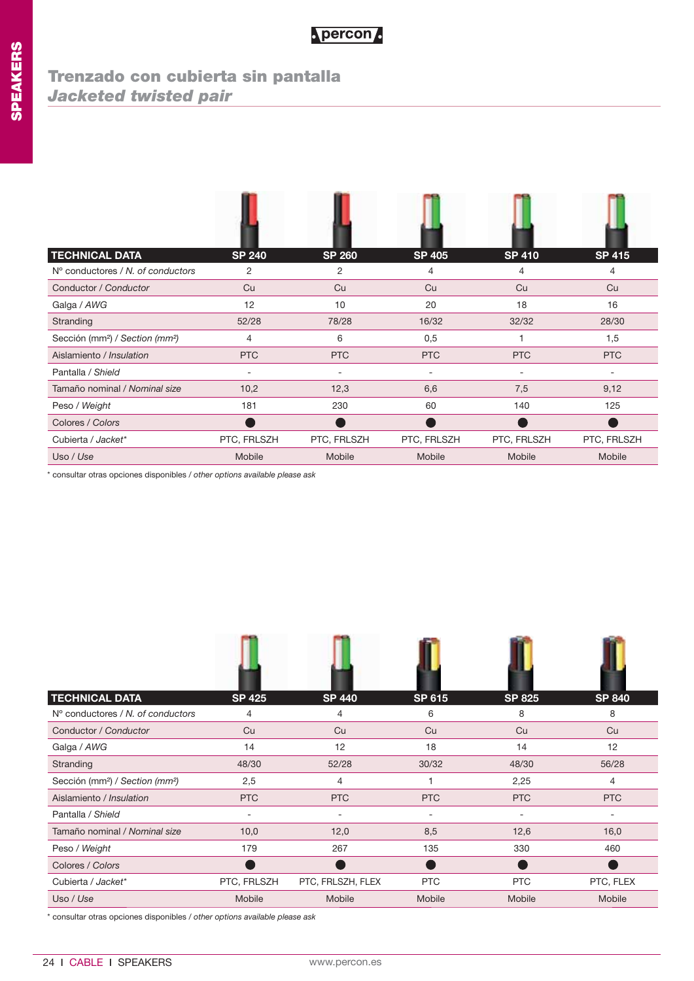## **Trenzado con cubierta sin pantalla** *Jacketed twisted pair*

| <b>TECHNICAL DATA</b>                                   | <b>SP 240</b>            | <b>SP 260</b> | <b>SP 405</b> | <b>SP 410</b> | <b>SP 415</b> |
|---------------------------------------------------------|--------------------------|---------------|---------------|---------------|---------------|
| N° conductores / N, of conductors                       | 2                        | 2             | 4             | 4             | 4             |
| Conductor / Conductor                                   | Cu                       | Cu            | Cu            | Cu            | Cu            |
| Galga / AWG                                             | 12                       | 10            | 20            | 18            | 16            |
| Stranding                                               | 52/28                    | 78/28         | 16/32         | 32/32         | 28/30         |
| Sección (mm <sup>2</sup> ) / Section (mm <sup>2</sup> ) | 4                        | 6             | 0,5           |               | 1,5           |
| Aislamiento / Insulation                                | <b>PTC</b>               | <b>PTC</b>    | <b>PTC</b>    | <b>PTC</b>    | <b>PTC</b>    |
| Pantalla / Shield                                       | $\overline{\phantom{a}}$ |               |               |               |               |
| Tamaño nominal / Nominal size                           | 10,2                     | 12,3          | 6,6           | 7,5           | 9,12          |
| Peso / Weight                                           | 181                      | 230           | 60            | 140           | 125           |
| Colores / Colors                                        |                          |               |               |               |               |
| Cubierta / Jacket*                                      | PTC, FRLSZH              | PTC, FRLSZH   | PTC, FRLSZH   | PTC, FRLSZH   | PTC, FRLSZH   |
| Uso / Use                                               | Mobile                   | <b>Mobile</b> | Mobile        | Mobile        | Mobile        |

\* consultar otras opciones disponibles / *other options available please ask*

| <b>TECHNICAL DATA</b>                                   | <b>SP 425</b> | <b>SP 440</b>     | <b>SP 615</b> | <b>SP 825</b> | <b>SP 840</b> |
|---------------------------------------------------------|---------------|-------------------|---------------|---------------|---------------|
| $No$ conductores / N, of conductors                     | 4             | 4                 | 6             | 8             | 8             |
| Conductor / Conductor                                   | Cu            | Cu                | Cu            | Cu            | Cu            |
| Galga / AWG                                             | 14            | 12                | 18            | 14            | 12            |
| Stranding                                               | 48/30         | 52/28             | 30/32         | 48/30         | 56/28         |
| Sección (mm <sup>2</sup> ) / Section (mm <sup>2</sup> ) | 2,5           | 4                 |               | 2,25          | 4             |
| Aislamiento / Insulation                                | <b>PTC</b>    | <b>PTC</b>        | <b>PTC</b>    | <b>PTC</b>    | <b>PTC</b>    |
| Pantalla / Shield                                       | ۰             | ۰                 | ۰             | ۰             | ۰             |
| Tamaño nominal / Nominal size                           | 10,0          | 12,0              | 8,5           | 12,6          | 16,0          |
| Peso / Weight                                           | 179           | 267               | 135           | 330           | 460           |
| Colores / Colors                                        |               |                   |               |               |               |
| Cubierta / Jacket*                                      | PTC, FRLSZH   | PTC, FRLSZH, FLEX | <b>PTC</b>    | <b>PTC</b>    | PTC, FLEX     |
| Uso / Use                                               | Mobile        | Mobile            | Mobile        | Mobile        | Mobile        |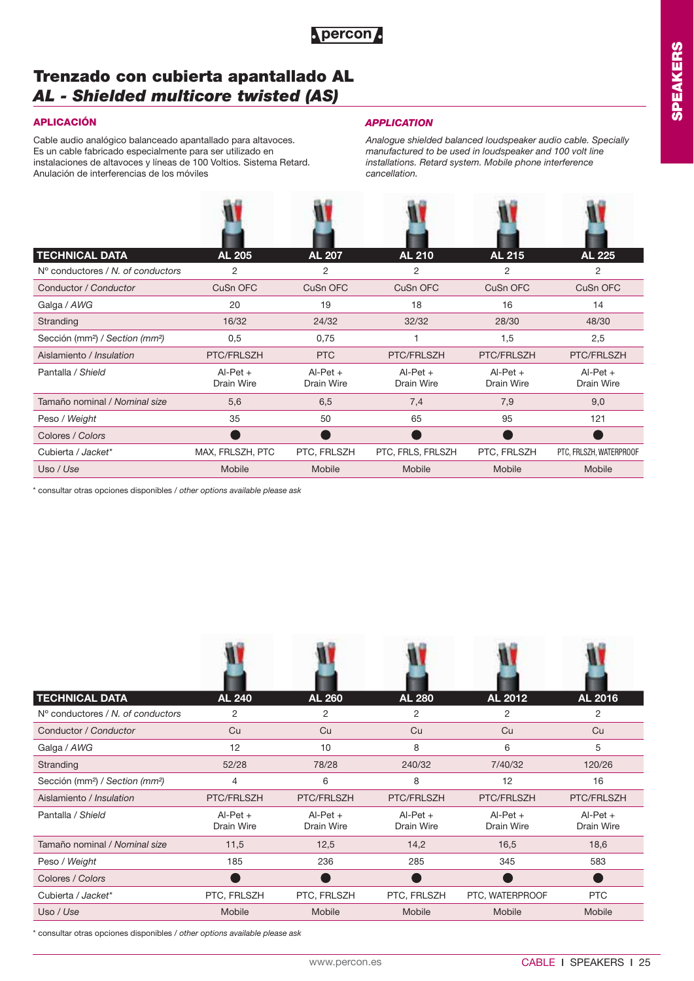

## **Trenzado con cubierta apantallado AL** *AL - Shielded multicore twisted (AS)*

Cable audio analógico balanceado apantallado para altavoces. Es un cable fabricado especialmente para ser utilizado en instalaciones de altavoces y líneas de 100 Voltios. Sistema Retard. Anulación de interferencias de los móviles

## **APLICACIÓN** *APPLICATION*

*Analogue shielded balanced loudspeaker audio cable. Specially manufactured to be used in loudspeaker and 100 volt line installations. Retard system. Mobile phone interference cancellation.* 

| <b>TECHNICAL DATA</b>                                   | <b>AL 205</b>            | <b>AL 207</b>            | <b>AL 210</b>            | <b>AL 215</b>            | <b>AL 225</b>            |
|---------------------------------------------------------|--------------------------|--------------------------|--------------------------|--------------------------|--------------------------|
| $N^{\circ}$ conductores / N, of conductors              | 2                        | 2                        | 2                        | 2                        | 2                        |
| Conductor / Conductor                                   | CuSn OFC                 | CuSn OFC                 | CuSn OFC                 | CuSn OFC                 | CuSn OFC                 |
| Galga / AWG                                             | 20                       | 19                       | 18                       | 16                       | 14                       |
| Stranding                                               | 16/32                    | 24/32                    | 32/32                    | 28/30                    | 48/30                    |
| Sección (mm <sup>2</sup> ) / Section (mm <sup>2</sup> ) | 0,5                      | 0,75                     |                          | 1,5                      | 2,5                      |
| Aislamiento / Insulation                                | PTC/FRLSZH               | <b>PTC</b>               | PTC/FRLSZH               | PTC/FRLSZH               | PTC/FRLSZH               |
| Pantalla / Shield                                       | $Al-Pet +$<br>Drain Wire | $Al-Pet +$<br>Drain Wire | $Al-Pet +$<br>Drain Wire | $Al-Pet +$<br>Drain Wire | $Al-Pet +$<br>Drain Wire |
| Tamaño nominal / Nominal size                           | 5,6                      | 6,5                      | 7,4                      | 7,9                      | 9,0                      |
| Peso / Weight                                           | 35                       | 50                       | 65                       | 95                       | 121                      |
| Colores / Colors                                        |                          |                          |                          |                          |                          |
| Cubierta / Jacket*                                      | MAX, FRLSZH, PTC         | PTC, FRLSZH              | PTC, FRLS, FRLSZH        | PTC, FRLSZH              | PTC, FRLSZH, WATERPROOF  |
| Uso / Use                                               | <b>Mobile</b>            | Mobile                   | <b>Mobile</b>            | Mobile                   | Mobile                   |

\* consultar otras opciones disponibles / *other options available please ask*

| <b>TECHNICAL DATA</b>                                   | <b>AL 240</b>            | <b>AL 260</b>            | <b>AL 280</b>            | AL 2012                  | AL 2016                  |
|---------------------------------------------------------|--------------------------|--------------------------|--------------------------|--------------------------|--------------------------|
| $No$ conductores / N, of conductors                     | 2                        | 2                        | 2                        | 2                        | 2                        |
| Conductor / Conductor                                   | Cu                       | Cu                       | Cu                       | Cu                       | Cu                       |
| Galga / AWG                                             | 12                       | 10                       | 8                        | 6                        | 5                        |
| Stranding                                               | 52/28                    | 78/28                    | 240/32                   | 7/40/32                  | 120/26                   |
| Sección (mm <sup>2</sup> ) / Section (mm <sup>2</sup> ) | 4                        | 6                        | 8                        | 12                       | 16                       |
| Aislamiento / Insulation                                | PTC/FRLSZH               | PTC/FRLSZH               | PTC/FRLSZH               | PTC/FRLSZH               | PTC/FRLSZH               |
| Pantalla / Shield                                       | $Al-Pet +$<br>Drain Wire | $Al-Pet +$<br>Drain Wire | $Al-Pet +$<br>Drain Wire | $Al-Pet +$<br>Drain Wire | $AI-Pet +$<br>Drain Wire |
| Tamaño nominal / Nominal size                           | 11,5                     | 12,5                     | 14,2                     | 16,5                     | 18,6                     |
| Peso / Weight                                           | 185                      | 236                      | 285                      | 345                      | 583                      |
| Colores / Colors                                        |                          |                          |                          |                          |                          |
| Cubierta / Jacket*                                      | PTC, FRLSZH              | PTC, FRLSZH              | PTC, FRLSZH              | PTC, WATERPROOF          | <b>PTC</b>               |
| Uso / Use                                               | Mobile                   | Mobile                   | Mobile                   | Mobile                   | <b>Mobile</b>            |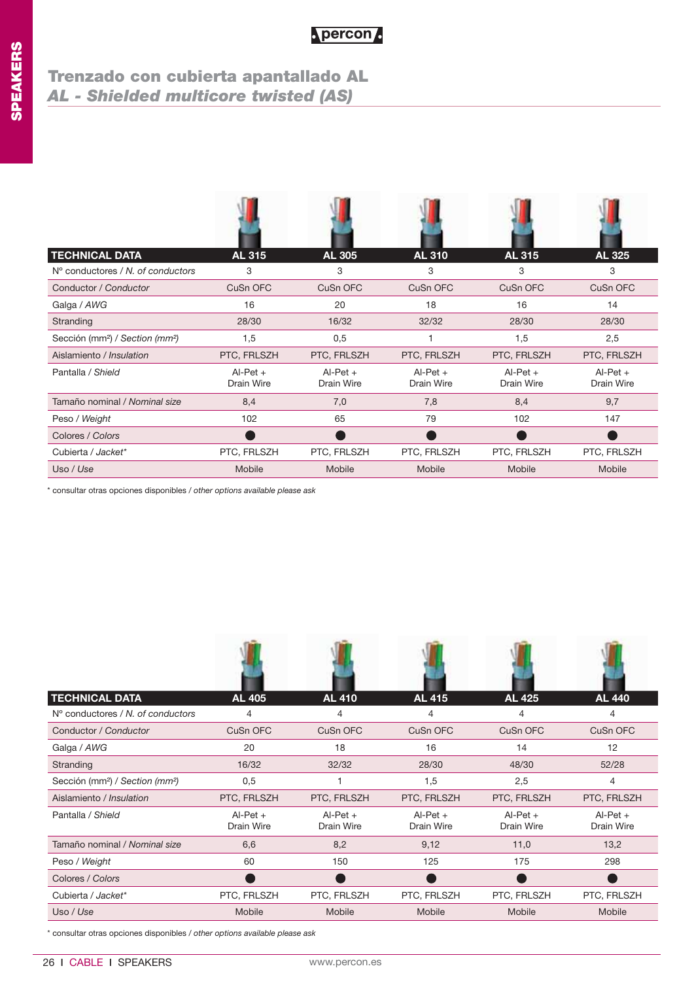## **Trenzado con cubierta apantallado AL** *AL - Shielded multicore twisted (AS)*

| <b>TECHNICAL DATA</b>                                   | <b>AL 315</b>            | <b>AL 305</b>            | <b>AL 310</b>            | <b>AL 315</b>            | <b>AL 325</b>            |
|---------------------------------------------------------|--------------------------|--------------------------|--------------------------|--------------------------|--------------------------|
| $No$ conductores / N, of conductors                     | 3                        | 3                        | 3                        | 3                        | 3                        |
| Conductor / Conductor                                   | CuSn OFC                 | CuSn OFC                 | CuSn OFC                 | CuSn OFC                 | CuSn OFC                 |
| Galga / AWG                                             | 16                       | 20                       | 18                       | 16                       | 14                       |
| Stranding                                               | 28/30                    | 16/32                    | 32/32                    | 28/30                    | 28/30                    |
| Sección (mm <sup>2</sup> ) / Section (mm <sup>2</sup> ) | 1,5                      | 0,5                      |                          | 1,5                      | 2,5                      |
| Aislamiento / Insulation                                | PTC, FRLSZH              | PTC, FRLSZH              | PTC, FRLSZH              | PTC, FRLSZH              | PTC, FRLSZH              |
| Pantalla / Shield                                       | $AI-Pet +$<br>Drain Wire | $Al-Pet +$<br>Drain Wire | $AI-Pet +$<br>Drain Wire | $AI-Pet +$<br>Drain Wire | $AI-Pet +$<br>Drain Wire |
| Tamaño nominal / Nominal size                           | 8,4                      | 7,0                      | 7,8                      | 8,4                      | 9,7                      |
| Peso / Weight                                           | 102                      | 65                       | 79                       | 102                      | 147                      |
| Colores / Colors                                        |                          |                          |                          |                          |                          |
| Cubierta / Jacket*                                      | PTC, FRLSZH              | PTC, FRLSZH              | PTC, FRLSZH              | PTC, FRLSZH              | PTC, FRLSZH              |
| Uso / Use                                               | Mobile                   | Mobile                   | Mobile                   | Mobile                   | Mobile                   |

\* consultar otras opciones disponibles / *other options available please ask*

| <b>TECHNICAL DATA</b>                                   | <b>AL 405</b>            | <b>AL 410</b>            | <b>AL 415</b>            | <b>AL 425</b>            | <b>AL 440</b>            |
|---------------------------------------------------------|--------------------------|--------------------------|--------------------------|--------------------------|--------------------------|
| $No$ conductores / N, of conductors                     | 4                        | 4                        | 4                        | 4                        | 4                        |
| Conductor / Conductor                                   | CuSn OFC                 | CuSn OFC                 | CuSn OFC                 | CuSn OFC                 | CuSn OFC                 |
| Galga / AWG                                             | 20                       | 18                       | 16                       | 14                       | 12                       |
| Stranding                                               | 16/32                    | 32/32                    | 28/30                    | 48/30                    | 52/28                    |
| Sección (mm <sup>2</sup> ) / Section (mm <sup>2</sup> ) | 0,5                      |                          | 1,5                      | 2,5                      | 4                        |
| Aislamiento / Insulation                                | PTC, FRLSZH              | PTC, FRLSZH              | PTC, FRLSZH              | PTC, FRLSZH              | PTC, FRLSZH              |
| Pantalla / Shield                                       | $Al-Pet +$<br>Drain Wire | $Al-Pet +$<br>Drain Wire | $Al-Pet +$<br>Drain Wire | $Al-Pet +$<br>Drain Wire | $Al-Pet +$<br>Drain Wire |
| Tamaño nominal / Nominal size                           | 6,6                      | 8,2                      | 9,12                     | 11,0                     | 13,2                     |
| Peso / Weight                                           | 60                       | 150                      | 125                      | 175                      | 298                      |
| Colores / Colors                                        |                          |                          |                          |                          |                          |
| Cubierta / Jacket*                                      | PTC, FRLSZH              | PTC, FRLSZH              | PTC, FRLSZH              | PTC, FRLSZH              | PTC, FRLSZH              |
| Uso / Use                                               | Mobile                   | Mobile                   | Mobile                   | Mobile                   | Mobile                   |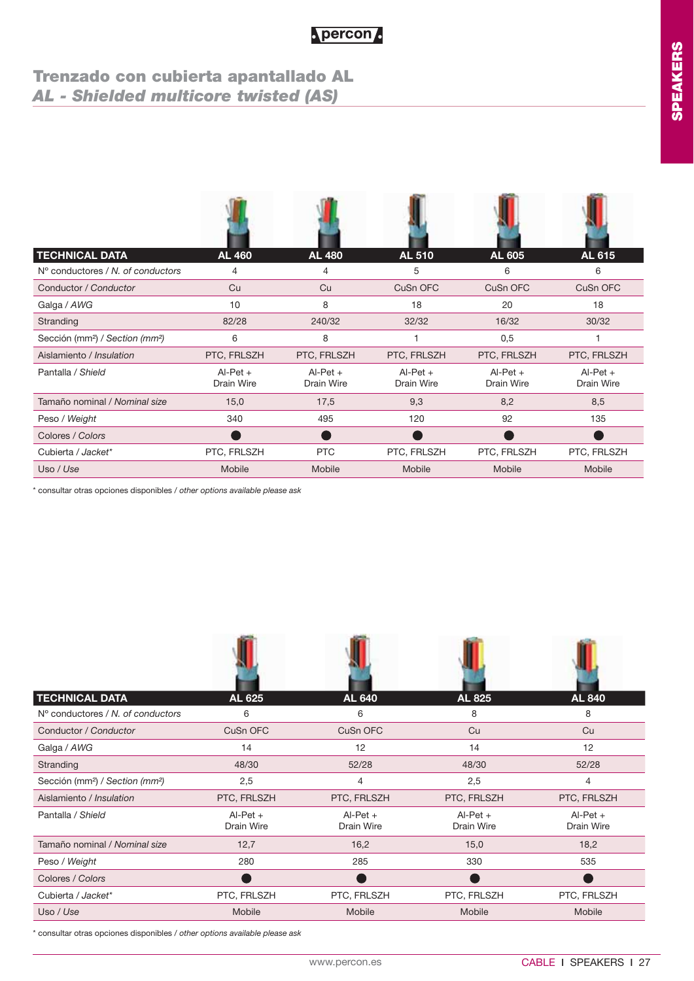## **Trenzado con cubierta apantallado AL** *AL - Shielded multicore twisted (AS)*

| <b>TECHNICAL DATA</b>                                   | <b>AL 460</b>            | <b>AL 480</b>            | <b>AL 510</b>            | <b>AL 605</b>            | <b>AL 615</b>            |
|---------------------------------------------------------|--------------------------|--------------------------|--------------------------|--------------------------|--------------------------|
| N° conductores / N, of conductors                       | 4                        | 4                        | 5                        | 6                        | 6                        |
| Conductor / Conductor                                   | Cu                       | Cu                       | CuSn OFC                 | CuSn OFC                 | CuSn OFC                 |
| Galga / AWG                                             | 10                       | 8                        | 18                       | 20                       | 18                       |
| Stranding                                               | 82/28                    | 240/32                   | 32/32                    | 16/32                    | 30/32                    |
| Sección (mm <sup>2</sup> ) / Section (mm <sup>2</sup> ) | 6                        | 8                        |                          | 0,5                      |                          |
| Aislamiento / Insulation                                | PTC, FRLSZH              | PTC, FRLSZH              | PTC, FRLSZH              | PTC, FRLSZH              | PTC, FRLSZH              |
| Pantalla / Shield                                       | $Al-Pet +$<br>Drain Wire | $Al-Pet +$<br>Drain Wire | $Al-Pet +$<br>Drain Wire | $Al-Pet +$<br>Drain Wire | $Al-Pet +$<br>Drain Wire |
| Tamaño nominal / Nominal size                           | 15,0                     | 17,5                     | 9,3                      | 8,2                      | 8,5                      |
| Peso / Weight                                           | 340                      | 495                      | 120                      | 92                       | 135                      |
| Colores / Colors                                        |                          |                          |                          |                          |                          |
| Cubierta / Jacket*                                      | PTC, FRLSZH              | <b>PTC</b>               | PTC, FRLSZH              | PTC, FRLSZH              | PTC, FRLSZH              |
| Uso / Use                                               | Mobile                   | Mobile                   | Mobile                   | Mobile                   | Mobile                   |

\* consultar otras opciones disponibles / *other options available please ask*

**AGMON** 

| <b>TECHNICAL DATA</b>                                   | <b>AL 625</b>            | <b>AL 640</b>            | <b>AL 825</b>            | <b>AL 840</b>            |
|---------------------------------------------------------|--------------------------|--------------------------|--------------------------|--------------------------|
| $N^{\circ}$ conductores / N, of conductors              | 6                        | 6                        | 8                        | 8                        |
| Conductor / Conductor                                   | CuSn OFC                 | CuSn OFC                 | Cu                       | Cu                       |
| Galga / AWG                                             | 14                       | 12                       | 14                       | 12                       |
| Stranding                                               | 48/30                    | 52/28                    | 48/30                    | 52/28                    |
| Sección (mm <sup>2</sup> ) / Section (mm <sup>2</sup> ) | 2,5                      | 4                        | 2,5                      | 4                        |
| Aislamiento / Insulation                                | PTC, FRLSZH              | PTC, FRLSZH              | PTC, FRLSZH              | PTC, FRLSZH              |
| Pantalla / Shield                                       | $AI-Pet +$<br>Drain Wire | $AI-Pet +$<br>Drain Wire | $AI-Pet +$<br>Drain Wire | $Al-Pet +$<br>Drain Wire |
| Tamaño nominal / Nominal size                           | 12,7                     | 16,2                     | 15,0                     | 18,2                     |
| Peso / Weight                                           | 280                      | 285                      | 330                      | 535                      |
| Colores / Colors                                        |                          |                          |                          |                          |
| Cubierta / Jacket*                                      | PTC, FRLSZH              | PTC, FRLSZH              | PTC, FRLSZH              | PTC, FRLSZH              |
| Uso / Use                                               | Mobile                   | Mobile                   | Mobile                   | Mobile                   |

**JO**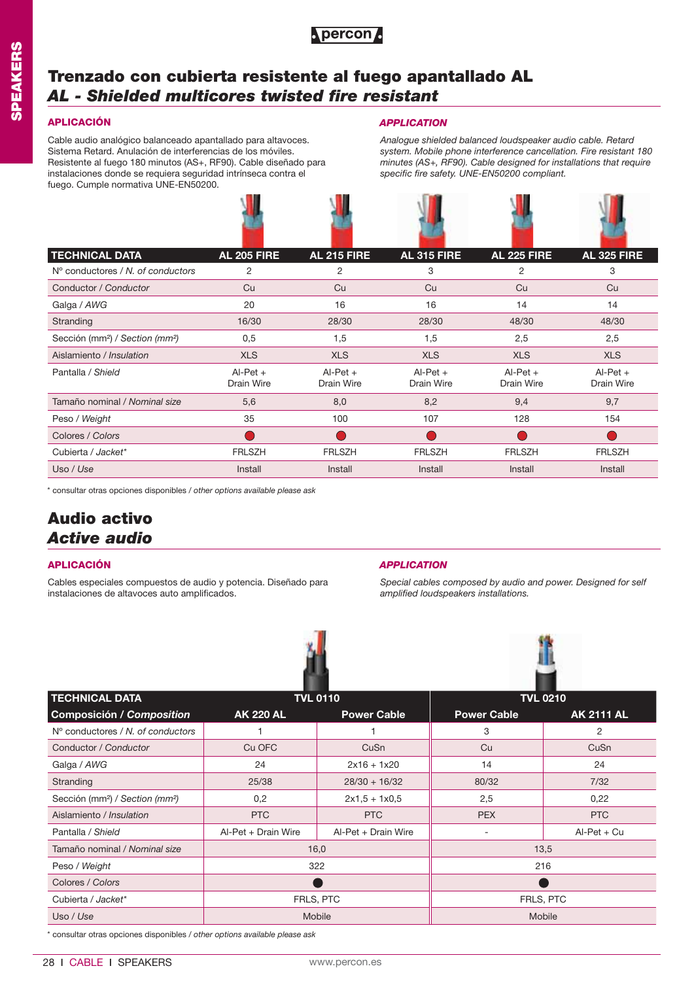

## **Trenzado con cubierta resistente al fuego apantallado AL** *AL - Shielded multicores twisted fire resistant*

Cable audio analógico balanceado apantallado para altavoces. Sistema Retard. Anulación de interferencias de los móviles. Resistente al fuego 180 minutos (AS+, RF90). Cable diseñado para instalaciones donde se requiera seguridad intrínseca contra el fuego. Cumple normativa UNE-EN50200.

### **APLICACIÓN** *APPLICATION*

*Analogue shielded balanced loudspeaker audio cable. Retard system. Mobile phone interference cancellation. Fire resistant 180 minutes (AS+, RF90). Cable designed for installations that require specific fire safety. UNE-EN50200 compliant.*

| <b>TECHNICAL DATA</b>                                   | <b>AL 205 FIRE</b>       | <b>AL 215 FIRE</b>       | <b>AL 315 FIRE</b>       | <b>AL 225 FIRE</b>       | <b>AL 325 FIRE</b>       |
|---------------------------------------------------------|--------------------------|--------------------------|--------------------------|--------------------------|--------------------------|
| $No$ conductores / N, of conductors                     | 2                        | 2                        | 3                        | 2                        | 3                        |
| Conductor / Conductor                                   | Cu                       | Cu                       | Cu                       | Cu                       | Cu                       |
| Galga / AWG                                             | 20                       | 16                       | 16                       | 14                       | 14                       |
| Stranding                                               | 16/30                    | 28/30                    | 28/30                    | 48/30                    | 48/30                    |
| Sección (mm <sup>2</sup> ) / Section (mm <sup>2</sup> ) | 0,5                      | 1,5                      | 1,5                      | 2,5                      | 2,5                      |
| Aislamiento / Insulation                                | <b>XLS</b>               | <b>XLS</b>               | <b>XLS</b>               | <b>XLS</b>               | <b>XLS</b>               |
| Pantalla / Shield                                       | $AI-Pet +$<br>Drain Wire | $Al-Pet +$<br>Drain Wire | $AI-Pet +$<br>Drain Wire | $AI-Pet +$<br>Drain Wire | $AI-Pet +$<br>Drain Wire |
| Tamaño nominal / Nominal size                           | 5,6                      | 8,0                      | 8,2                      | 9,4                      | 9,7                      |
| Peso / Weight                                           | 35                       | 100                      | 107                      | 128                      | 154                      |
| Colores / Colors                                        |                          |                          |                          |                          |                          |
| Cubierta / Jacket*                                      | <b>FRLSZH</b>            | <b>FRLSZH</b>            | <b>FRLSZH</b>            | <b>FRLSZH</b>            | <b>FRLSZH</b>            |
| Uso / Use                                               | Install                  | Install                  | Install                  | Install                  | Install                  |

\* consultar otras opciones disponibles / *other options available please ask*

## **Audio activo** *Active audio*

Cables especiales compuestos de audio y potencia. Diseñado para instalaciones de altavoces auto amplificados.

### **APLICACIÓN** *APPLICATION*

*Special cables composed by audio and power. Designed for self amplified loudspeakers installations.*





| <b>TECHNICAL DATA</b>                                   | <b>TVL 0110</b>     |                     | <b>TVL 0210</b>    |                   |  |
|---------------------------------------------------------|---------------------|---------------------|--------------------|-------------------|--|
| Composición / Composition                               | <b>AK 220 AL</b>    | <b>Power Cable</b>  | <b>Power Cable</b> | <b>AK 2111 AL</b> |  |
| $No$ conductores / N, of conductors                     |                     |                     | 3                  | 2                 |  |
| Conductor / Conductor                                   | Cu OFC              | CuSn                | Cu                 | CuSn              |  |
| Galga / AWG                                             | 24                  | $2x16 + 1x20$       | 14                 | 24                |  |
| Stranding                                               | 25/38               | $28/30 + 16/32$     | 80/32              | 7/32              |  |
| Sección (mm <sup>2</sup> ) / Section (mm <sup>2</sup> ) | 0,2                 | $2x1.5 + 1x0.5$     | 2,5                | 0,22              |  |
| Aislamiento / Insulation                                | PTC                 | <b>PTC</b>          | <b>PEX</b>         | <b>PTC</b>        |  |
| Pantalla / Shield                                       | Al-Pet + Drain Wire | Al-Pet + Drain Wire |                    | $Al-Pet + Cu$     |  |
| Tamaño nominal / Nominal size                           |                     | 16,0                | 13,5               |                   |  |
| Peso / Weight                                           | 322                 |                     | 216                |                   |  |
| Colores / Colors                                        |                     |                     |                    |                   |  |
| Cubierta / Jacket*                                      |                     | FRLS, PTC           | FRLS, PTC          |                   |  |
| Uso / Use                                               | Mobile              |                     | Mobile             |                   |  |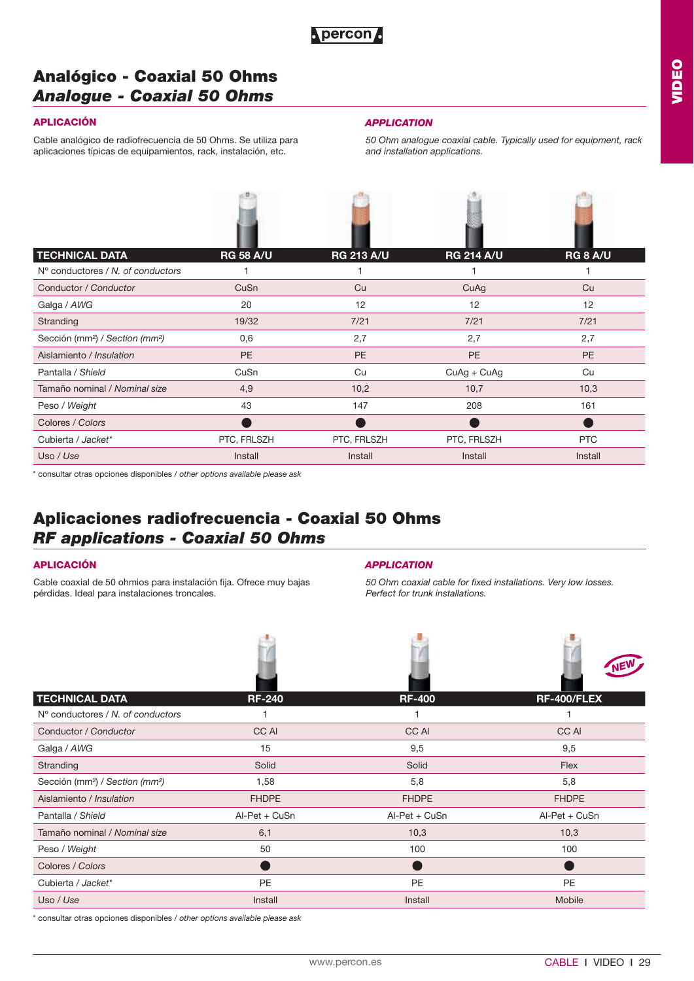

## **Analógico - Coaxial 50 Ohms**  *Analogue - Coaxial 50 Ohms*

## **APLICACIÓN**

Cable analógico de radiofrecuencia de 50 Ohms. Se utiliza para aplicaciones típicas de equipamientos, rack, instalación, etc.

### *APPLICATION*

*50 Ohm analogue coaxial cable. Typically used for equipment, rack and installation applications.*

| <b>TECHNICAL DATA</b>                                   | <b>RG 58 A/U</b> | <b>RG 213 A/U</b> | <b>RG 214 A/U</b> | <b>RG 8 A/U</b> |
|---------------------------------------------------------|------------------|-------------------|-------------------|-----------------|
| $No$ conductores / N, of conductors                     |                  |                   |                   |                 |
| Conductor / Conductor                                   | CuSn             | Cu                | CuAg              | Cu              |
| Galga / AWG                                             | 20               | 12                | 12                | 12              |
| Stranding                                               | 19/32            | 7/21              | 7/21              | 7/21            |
| Sección (mm <sup>2</sup> ) / Section (mm <sup>2</sup> ) | 0,6              | 2,7               | 2,7               | 2,7             |
| Aislamiento / Insulation                                | <b>PE</b>        | <b>PE</b>         | PE                | PE              |
| Pantalla / Shield                                       | CuSn             | Cu                | $CuAg + CuAg$     | Cu              |
| Tamaño nominal / Nominal size                           | 4,9              | 10,2              | 10,7              | 10,3            |
| Peso / Weight                                           | 43               | 147               | 208               | 161             |
| Colores / Colors                                        |                  |                   |                   |                 |
| Cubierta / Jacket*                                      | PTC, FRLSZH      | PTC, FRLSZH       | PTC, FRLSZH       | <b>PTC</b>      |
| Uso / Use                                               | Install          | Install           | Install           | Install         |

\* consultar otras opciones disponibles / *other options available please ask*

## **Aplicaciones radiofrecuencia - Coaxial 50 Ohms**  *RF applications - Coaxial 50 Ohms*

### **APLICACIÓN**

Cable coaxial de 50 ohmios para instalación fija. Ofrece muy bajas pérdidas. Ideal para instalaciones troncales.

### *APPLICATION*

*50 Ohm coaxial cable for fixed installations. Very low losses. Perfect for trunk installations.*

| <b>TECHNICAL DATA</b>                                   | <b>RF-240</b>   | <b>RF-400</b> | <b>RF-400/FLEX</b> |
|---------------------------------------------------------|-----------------|---------------|--------------------|
| N° conductores / N, of conductors                       |                 |               |                    |
| Conductor / Conductor                                   | CC AI           | CC AI         | CC AI              |
| Galga / AWG                                             | 15              | 9,5           | 9,5                |
| Stranding                                               | Solid           | Solid         | Flex               |
| Sección (mm <sup>2</sup> ) / Section (mm <sup>2</sup> ) | 1,58            | 5,8           | 5,8                |
| Aislamiento / Insulation                                | <b>FHDPE</b>    | <b>FHDPE</b>  | <b>FHDPE</b>       |
| Pantalla / Shield                                       | $AI-Pet + CuSn$ | Al-Pet + CuSn | Al-Pet + CuSn      |
| Tamaño nominal / Nominal size                           | 6,1             | 10,3          | 10,3               |
| Peso / Weight                                           | 50              | 100           | 100                |
| Colores / Colors                                        |                 |               |                    |
| Cubierta / Jacket*                                      | <b>PE</b>       | <b>PE</b>     | <b>PE</b>          |
| Uso / Use                                               | Install         | Install       | Mobile             |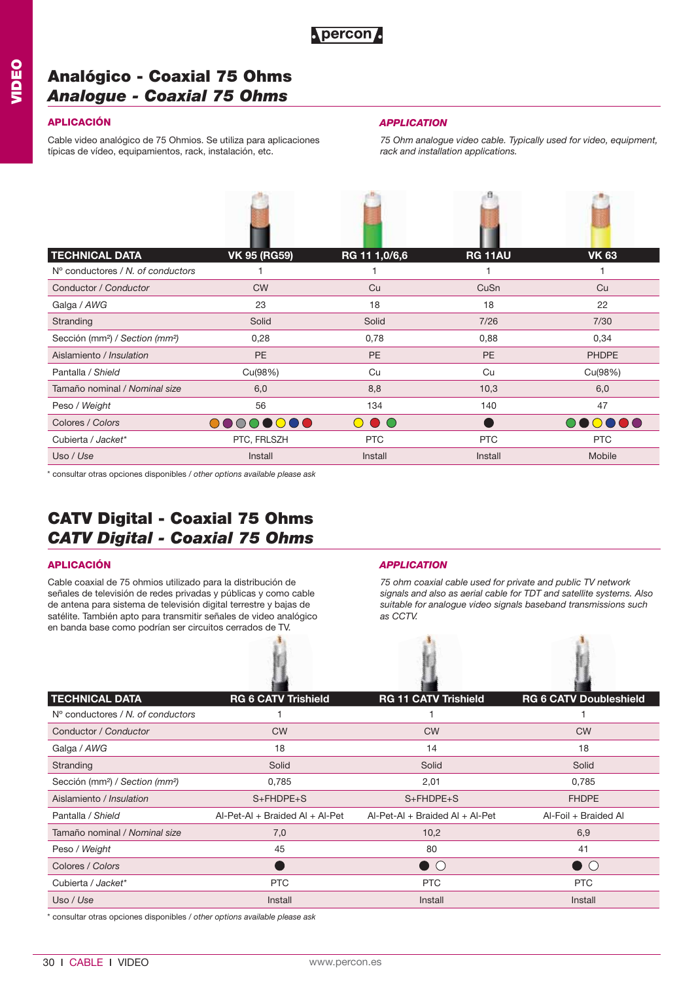## **Analógico - Coaxial 75 Ohms**  *Analogue - Coaxial 75 Ohms*

Cable video analógico de 75 Ohmios. Se utiliza para aplicaciones típicas de vídeo, equipamientos, rack, instalación, etc.

西

## **APLICACIÓN** *APPLICATION*

*75 Ohm analogue video cable. Typically used for video, equipment, rack and installation applications.*

 $\mathbb{R}^n$ 

| <b>TECHNICAL DATA</b>                                   | <b>VK 95 (RG59)</b> | RG 11 1,0/6,6                    | <b>RG 11AU</b> | <b>VK 63</b> |
|---------------------------------------------------------|---------------------|----------------------------------|----------------|--------------|
| N° conductores / N, of conductors                       |                     |                                  |                |              |
| Conductor / Conductor                                   | <b>CW</b>           | Cu                               | CuSn           | Cu           |
| Galga / AWG                                             | 23                  | 18                               | 18             | 22           |
| Stranding                                               | Solid               | Solid                            | 7/26           | 7/30         |
| Sección (mm <sup>2</sup> ) / Section (mm <sup>2</sup> ) | 0,28                | 0,78                             | 0,88           | 0,34         |
| Aislamiento / Insulation                                | <b>PE</b>           | PE                               | <b>PE</b>      | <b>PHDPE</b> |
| Pantalla / Shield                                       | Cu(98%)             | Cu                               | Cu             | Cu(98%)      |
| Tamaño nominal / Nominal size                           | 6,0                 | 8,8                              | 10,3           | 6,0          |
| Peso / Weight                                           | 56                  | 134                              | 140            | 47           |
| Colores / Colors                                        | 00000000            | $\bigcirc$ $\bigcirc$ $\bigcirc$ |                | 000000       |
| Cubierta / Jacket*                                      | PTC, FRLSZH         | <b>PTC</b>                       | <b>PTC</b>     | <b>PTC</b>   |
| Uso / Use                                               | Install             | Install                          | Install        | Mobile       |

A

\* consultar otras opciones disponibles / *other options available please ask*

## **CATV Digital - Coaxial 75 Ohms**  *CATV Digital - Coaxial 75 Ohms*

Cable coaxial de 75 ohmios utilizado para la distribución de señales de televisión de redes privadas y públicas y como cable de antena para sistema de televisión digital terrestre y bajas de satélite. También apto para transmitir señales de video analógico en banda base como podrían ser circuitos cerrados de TV.

### **APLICACIÓN** *APPLICATION*

*75 ohm coaxial cable used for private and public TV network signals and also as aerial cable for TDT and satellite systems. Also suitable for analogue video signals baseband transmissions such as CCTV.*

| <b>TECHNICAL DATA</b>                                   | <b>RG 6 CATV Trishield</b>        | <b>RG 11 CATV Trishield</b>       | <b>RG 6 CATV Doubleshield</b> |
|---------------------------------------------------------|-----------------------------------|-----------------------------------|-------------------------------|
| N° conductores / N, of conductors                       |                                   |                                   |                               |
| Conductor / Conductor                                   | <b>CW</b>                         | <b>CW</b>                         | <b>CW</b>                     |
| Galga / AWG                                             | 18                                | 14                                | 18                            |
| Stranding                                               | Solid                             | Solid                             | Solid                         |
| Sección (mm <sup>2</sup> ) / Section (mm <sup>2</sup> ) | 0,785                             | 2,01                              | 0,785                         |
| Aislamiento / Insulation                                | $S + FHDPE + S$                   | $S + F + DPE + S$                 | <b>FHDPE</b>                  |
| Pantalla / Shield                                       | $AI-Pet-AI + Braided AI + AI-Pet$ | $AI-Pet-Al + Braided Al + Al-Pet$ | Al-Foil + Braided Al          |
| Tamaño nominal / Nominal size                           | 7,0                               | 10,2                              | 6,9                           |
| Peso / Weight                                           | 45                                | 80                                | 41                            |
| Colores / Colors                                        |                                   | $\bullet$ $\circ$                 | $\Box$ ( )                    |
| Cubierta / Jacket*                                      | <b>PTC</b>                        | <b>PTC</b>                        | PTC                           |
| Uso / Use                                               | Install                           | Install                           | Install                       |
|                                                         |                                   |                                   |                               |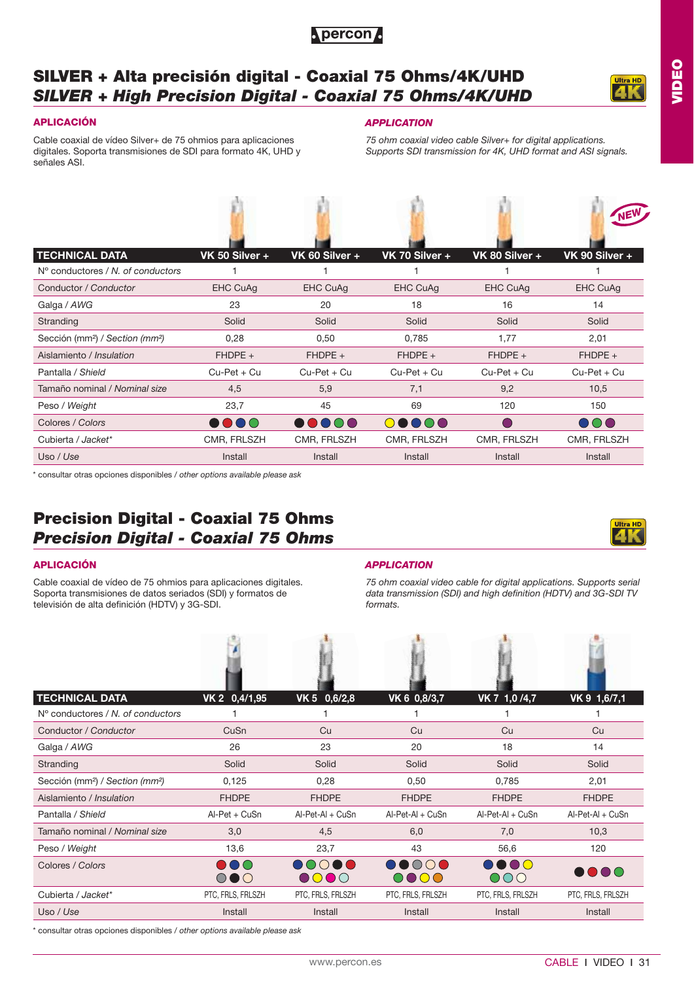

## **SILVER + Alta precisión digital - Coaxial 75 Ohms/4K/UHD** *SILVER + High Precision Digital - Coaxial 75 Ohms/4K/UHD*

and the state of the state of the



**VIDEO**

Cable coaxial de vídeo Silver+ de 75 ohmios para aplicaciones digitales. Soporta transmisiones de SDI para formato 4K, UHD y señales ASI.

### **APLICACIÓN** *APPLICATION*

 $\mathbb{R}^n$ 

*75 ohm coaxial video cable Silver+ for digital applications. Supports SDI transmission for 4K, UHD format and ASI signals.*

after .

| <b>TECHNICAL DATA</b>                                   | VK 50 Silver +  | VK 60 Silver +                            | VK 70 Silver +  | VK 80 Silver +  | VK 90 Silver +                                         |
|---------------------------------------------------------|-----------------|-------------------------------------------|-----------------|-----------------|--------------------------------------------------------|
| $No$ conductores / N, of conductors                     |                 |                                           |                 |                 |                                                        |
| Conductor / Conductor                                   | <b>EHC CuAg</b> | <b>EHC CuAg</b>                           | <b>EHC CuAg</b> | <b>EHC CuAg</b> | <b>EHC CuAg</b>                                        |
| Galga / AWG                                             | 23              | 20                                        | 18              | 16              | 14                                                     |
| Stranding                                               | Solid           | Solid                                     | Solid           | Solid           | Solid                                                  |
| Sección (mm <sup>2</sup> ) / Section (mm <sup>2</sup> ) | 0,28            | 0,50                                      | 0,785           | 1,77            | 2,01                                                   |
| Aislamiento / Insulation                                | $FHDPE +$       | $FHDPE +$                                 | $FHDPE +$       | $FHDPE +$       | $FHDPE +$                                              |
| Pantalla / Shield                                       | $Cu-Pet + Cu$   | $Cu-Pet + Cu$                             | $Cu-Pet + Cu$   | $Cu-Pet + Cu$   | $Cu-Pet + Cu$                                          |
| Tamaño nominal / Nominal size                           | 4,5             | 5,9                                       | 7,1             | 9,2             | 10,5                                                   |
| Peso / Weight                                           | 23,7            | 45                                        | 69              | 120             | 150                                                    |
| Colores / Colors                                        | 0000            | $\bullet \bullet \bullet \bullet \bullet$ | 00000           |                 | $\overline{\mathbf{O}}\overline{\mathbf{O}}\mathbf{O}$ |
| Cubierta / Jacket*                                      | CMR, FRLSZH     | CMR, FRLSZH                               | CMR, FRLSZH     | CMR, FRLSZH     | CMR, FRLSZH                                            |
| Uso / Use                                               | Install         | Install                                   | Install         | Install         | Install                                                |

\* consultar otras opciones disponibles / *other options available please ask*

## **Precision Digital - Coaxial 75 Ohms** *Precision Digital - Coaxial 75 Ohms*

Cable coaxial de vídeo de 75 ohmios para aplicaciones digitales. Soporta transmisiones de datos seriados (SDI) y formatos de televisión de alta definición (HDTV) y 3G-SDI.

#### **APLICACIÓN** *APPLICATION*

高 出 出 出 出

*75 ohm coaxial video cable for digital applications. Supports serial data transmission (SDI) and high definition (HDTV) and 3G-SDI TV formats.*

| <b>TECHNICAL DATA</b>                                   | VK 2 0,4/1,95                | VK 5 0,6/2,8                                                | VK 6 0,8/3,7                        | VK 7 1,0/4,7                     | VK 9 1,6/7,1                 |
|---------------------------------------------------------|------------------------------|-------------------------------------------------------------|-------------------------------------|----------------------------------|------------------------------|
| $No$ conductores / N, of conductors                     |                              |                                                             |                                     |                                  |                              |
| Conductor / Conductor                                   | CuSn                         | Cu                                                          | Cu                                  | Cu                               | Cu                           |
| Galga / AWG                                             | 26                           | 23                                                          | 20                                  | 18                               | 14                           |
| Stranding                                               | Solid                        | Solid                                                       | Solid                               | Solid                            | Solid                        |
| Sección (mm <sup>2</sup> ) / Section (mm <sup>2</sup> ) | 0,125                        | 0,28                                                        | 0,50                                | 0,785                            | 2,01                         |
| Aislamiento / Insulation                                | <b>FHDPE</b>                 | <b>FHDPE</b>                                                | <b>FHDPE</b>                        | <b>FHDPE</b>                     | <b>FHDPE</b>                 |
| Pantalla / Shield                                       | Al-Pet + CuSn                | Al-Pet-Al + CuSn                                            | $AI-Pet-AI + CuSn$                  | Al-Pet-Al + CuSn                 | Al-Pet-Al + CuSn             |
| Tamaño nominal / Nominal size                           | 3,0                          | 4,5                                                         | 6,0                                 | 7,0                              | 10,3                         |
| Peso / Weight                                           | 13,6                         | 23,7                                                        | 43                                  | 56,6                             | 120                          |
| Colores / Colors                                        | D O C<br>$\circ\bullet\circ$ | $\bigcirc$<br>$\blacksquare$<br>$\bullet$ $\bullet$ $\circ$ | $\bigcap$<br>$\blacksquare$<br>0000 | DO O O<br>$\overline{\text{OO}}$ | $\bullet\bullet\bullet\circ$ |
| Cubierta / Jacket*                                      | PTC, FRLS, FRLSZH            | PTC, FRLS, FRLSZH                                           | PTC, FRLS, FRLSZH                   | PTC, FRLS, FRLSZH                | PTC, FRLS, FRLSZH            |
| Uso / Use                                               | Install                      | Install                                                     | Install                             | Install                          | Install                      |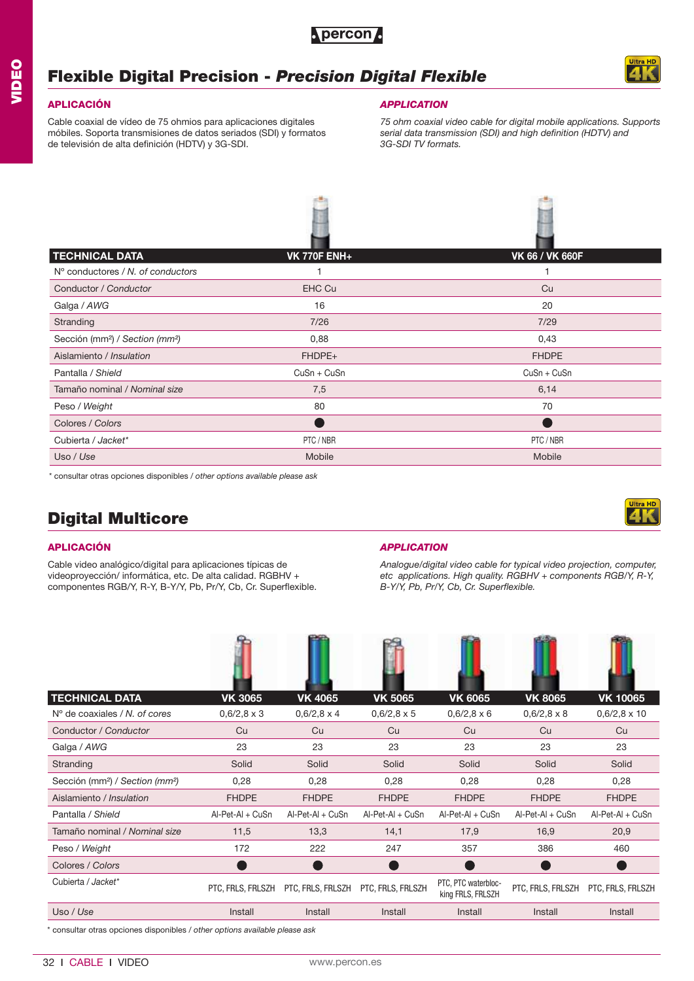## **Flexible Digital Precision -** *Precision Digital Flexible*

### **APLICACIÓN**

Cable coaxial de vídeo de 75 ohmios para aplicaciones digitales móbiles. Soporta transmisiones de datos seriados (SDI) y formatos de televisión de alta definición (HDTV) y 3G-SDI.

### *APPLICATION*

*75 ohm coaxial video cable for digital mobile applications. Supports serial data transmission (SDI) and high definition (HDTV) and 3G-SDI TV formats.*

| <b>TECHNICAL DATA</b>                                   | <b>VK 770F ENH+</b> | <b>VK 66 / VK 660F</b> |
|---------------------------------------------------------|---------------------|------------------------|
| $No$ conductores / N, of conductors                     |                     |                        |
| Conductor / Conductor                                   | <b>EHC Cu</b>       | Cu                     |
| Galga / AWG                                             | 16                  | 20                     |
| Stranding                                               | 7/26                | 7/29                   |
| Sección (mm <sup>2</sup> ) / Section (mm <sup>2</sup> ) | 0,88                | 0,43                   |
| Aislamiento / Insulation                                | FHDPE+              | <b>FHDPE</b>           |
| Pantalla / Shield                                       | CuSn + CuSn         | CuSn + CuSn            |
| Tamaño nominal / Nominal size                           | 7,5                 | 6,14                   |
| Peso / Weight                                           | 80                  | 70                     |
| Colores / Colors                                        |                     |                        |
| Cubierta / Jacket*                                      | PTC / NBR           | PTC / NBR              |
| Uso / Use                                               | Mobile              | Mobile                 |

\* consultar otras opciones disponibles / *other options available please ask*

## **Digital Multicore**

### **APLICACIÓN**

Cable video analógico/digital para aplicaciones típicas de videoproyección/ informática, etc. De alta calidad. RGBHV + componentes RGB/Y, R-Y, B-Y/Y, Pb, Pr/Y, Cb, Cr. Superflexible.

### *APPLICATION*

*Analogue/digital video cable for typical video projection, computer, etc applications. High quality. RGBHV + components RGB/Y, R-Y, B-Y/Y, Pb, Pr/Y, Cb, Cr. Superflexible.*

| <b>TECHNICAL DATA</b>                                   | <b>VK 3065</b>     | <b>VK 4065</b>     | <b>VK 5065</b>     | <b>VK 6065</b>                           | <b>VK 8065</b>     | <b>VK 10065</b>     |
|---------------------------------------------------------|--------------------|--------------------|--------------------|------------------------------------------|--------------------|---------------------|
| $No$ de coaxiales / N, of cores                         | $0,6/2,8 \times 3$ | $0,6/2,8 \times 4$ | $0,6/2,8 \times 5$ | $0,6/2,8 \times 6$                       | $0,6/2,8 \times 8$ | $0,6/2,8 \times 10$ |
| Conductor / Conductor                                   | Cu                 | Cu                 | Cu                 | Cu                                       | Cu                 | Cu                  |
| Galga / AWG                                             | 23                 | 23                 | 23                 | 23                                       | 23                 | 23                  |
| Stranding                                               | Solid              | Solid              | Solid              | Solid                                    | Solid              | Solid               |
| Sección (mm <sup>2</sup> ) / Section (mm <sup>2</sup> ) | 0,28               | 0,28               | 0,28               | 0,28                                     | 0,28               | 0,28                |
| Aislamiento / Insulation                                | <b>FHDPE</b>       | <b>FHDPE</b>       | <b>FHDPE</b>       | <b>FHDPE</b>                             | <b>FHDPE</b>       | <b>FHDPE</b>        |
| Pantalla / Shield                                       | $AI-Pet-AI + CuSn$ | Al-Pet-Al + CuSn   | Al-Pet-Al + CuSn   | Al-Pet-Al + CuSn                         | Al-Pet-Al + CuSn   | Al-Pet-Al + CuSn    |
| Tamaño nominal / Nominal size                           | 11,5               | 13,3               | 14,1               | 17,9                                     | 16,9               | 20,9                |
| Peso / Weight                                           | 172                | 222                | 247                | 357                                      | 386                | 460                 |
| Colores / Colors                                        |                    |                    |                    |                                          |                    |                     |
| Cubierta / Jacket*                                      | PTC, FRLS, FRLSZH  | PTC, FRLS, FRLSZH  | PTC, FRLS, FRLSZH  | PTC, PTC waterbloc-<br>king FRLS, FRLSZH | PTC, FRLS, FRLSZH  | PTC, FRLS, FRLSZH   |
| Uso / Use                                               | Install            | Install            | Install            | Install                                  | Install            | Install             |



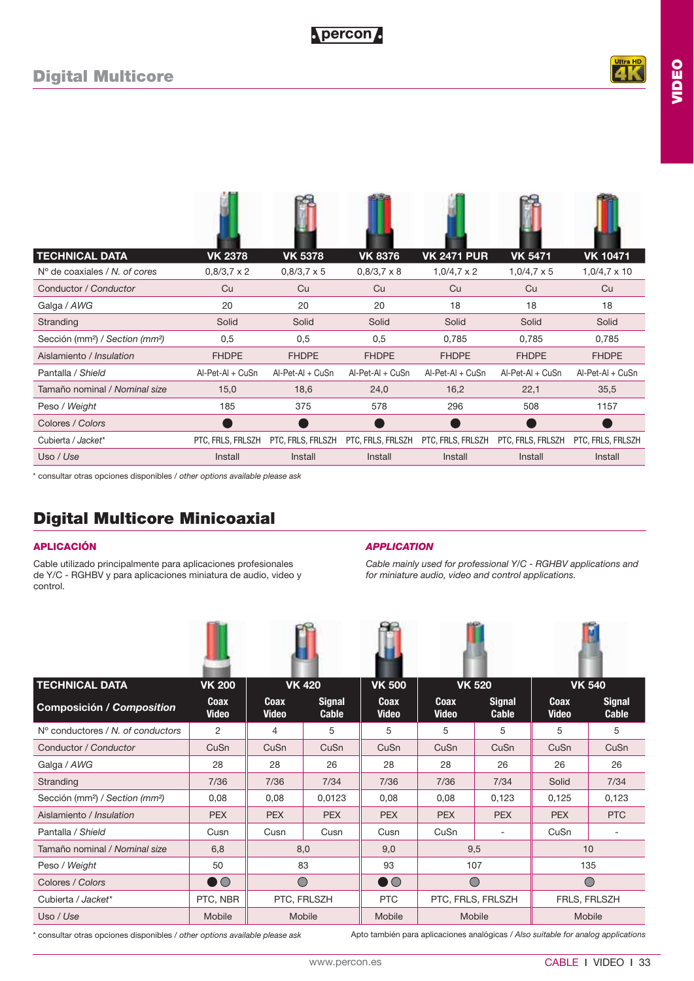**VIDEO**

| <b>TECHNICAL DATA</b>                                   | <b>VK 2378</b>     | <b>VK 5378</b>     | <b>VK 8376</b>     | <b>VK 2471 PUR</b> | <b>VK 5471</b>     | <b>VK 10471</b>     |
|---------------------------------------------------------|--------------------|--------------------|--------------------|--------------------|--------------------|---------------------|
| $No$ de coaxiales / N. of cores                         | $0,8/3,7 \times 2$ | $0.8/3.7 \times 5$ | $0,8/3,7 \times 8$ | $1,0/4,7 \times 2$ | $1,0/4,7 \times 5$ | $1,0/4,7 \times 10$ |
| Conductor / Conductor                                   | Cu                 | Cu                 | Cu                 | Cu                 | Cu                 | Cu                  |
| Galga / AWG                                             | 20                 | 20                 | 20                 | 18                 | 18                 | 18                  |
| Stranding                                               | Solid              | Solid              | Solid              | Solid              | Solid              | Solid               |
| Sección (mm <sup>2</sup> ) / Section (mm <sup>2</sup> ) | 0,5                | 0,5                | 0,5                | 0,785              | 0,785              | 0,785               |
| Aislamiento / Insulation                                | <b>FHDPE</b>       | <b>FHDPE</b>       | <b>FHDPE</b>       | <b>FHDPE</b>       | <b>FHDPE</b>       | <b>FHDPE</b>        |
| Pantalla / Shield                                       | $AI-Pet-AI + CuSn$ | Al-Pet-Al + CuSn   | $AI-Pet-AI + CuSn$ | Al-Pet-Al + CuSn   | Al-Pet-Al + CuSn   | Al-Pet-Al + CuSn    |
| Tamaño nominal / Nominal size                           | 15,0               | 18,6               | 24,0               | 16,2               | 22,1               | 35,5                |
| Peso / Weight                                           | 185                | 375                | 578                | 296                | 508                | 1157                |
| Colores / Colors                                        |                    |                    |                    |                    |                    |                     |
| Cubierta / Jacket*                                      | PTC, FRLS, FRLSZH  | PTC, FRLS, FRLSZH  | PTC, FRLS, FRLSZH  | PTC, FRLS, FRLSZH  | PTC, FRLS, FRLSZH  | PTC, FRLS, FRLSZH   |
| Uso / Use                                               | Install            | Install            | Install            | Install            | Install            | Install             |

\* consultar otras opciones disponibles / *other options available please ask*

## **Digital Multicore Minicoaxial**

Cable utilizado principalmente para aplicaciones profesionales de Y/C - RGHBV y para aplicaciones miniatura de audio, video y control.

### **APLICACIÓN** *APPLICATION*

*Cable mainly used for professional Y/C - RGHBV applications and for miniature audio, video and control applications.*

| <b>TECHNICAL DATA</b>                                   | <b>VK 200</b>        |                      | <b>VK 420</b>          | <b>VK 500</b>        |                      | <b>VK 520</b>          |                      | <b>VK 540</b>                 |  |
|---------------------------------------------------------|----------------------|----------------------|------------------------|----------------------|----------------------|------------------------|----------------------|-------------------------------|--|
| <b>Composición / Composition</b>                        | Coax<br><b>Video</b> | Coax<br><b>Video</b> | <b>Signal</b><br>Cable | Coax<br><b>Video</b> | Coax<br><b>Video</b> | <b>Signal</b><br>Cable | Coax<br><b>Video</b> | <b>Signal</b><br><b>Cable</b> |  |
| N° conductores / N, of conductors                       | 2                    | 4                    | 5                      | 5                    | 5                    | 5                      | 5                    | 5                             |  |
| Conductor / Conductor                                   | CuSn                 | CuSn                 | CuSn                   | CuSn                 | CuSn                 | CuSn                   | CuSn                 | CuSn                          |  |
| Galga / AWG                                             | 28                   | 28                   | 26                     | 28                   | 28                   | 26                     | 26                   | 26                            |  |
| Stranding                                               | 7/36                 | 7/36                 | 7/34                   | 7/36                 | 7/36                 | 7/34                   | Solid                | 7/34                          |  |
| Sección (mm <sup>2</sup> ) / Section (mm <sup>2</sup> ) | 0,08                 | 0,08                 | 0,0123                 | 0,08                 | 0,08                 | 0,123                  | 0,125                | 0,123                         |  |
| Aislamiento / Insulation                                | <b>PEX</b>           | <b>PEX</b>           | <b>PEX</b>             | <b>PEX</b>           | <b>PEX</b>           | <b>PEX</b>             | <b>PEX</b>           | <b>PTC</b>                    |  |
| Pantalla / Shield                                       | Cusn                 | Cusn                 | Cusn                   | Cusn                 | CuSn                 |                        | CuSn                 | $\overline{\phantom{a}}$      |  |
| Tamaño nominal / Nominal size                           | 6,8                  |                      | 8,0                    | 9,0                  |                      | 9,5                    |                      | 10                            |  |
| Peso / Weight                                           | 50                   |                      | 83                     | 93                   |                      | 107                    |                      | 135                           |  |
| Colores / Colors                                        | $\bullet\,\circ$     | $\bigcirc$           |                        | $\bullet\,\circ$     | $\bigcirc$           |                        |                      | $\bigcirc$                    |  |
| Cubierta / Jacket*                                      | PTC, NBR             |                      | PTC, FRLSZH            | <b>PTC</b>           |                      | PTC, FRLS, FRLSZH      | FRLS, FRLSZH         |                               |  |
| Uso / Use                                               | Mobile               |                      | Mobile                 | Mobile               |                      | Mobile                 | Mobile               |                               |  |

\* consultar otras opciones disponibles / *other options available please ask*

Apto también para aplicaciones analógicas / *Also suitable for analog applications*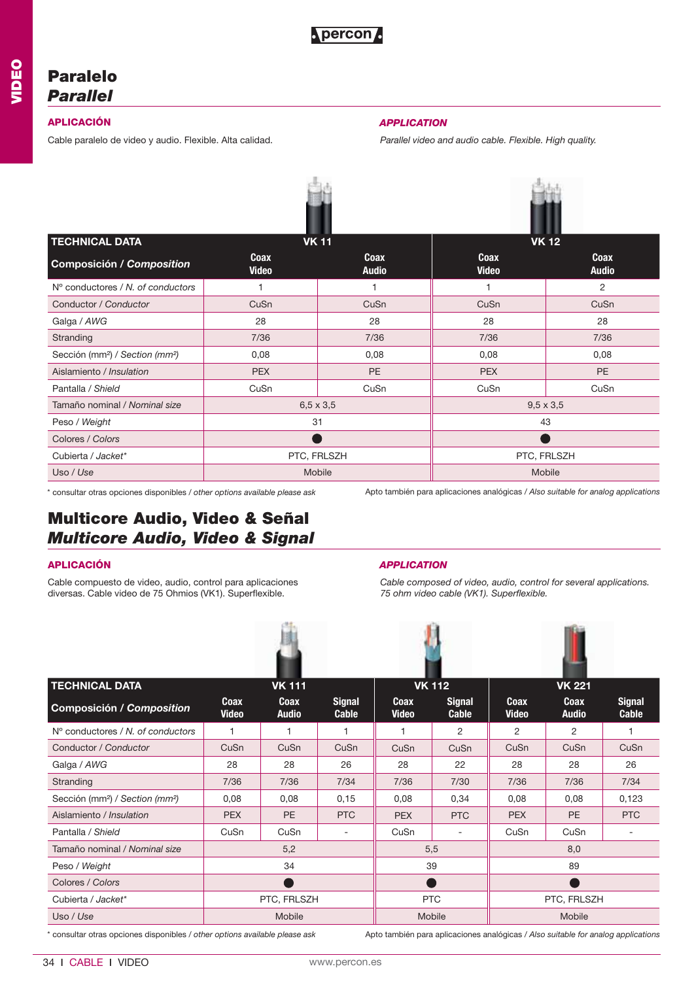## **Paralelo** *Parallel*

Cable paralelo de video y audio. Flexible. Alta calidad. *Parallel video and audio cable. Flexible. High quality.* 

## **APLICACIÓN** *APPLICATION*

| <b>TECHNICAL DATA</b>                                   |                      | <b>VK11</b>          | <b>VK 12</b>         |                      |  |  |
|---------------------------------------------------------|----------------------|----------------------|----------------------|----------------------|--|--|
| Composición / Composition                               | Coax<br><b>Video</b> | Coax<br><b>Audio</b> | Coax<br><b>Video</b> | Coax<br><b>Audio</b> |  |  |
| $No$ conductores / N, of conductors                     |                      | 1                    |                      | 2                    |  |  |
| Conductor / Conductor                                   | CuSn                 | CuSn                 | CuSn                 | CuSn                 |  |  |
| Galga / AWG                                             | 28<br>28             |                      | 28                   | 28                   |  |  |
| Stranding                                               | 7/36                 | 7/36                 | 7/36                 | 7/36                 |  |  |
| Sección (mm <sup>2</sup> ) / Section (mm <sup>2</sup> ) | 0,08                 | 0,08                 | 0,08                 | 0,08                 |  |  |
| Aislamiento / Insulation                                | <b>PEX</b>           | <b>PE</b>            | <b>PEX</b>           | PE                   |  |  |
| Pantalla / Shield                                       | CuSn                 | CuSn                 | CuSn                 | CuSn                 |  |  |
| Tamaño nominal / Nominal size                           | $6,5 \times 3,5$     |                      | $9,5 \times 3,5$     |                      |  |  |
| Peso / Weight                                           | 31                   |                      | 43                   |                      |  |  |
| Colores / Colors                                        |                      |                      |                      |                      |  |  |
| Cubierta / Jacket*                                      |                      | PTC, FRLSZH          | PTC, FRLSZH          |                      |  |  |
| Uso / Use                                               |                      | Mobile               |                      | Mobile               |  |  |

\* consultar otras opciones disponibles / *other options available please ask*

Apto también para aplicaciones analógicas / *Also suitable for analog applications*

## **Multicore Audio, Video & Señal** *Multicore Audio, Video & Signal*

Cable compuesto de video, audio, control para aplicaciones diversas. Cable video de 75 Ohmios (VK1). Superflexible.

### **APLICACIÓN** *APPLICATION*

*Cable composed of video, audio, control for several applications. 75 ohm video cable (VK1). Superflexible.*

| <b>TECHNICAL DATA</b>                                   |                      | <b>VK 111</b>        |                               |                             | <b>VK 112</b>                 |                      | <b>VK 221</b>               |                               |  |
|---------------------------------------------------------|----------------------|----------------------|-------------------------------|-----------------------------|-------------------------------|----------------------|-----------------------------|-------------------------------|--|
| Composición / Composition                               | Coax<br><b>Video</b> | Coax<br><b>Audio</b> | <b>Signal</b><br><b>Cable</b> | <b>Coax</b><br><b>Video</b> | <b>Signal</b><br><b>Cable</b> | Coax<br><b>Video</b> | <b>Coax</b><br><b>Audio</b> | <b>Signal</b><br><b>Cable</b> |  |
| $No$ conductores / N, of conductors                     | $\mathbf{1}$         | 1                    | 1                             | $\mathbf{1}$                | 2                             | 2                    | $\overline{2}$              |                               |  |
| Conductor / Conductor                                   | CuSn                 | CuSn                 | CuSn                          | CuSn                        | CuSn                          | CuSn                 | CuSn                        | CuSn                          |  |
| Galga / AWG                                             | 28                   | 28                   | 26                            | 28                          | 22                            | 28                   | 28                          | 26                            |  |
| Stranding                                               | 7/36                 | 7/36                 | 7/34                          | 7/36                        | 7/30                          | 7/36                 | 7/36                        | 7/34                          |  |
| Sección (mm <sup>2</sup> ) / Section (mm <sup>2</sup> ) | 0,08                 | 0,08                 | 0,15                          | 0,08                        | 0,34                          | 0,08                 | 0,08                        | 0,123                         |  |
| Aislamiento / Insulation                                | <b>PEX</b>           | <b>PE</b>            | <b>PTC</b>                    | <b>PEX</b>                  | <b>PTC</b>                    | <b>PEX</b>           | <b>PE</b>                   | <b>PTC</b>                    |  |
| Pantalla / Shield                                       | CuSn                 | CuSn                 |                               | CuSn                        | $\overline{\phantom{a}}$      | CuSn                 | CuSn                        | $\overline{\phantom{a}}$      |  |
| Tamaño nominal / Nominal size                           |                      | 5,2                  |                               |                             | 5,5                           |                      | 8,0                         |                               |  |
| Peso / Weight                                           |                      | 34                   |                               |                             | 39                            |                      | 89                          |                               |  |
| Colores / Colors                                        |                      |                      |                               |                             |                               |                      |                             |                               |  |
| Cubierta / Jacket*                                      |                      | PTC, FRLSZH          |                               |                             | <b>PTC</b>                    | PTC, FRLSZH          |                             |                               |  |
| Uso / Use                                               |                      | Mobile               |                               |                             | Mobile                        |                      | Mobile                      |                               |  |

\* consultar otras opciones disponibles / *other options available please ask*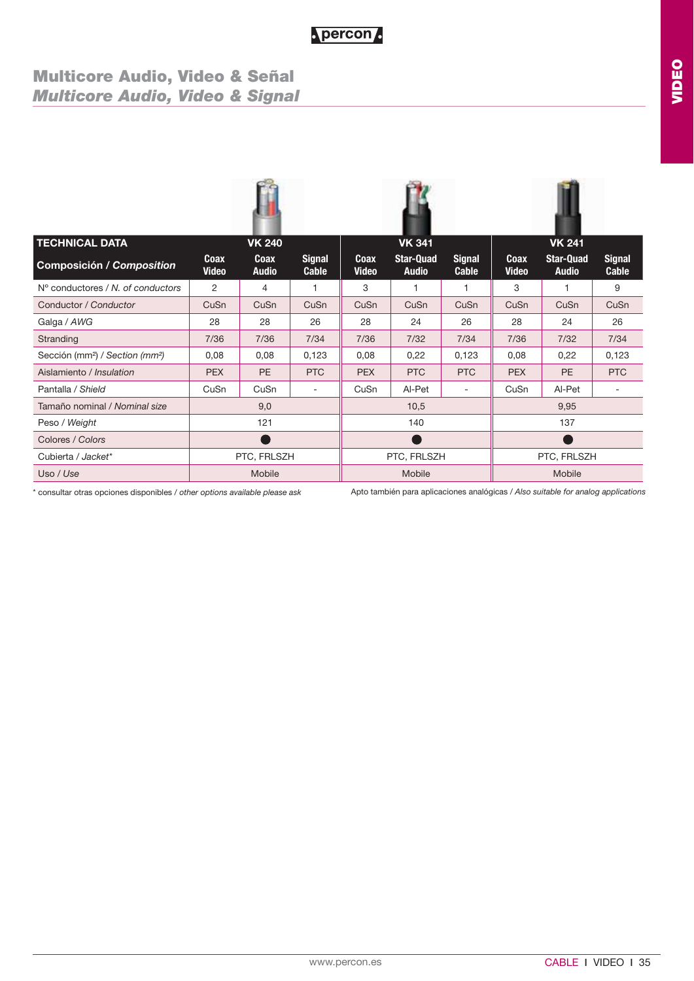## **Multicore Audio, Video & Señal** *Multicore Audio, Video & Signal*

| <b>TECHNICAL DATA</b>                                   |                      | <b>VK 240</b>        |                          |                      | <b>VK 341</b>                    |                        |                      | <b>VK 241</b>                    |                               |  |
|---------------------------------------------------------|----------------------|----------------------|--------------------------|----------------------|----------------------------------|------------------------|----------------------|----------------------------------|-------------------------------|--|
| <b>Composición / Composition</b>                        | Coax<br><b>Video</b> | Coax<br><b>Audio</b> | <b>Signal</b><br>Cable   | Coax<br><b>Video</b> | <b>Star-Quad</b><br><b>Audio</b> | <b>Signal</b><br>Cable | Coax<br><b>Video</b> | <b>Star-Quad</b><br><b>Audio</b> | <b>Signal</b><br><b>Cable</b> |  |
| $N^{\circ}$ conductores / N, of conductors              | 2                    | 4                    | 1                        | 3                    |                                  |                        | 3                    | 1                                | 9                             |  |
| Conductor / Conductor                                   | CuSn                 | CuSn                 | CuSn                     | CuSn                 | CuSn                             | CuSn                   | CuSn                 | CuSn                             | CuSn                          |  |
| Galga / AWG                                             | 28                   | 28                   | 26                       | 28                   | 24                               | 26                     | 28                   | 24                               | 26                            |  |
| Stranding                                               | 7/36                 | 7/36                 | 7/34                     | 7/36                 | 7/32                             | 7/34                   | 7/36                 | 7/32                             | 7/34                          |  |
| Sección (mm <sup>2</sup> ) / Section (mm <sup>2</sup> ) | 0,08                 | 0,08                 | 0,123                    | 0,08                 | 0,22                             | 0,123                  | 0,08                 | 0,22                             | 0,123                         |  |
| Aislamiento / Insulation                                | <b>PEX</b>           | <b>PE</b>            | <b>PTC</b>               | <b>PEX</b>           | <b>PTC</b>                       | <b>PTC</b>             | <b>PEX</b>           | <b>PE</b>                        | <b>PTC</b>                    |  |
| Pantalla / Shield                                       | CuSn                 | CuSn                 | $\overline{\phantom{a}}$ | CuSn                 | Al-Pet                           |                        | CuSn                 | Al-Pet                           | $\overline{\phantom{m}}$      |  |
| Tamaño nominal / Nominal size                           |                      | 9,0                  |                          |                      | 10,5                             |                        |                      | 9,95                             |                               |  |
| Peso / Weight                                           |                      | 121                  |                          |                      | 140                              |                        |                      | 137                              |                               |  |
| Colores / Colors                                        |                      |                      |                          |                      |                                  |                        |                      |                                  |                               |  |
| Cubierta / Jacket*                                      |                      | PTC, FRLSZH          |                          | PTC, FRLSZH          |                                  |                        | PTC, FRLSZH          |                                  |                               |  |
| Uso / Use                                               |                      | Mobile               |                          |                      | Mobile                           |                        |                      | Mobile                           |                               |  |

\* consultar otras opciones disponibles / *other options available please ask*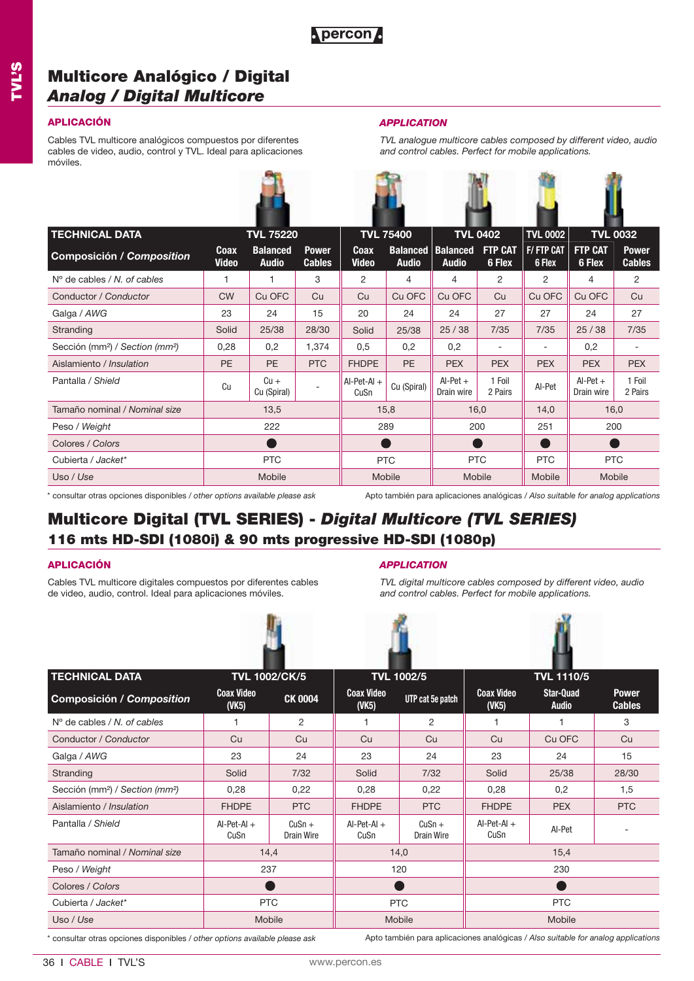## **Multicore Analógico / Digital** *Analog / Digital Multicore*

### **APLICACIÓN** *APPLICATION*

Cables TVL multicore analógicos compuestos por diferentes cables de video, audio, control y TVL. Ideal para aplicaciones móviles.



*TVL analogue multicore cables composed by different video, audio and control cables. Perfect for mobile applications.*

|                      |                                 |                               | <b>TVL 75400</b>      |                                 | <b>TVL 0402</b>                     |                          | <b>TVL 0002</b><br><b>TVL 0032</b>                   |                          |                                     |
|----------------------|---------------------------------|-------------------------------|-----------------------|---------------------------------|-------------------------------------|--------------------------|------------------------------------------------------|--------------------------|-------------------------------------|
| Coax<br><b>Video</b> | <b>Balanced</b><br><b>Audio</b> | <b>Power</b><br><b>Cables</b> | Coax<br><b>Video</b>  | <b>Balanced</b><br><b>Audio</b> | <b>Balanced</b><br><b>Audio</b>     | <b>FTP CAT</b><br>6 Flex | <b>F/FTP CAT</b><br>6 Flex                           | <b>FTP CAT</b><br>6 Flex | <b>Power</b><br><b>Cables</b>       |
|                      | 1                               | 3                             | 2                     | 4                               | 4                                   | 2                        | 2                                                    | 4                        | 2                                   |
| <b>CW</b>            | Cu OFC                          | Cu                            | Cu                    | Cu OFC                          | Cu OFC                              | Cu                       | Cu OFC                                               | Cu OFC                   | Cu                                  |
| 23                   | 24                              | 15                            | 20                    | 24                              | 24                                  | 27                       | 27                                                   | 24                       | 27                                  |
| Solid                | 25/38                           | 28/30                         | Solid                 | 25/38                           | 25/38                               | 7/35                     | 7/35                                                 | 25/38                    | 7/35                                |
| 0,28                 | 0,2                             | 1,374                         | 0,5                   | 0,2                             | 0,2                                 | ۰                        |                                                      | 0,2                      |                                     |
| PE                   | <b>PE</b>                       | <b>PTC</b>                    | <b>FHDPE</b>          | <b>PE</b>                       | <b>PEX</b>                          | <b>PEX</b>               | <b>PEX</b>                                           | <b>PEX</b>               | <b>PEX</b>                          |
| Cu                   | $Cu +$<br>Cu (Spiral)           |                               | $AI-Pet-AI +$<br>CuSn | Cu (Spiral)                     | $Al-Pet +$<br>Drain wire            | 1 Foil<br>2 Pairs        | AI-Pet                                               | $Al-Pet +$<br>Drain wire | 1 Foil<br>2 Pairs                   |
|                      | 13,5                            |                               |                       |                                 |                                     |                          | 14,0                                                 |                          |                                     |
|                      | 222                             |                               |                       |                                 |                                     |                          | 251                                                  |                          |                                     |
|                      |                                 |                               |                       |                                 |                                     |                          |                                                      |                          |                                     |
|                      | <b>PTC</b>                      |                               |                       |                                 |                                     |                          | <b>PTC</b>                                           |                          |                                     |
|                      | Mobile                          |                               |                       |                                 |                                     |                          | Mobile                                               |                          |                                     |
|                      |                                 |                               | <b>TVL 75220</b>      |                                 | 15,8<br>289<br><b>PTC</b><br>Mobile |                          | 16,0<br>200<br>Œ<br><b>PTC</b><br>Mobile<br>$\cdots$ |                          | 16,0<br>200<br><b>PTC</b><br>Mobile |

\* consultar otras opciones disponibles / *other options available please ask*

Apto también para aplicaciones analógicas / *Also suitable for analog applications*

## **Multicore Digital (TVL SERIES) -** *Digital Multicore (TVL SERIES)*  **116 mts HD-SDI (1080i) & 90 mts progressive HD-SDI (1080p)**

Cables TVL multicore digitales compuestos por diferentes cables de video, audio, control. Ideal para aplicaciones móviles.



### **APLICACIÓN** *APPLICATION*

*TVL digital multicore cables composed by different video, audio and control cables. Perfect for mobile applications.*





| <b>TECHNICAL DATA</b>                                   |                                  | <b>TVL 1002/CK/5</b>   |                            | <b>TVL 1002/5</b>      |                                  | <b>TVL 1110/5</b>                |                               |  |
|---------------------------------------------------------|----------------------------------|------------------------|----------------------------|------------------------|----------------------------------|----------------------------------|-------------------------------|--|
| <b>Composición / Composition</b>                        | <b>Coax Video</b><br>$($ VK5 $)$ | <b>CK 0004</b>         | <b>Coax Video</b><br>(VK5) | UTP cat 5e patch       | <b>Coax Video</b><br>$($ VK5 $)$ | <b>Star-Quad</b><br><b>Audio</b> | <b>Power</b><br><b>Cables</b> |  |
| $No$ de cables / N, of cables                           |                                  | 2                      |                            | 2                      |                                  |                                  | 3                             |  |
| Conductor / Conductor                                   | Cu                               | Cu                     | Cu                         | Cu                     | Cu                               | Cu OFC                           | Cu                            |  |
| Galga / AWG                                             | 23                               | 24                     | 23                         | 24                     | 23                               | 24                               | 15                            |  |
| Stranding                                               | Solid                            | 7/32                   | Solid                      | 7/32                   | Solid                            | 25/38                            | 28/30                         |  |
| Sección (mm <sup>2</sup> ) / Section (mm <sup>2</sup> ) | 0,28                             | 0,22                   | 0,28                       | 0,22                   | 0,28                             | 0,2                              | 1,5                           |  |
| Aislamiento / Insulation                                | <b>FHDPE</b>                     | <b>PTC</b>             | <b>FHDPE</b>               | <b>PTC</b>             | <b>FHDPE</b>                     | <b>PEX</b>                       | <b>PTC</b>                    |  |
| Pantalla / Shield                                       | $AI-Pet-AI +$<br>CuSn            | $CuSn +$<br>Drain Wire | $Al-Pet-Al +$<br>CuSn      | $CuSn +$<br>Drain Wire | $AI-Pet-AI +$<br>CuSn            | AI-Pet                           | ۰                             |  |
| Tamaño nominal / Nominal size                           |                                  | 14,4                   |                            | 14,0                   |                                  | 15,4                             |                               |  |
| Peso / Weight                                           | 237                              |                        |                            | 120                    |                                  | 230                              |                               |  |
| Colores / Colors                                        |                                  |                        |                            |                        |                                  |                                  |                               |  |
| Cubierta / Jacket*                                      |                                  | <b>PTC</b>             |                            | <b>PTC</b>             | <b>PTC</b>                       |                                  |                               |  |
| Uso / Use                                               | Mobile                           |                        |                            | Mobile                 | Mobile                           |                                  |                               |  |

\* consultar otras opciones disponibles / *other options available please ask*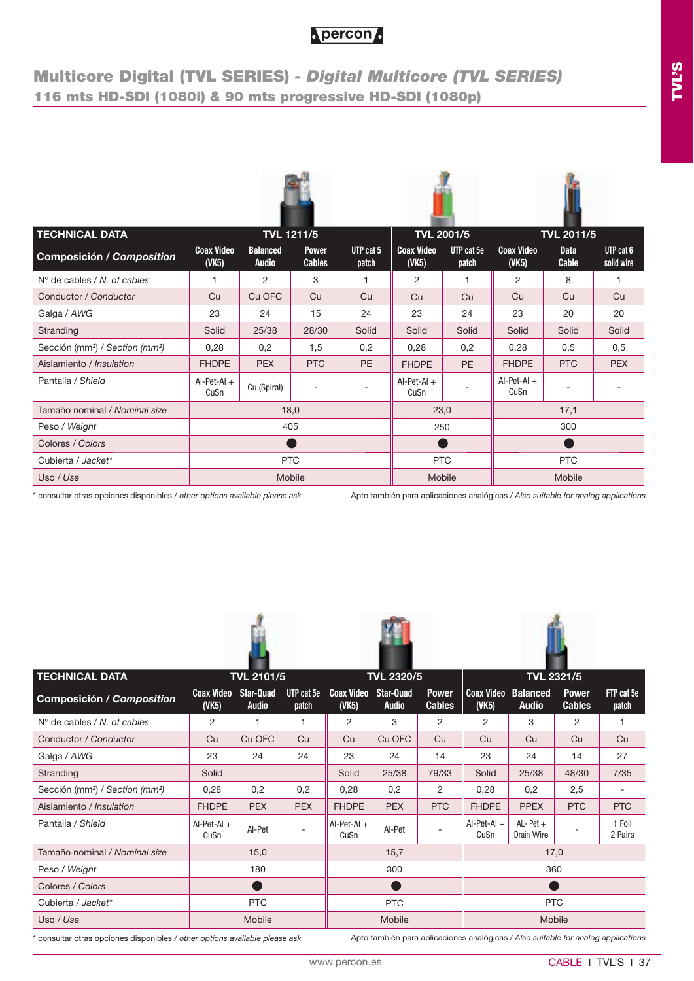## **Multicore Digital (TVL SERIES)** *- Digital Multicore (TVL SERIES)* **116 mts HD-SDI (1080i) & 90 mts progressive HD-SDI (1080p)**

| <b>TECHNICAL DATA</b>                                   | <b>TVL 1211/5</b>                            |                                 |                               |                    | <b>TVL 2001/5</b>                            |                     |                                  | <b>TVL 2011/5</b>    |                         |  |
|---------------------------------------------------------|----------------------------------------------|---------------------------------|-------------------------------|--------------------|----------------------------------------------|---------------------|----------------------------------|----------------------|-------------------------|--|
| Composición / Composition                               | <b>Coax Video</b><br>$($ VK <sub>5</sub> $)$ | <b>Balanced</b><br><b>Audio</b> | <b>Power</b><br><b>Cables</b> | UTP cat 5<br>patch | <b>Coax Video</b><br>$($ VK <sub>5</sub> $)$ | UTP cat 5e<br>patch | <b>Coax Video</b><br>$($ VK5 $)$ | <b>Data</b><br>Cable | UTP cat 6<br>solid wire |  |
| $N^{\circ}$ de cables / N, of cables                    | 1                                            | $\overline{2}$                  | 3                             | 1                  | 2                                            | 1                   | $\overline{2}$                   | 8                    | 1                       |  |
| Conductor / Conductor                                   | Cu                                           | Cu OFC                          | Cu                            | Cu                 | Cu                                           | Cu                  | Cu                               | Cu                   | Cu                      |  |
| Galga / AWG                                             | 23                                           | 24                              | 15                            | 24                 | 23                                           | 24                  | 23                               | 20                   | 20                      |  |
| Stranding                                               | Solid                                        | 25/38                           | 28/30                         | Solid              | Solid                                        | Solid               | Solid                            | Solid                | Solid                   |  |
| Sección (mm <sup>2</sup> ) / Section (mm <sup>2</sup> ) | 0,28                                         | 0,2                             | 1,5                           | 0,2                | 0,28                                         | 0,2                 | 0,28                             | 0,5                  | 0,5                     |  |
| Aislamiento / Insulation                                | <b>FHDPE</b>                                 | <b>PEX</b>                      | <b>PTC</b>                    | PE                 | <b>FHDPE</b>                                 | <b>PE</b>           | <b>FHDPE</b>                     | <b>PTC</b>           | <b>PEX</b>              |  |
| Pantalla / Shield                                       | $AI-Pet-AI +$<br>CuSn                        | Cu (Spiral)                     | $\sim$                        |                    | $Al-Pet-Al +$<br>CuSn                        |                     | $Al-Pet-Al +$<br>CuSn            |                      |                         |  |
| Tamaño nominal / Nominal size                           |                                              | 18,0                            |                               |                    | 23,0                                         |                     |                                  | 17,1                 |                         |  |
| Peso / Weight                                           |                                              | 405                             |                               |                    | 250                                          |                     |                                  | 300                  |                         |  |
| Colores / Colors                                        |                                              |                                 |                               |                    |                                              |                     |                                  |                      |                         |  |
| Cubierta / Jacket*                                      |                                              | <b>PTC</b>                      |                               |                    | <b>PTC</b>                                   |                     | <b>PTC</b>                       |                      |                         |  |
| Uso / Use                                               |                                              | Mobile                          |                               |                    | Mobile                                       |                     |                                  | Mobile               |                         |  |

\* consultar otras opciones disponibles / *other options available please ask*

Apto también para aplicaciones analógicas / *Also suitable for analog applications*

| <b>TECHNICAL DATA</b>                                   |                                  | <b>TVL 2101/5</b>                |                     | <b>TVL 2320/5</b>                |                                  |                               | <b>TVL 2321/5</b>          |                                 |                               |                     |  |
|---------------------------------------------------------|----------------------------------|----------------------------------|---------------------|----------------------------------|----------------------------------|-------------------------------|----------------------------|---------------------------------|-------------------------------|---------------------|--|
| <b>Composición / Composition</b>                        | <b>Coax Video</b><br>$($ VK5 $)$ | <b>Star-Quad</b><br><b>Audio</b> | UTP cat 5e<br>patch | <b>Coax Video</b><br>$($ VK5 $)$ | <b>Star-Quad</b><br><b>Audio</b> | <b>Power</b><br><b>Cables</b> | <b>Coax Video</b><br>(VK5) | <b>Balanced</b><br><b>Audio</b> | <b>Power</b><br><b>Cables</b> | FTP cat 5e<br>patch |  |
| $N^{\circ}$ de cables / N, of cables                    | 2                                | 1                                | 1                   | 2                                | 3                                | 2                             | 2                          | 3                               | 2                             |                     |  |
| Conductor / Conductor                                   | Cu                               | Cu OFC                           | Cu                  | Cu                               | Cu OFC                           | Cu                            | Cu                         | Cu                              | Cu                            | Cu                  |  |
| Galga / AWG                                             | 23                               | 24                               | 24                  | 23                               | 24                               | 14                            | 23                         | 24                              | 14                            | 27                  |  |
| Stranding                                               | Solid                            |                                  |                     | Solid                            | 25/38                            | 79/33                         | Solid                      | 25/38                           | 48/30                         | 7/35                |  |
| Sección (mm <sup>2</sup> ) / Section (mm <sup>2</sup> ) | 0,28                             | 0,2                              | 0,2                 | 0,28                             | 0,2                              | 2                             | 0,28                       | 0,2                             | 2,5                           |                     |  |
| Aislamiento / Insulation                                | <b>FHDPE</b>                     | <b>PEX</b>                       | <b>PEX</b>          | <b>FHDPE</b>                     | <b>PEX</b>                       | <b>PTC</b>                    | <b>FHDPE</b>               | <b>PPEX</b>                     | <b>PTC</b>                    | <b>PTC</b>          |  |
| Pantalla / Shield                                       | $AI-Pet-AI +$<br>CuSn            | AI-Pet                           |                     | $AI-Pet-AI +$<br>CuSn            | AI-Pet                           |                               | $Al-Pet-Al +$<br>CuSn      | $AL- Pet +$<br>Drain Wire       |                               | 1 Foil<br>2 Pairs   |  |
| Tamaño nominal / Nominal size                           |                                  | 15,0                             |                     |                                  | 15,7                             |                               |                            | 17,0                            |                               |                     |  |
| Peso / Weight                                           |                                  | 180                              |                     |                                  | 300                              |                               |                            | 360                             |                               |                     |  |
| Colores / Colors                                        |                                  |                                  |                     |                                  |                                  |                               |                            |                                 |                               |                     |  |
| Cubierta / Jacket*                                      |                                  | <b>PTC</b>                       |                     |                                  | <b>PTC</b>                       |                               |                            | <b>PTC</b>                      |                               |                     |  |
| Uso / Use                                               |                                  | <b>Mobile</b>                    |                     |                                  | Mobile                           |                               |                            | Mobile                          |                               |                     |  |

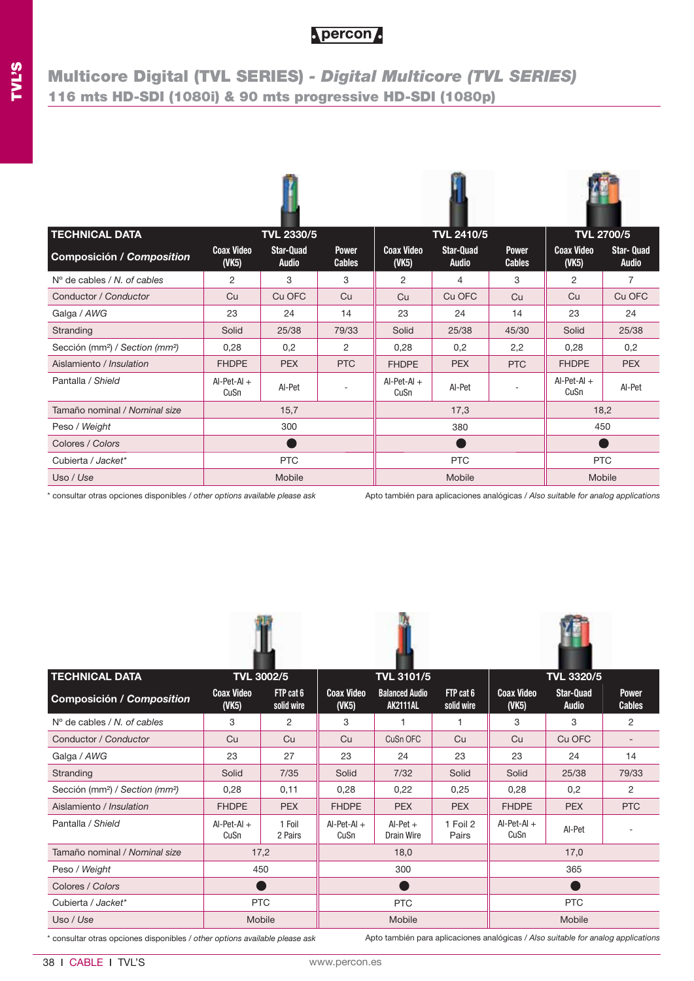## **Multicore Digital (TVL SERIES)** *- Digital Multicore (TVL SERIES)* **116 mts HD-SDI (1080i) & 90 mts progressive HD-SDI (1080p)**

| <b>TECHNICAL DATA</b>                                   |                                  | <b>TVL 2330/5</b>                |                               |                                  | <b>TVL 2410/5</b>                |                               |                                              | <b>TVL 2700/5</b>                 |
|---------------------------------------------------------|----------------------------------|----------------------------------|-------------------------------|----------------------------------|----------------------------------|-------------------------------|----------------------------------------------|-----------------------------------|
| Composición / Composition                               | <b>Coax Video</b><br>$($ VK5 $)$ | <b>Star-Quad</b><br><b>Audio</b> | <b>Power</b><br><b>Cables</b> | <b>Coax Video</b><br>$($ VK5 $)$ | <b>Star-Quad</b><br><b>Audio</b> | <b>Power</b><br><b>Cables</b> | <b>Coax Video</b><br>$($ VK <sub>5</sub> $)$ | <b>Star- Quad</b><br><b>Audio</b> |
| $No$ de cables / N. of cables                           | 2                                | 3                                | 3                             | $\overline{2}$                   | 4                                | 3                             | 2                                            | 7                                 |
| Conductor / Conductor                                   | Cu                               | Cu OFC                           | Cu                            | Cu                               | Cu OFC                           | Cu                            | Cu                                           | Cu OFC                            |
| Galga / AWG                                             | 23                               | 24                               | 14                            | 23                               | 24                               | 14                            | 23                                           | 24                                |
| Stranding                                               | Solid                            | 25/38                            | 79/33                         | Solid                            | 25/38                            | 45/30                         | Solid                                        | 25/38                             |
| Sección (mm <sup>2</sup> ) / Section (mm <sup>2</sup> ) | 0,28                             | 0,2                              | 2                             | 0,28                             | 0,2                              | 2,2                           | 0,28                                         | 0,2                               |
| Aislamiento / Insulation                                | <b>FHDPE</b>                     | <b>PEX</b>                       | <b>PTC</b>                    | <b>FHDPE</b>                     | <b>PEX</b>                       | <b>PTC</b>                    | <b>FHDPE</b>                                 | <b>PEX</b>                        |
| Pantalla / Shield                                       | $AI-Pet-AI +$<br>CuSn            | AI-Pet                           |                               | $Al-Pet-Al +$<br>CuSn            | AI-Pet                           |                               | $AI-Pet-AI +$<br>CuSn                        | Al-Pet                            |
| Tamaño nominal / Nominal size                           |                                  | 15,7                             |                               |                                  | 17,3                             |                               |                                              | 18,2                              |
| Peso / Weight                                           |                                  | 300                              |                               |                                  | 380                              |                               | 450                                          |                                   |
| Colores / Colors                                        |                                  |                                  |                               |                                  |                                  |                               |                                              |                                   |
| Cubierta / Jacket*                                      |                                  | <b>PTC</b>                       |                               | <b>PTC</b>                       |                                  |                               | <b>PTC</b>                                   |                                   |
| Uso / Use                                               |                                  | Mobile                           |                               | Mobile                           |                                  |                               | Mobile                                       |                                   |

\* consultar otras opciones disponibles / *other options available please ask*

Apto también para aplicaciones analógicas / *Also suitable for analog applications*







|                            |                         |                                                          |                                          | <b>TVL 3320/5</b>       |                        |                                  |                               |  |
|----------------------------|-------------------------|----------------------------------------------------------|------------------------------------------|-------------------------|------------------------|----------------------------------|-------------------------------|--|
| <b>Coax Video</b><br>(VK5) | FTP cat 6<br>solid wire | <b>Coax Video</b><br>(VK5)                               | <b>Balanced Audio</b><br><b>AK2111AL</b> | FTP cat 6<br>solid wire | <b>Coax Video</b><br>( | <b>Star-Quad</b><br><b>Audio</b> | <b>Power</b><br><b>Cables</b> |  |
| 3                          | 2                       | 3                                                        |                                          |                         | 3                      | 3                                | 2                             |  |
| Cu                         | Cu                      | Cu                                                       | CuSn OFC                                 | Cu                      | Cu                     | Cu OFC                           |                               |  |
| 23                         | 27                      | 23                                                       | 24                                       | 23                      | 23                     | 24                               | 14                            |  |
| Solid                      | 7/35                    | Solid                                                    | 7/32                                     | Solid                   | Solid                  | 25/38                            | 79/33                         |  |
| 0,28                       | 0,11                    | 0,28                                                     | 0,22                                     | 0,25                    | 0,28                   | 0,2                              | 2                             |  |
| <b>FHDPE</b>               | <b>PEX</b>              | <b>FHDPE</b>                                             | <b>PEX</b>                               | <b>PEX</b>              | <b>FHDPE</b>           | <b>PEX</b>                       | <b>PTC</b>                    |  |
| $AI-Pet-AI +$<br>CuSn      | 1 Foil<br>2 Pairs       | $AI-Pet-AI +$<br>CuSn                                    | $Al-Pet +$<br>Drain Wire                 | 1 Foil 2<br>Pairs       | $Al-Pet-Al +$<br>CuSn  | AI-Pet                           |                               |  |
|                            |                         |                                                          | 18,0                                     |                         |                        | 17,0                             |                               |  |
|                            |                         |                                                          | 300                                      |                         |                        | 365                              |                               |  |
|                            |                         |                                                          |                                          |                         |                        |                                  |                               |  |
|                            |                         |                                                          | <b>PTC</b>                               |                         | <b>PTC</b>             |                                  |                               |  |
|                            |                         |                                                          | Mobile                                   |                         |                        | Mobile                           |                               |  |
|                            |                         | <b>TVL 3002/5</b><br>17,2<br>450<br><b>PTC</b><br>Mobile |                                          |                         | <b>TVL 3101/5</b>      |                                  |                               |  |

38 ı CABLE ı TVL'S www.percon.es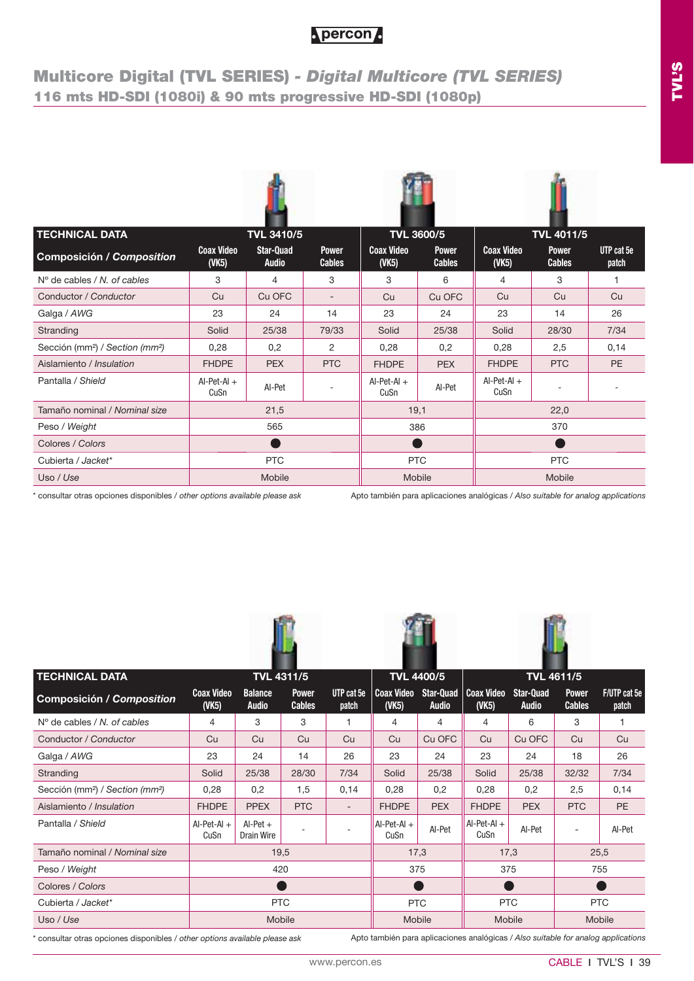## **Multicore Digital (TVL SERIES)** *- Digital Multicore (TVL SERIES)* **116 mts HD-SDI (1080i) & 90 mts progressive HD-SDI (1080p)**

| <b>TECHNICAL DATA</b>                                   |                                  | <b>TVL 3410/5</b>                |                               |                                  | <b>TVL 3600/5</b>             |                                              | <b>TVL 4011/5</b>             |                     |  |
|---------------------------------------------------------|----------------------------------|----------------------------------|-------------------------------|----------------------------------|-------------------------------|----------------------------------------------|-------------------------------|---------------------|--|
| Composición / Composition                               | <b>Coax Video</b><br>$($ VK5 $)$ | <b>Star-Quad</b><br><b>Audio</b> | <b>Power</b><br><b>Cables</b> | <b>Coax Video</b><br>$($ VK5 $)$ | <b>Power</b><br><b>Cables</b> | <b>Coax Video</b><br>$($ VK <sub>5</sub> $)$ | <b>Power</b><br><b>Cables</b> | UTP cat 5e<br>patch |  |
| $N^{\circ}$ de cables / N, of cables                    | 3                                | 4                                | 3                             | 3                                | 6                             | $\overline{4}$                               | 3                             | 1                   |  |
| Conductor / Conductor                                   | Cu                               | Cu OFC                           | $\overline{\phantom{a}}$      | Cu                               | Cu OFC                        | Cu                                           | Cu                            | Cu                  |  |
| Galga / AWG                                             | 23                               | 24                               | 14                            | 23                               | 24                            | 23                                           | 14                            | 26                  |  |
| Stranding                                               | Solid                            | 25/38                            | 79/33                         | Solid                            | 25/38                         | Solid                                        | 28/30                         | 7/34                |  |
| Sección (mm <sup>2</sup> ) / Section (mm <sup>2</sup> ) | 0,28                             | 0,2                              | 2                             | 0,28                             | 0,2                           | 0,28                                         | 2,5                           | 0,14                |  |
| Aislamiento / Insulation                                | <b>FHDPE</b>                     | <b>PEX</b>                       | <b>PTC</b>                    | <b>FHDPE</b>                     | <b>PEX</b>                    | <b>FHDPE</b>                                 | <b>PTC</b>                    | <b>PE</b>           |  |
| Pantalla / Shield                                       | $AI-Pet-AI +$<br>CuSn            | AI-Pet                           |                               | $Al-Pet-Al +$<br>CuSn            | AI-Pet                        | $AI-Pet-AI +$<br>CuSn                        |                               |                     |  |
| Tamaño nominal / Nominal size                           |                                  | 21,5                             |                               | 19,1                             |                               |                                              | 22,0                          |                     |  |
| Peso / Weight                                           |                                  | 565                              |                               |                                  | 386                           |                                              | 370                           |                     |  |
| Colores / Colors                                        |                                  |                                  |                               |                                  |                               |                                              |                               |                     |  |
| Cubierta / Jacket*                                      |                                  | <b>PTC</b>                       |                               |                                  |                               | <b>PTC</b><br><b>PTC</b>                     |                               |                     |  |
| Uso / Use                                               |                                  | Mobile                           | Mobile<br>Mobile              |                                  |                               |                                              |                               |                     |  |

\* consultar otras opciones disponibles / *other options available please ask*

Apto también para aplicaciones analógicas / *Also suitable for analog applications*

| <b>TECHNICAL DATA</b>                                   |                                  |                                | <b>TVL 4311/5</b>             |                          |                            | <b>TVL 4400/5</b>                |                       | <b>TVL 4611/5</b>                |                               |                       |
|---------------------------------------------------------|----------------------------------|--------------------------------|-------------------------------|--------------------------|----------------------------|----------------------------------|-----------------------|----------------------------------|-------------------------------|-----------------------|
| <b>Composición / Composition</b>                        | <b>Coax Video</b><br>$($ VK5 $)$ | <b>Balance</b><br><b>Audio</b> | <b>Power</b><br><b>Cables</b> | UTP cat 5e<br>patch      | <b>Coax Video</b><br>(VK5) | <b>Star-Quad</b><br><b>Audio</b> | Coax Video<br>(       | <b>Star-Quad</b><br><b>Audio</b> | <b>Power</b><br><b>Cables</b> | F/UTP cat 5e<br>patch |
| $N^{\circ}$ de cables / N, of cables                    | 4                                | 3                              | 3                             | 1                        | 4                          | 4                                | 4                     | 6                                | 3                             |                       |
| Conductor / Conductor                                   | Cu                               | Cu                             | Cu                            | Cu                       | Cu                         | Cu OFC                           | Cu                    | Cu OFC                           | Cu                            | Cu                    |
| Galga / AWG                                             | 23                               | 24                             | 14                            | 26                       | 23                         | 24                               | 23                    | 24                               | 18                            | 26                    |
| Stranding                                               | Solid                            | 25/38                          | 28/30                         | 7/34                     | Solid                      | 25/38                            | Solid                 | 25/38                            | 32/32                         | 7/34                  |
| Sección (mm <sup>2</sup> ) / Section (mm <sup>2</sup> ) | 0,28                             | 0,2                            | 1,5                           | 0,14                     | 0,28                       | 0,2                              | 0,28                  | 0,2                              | 2,5                           | 0,14                  |
| Aislamiento / Insulation                                | <b>FHDPE</b>                     | <b>PPEX</b>                    | <b>PTC</b>                    | $\overline{\phantom{a}}$ | <b>FHDPE</b>               | <b>PEX</b>                       | <b>FHDPE</b>          | <b>PEX</b>                       | <b>PTC</b>                    | PE                    |
| Pantalla / Shield                                       | $AI-Pet-AI +$<br>CuSn            | $Al-Pet +$<br>Drain Wire       |                               | $\overline{\phantom{a}}$ | $AI-Pet-Al +$<br>CuSn      | AI-Pet                           | $AI-Pet-AI +$<br>CuSn | AI-Pet                           |                               | AI-Pet                |
| Tamaño nominal / Nominal size                           |                                  | 19,5                           |                               |                          |                            | 17,3                             |                       | 17,3                             |                               | 25,5                  |
| Peso / Weight                                           |                                  | 420                            |                               |                          |                            | 375                              | 375                   |                                  | 755                           |                       |
| Colores / Colors                                        |                                  |                                |                               |                          |                            |                                  |                       |                                  |                               |                       |
| Cubierta / Jacket*                                      |                                  | <b>PTC</b>                     |                               |                          |                            | <b>PTC</b>                       |                       | <b>PTC</b>                       |                               | <b>PTC</b>            |
| Uso / Use                                               |                                  | Mobile                         |                               |                          |                            | Mobile                           |                       | Mobile                           | Mobile                        |                       |

**Fin** 



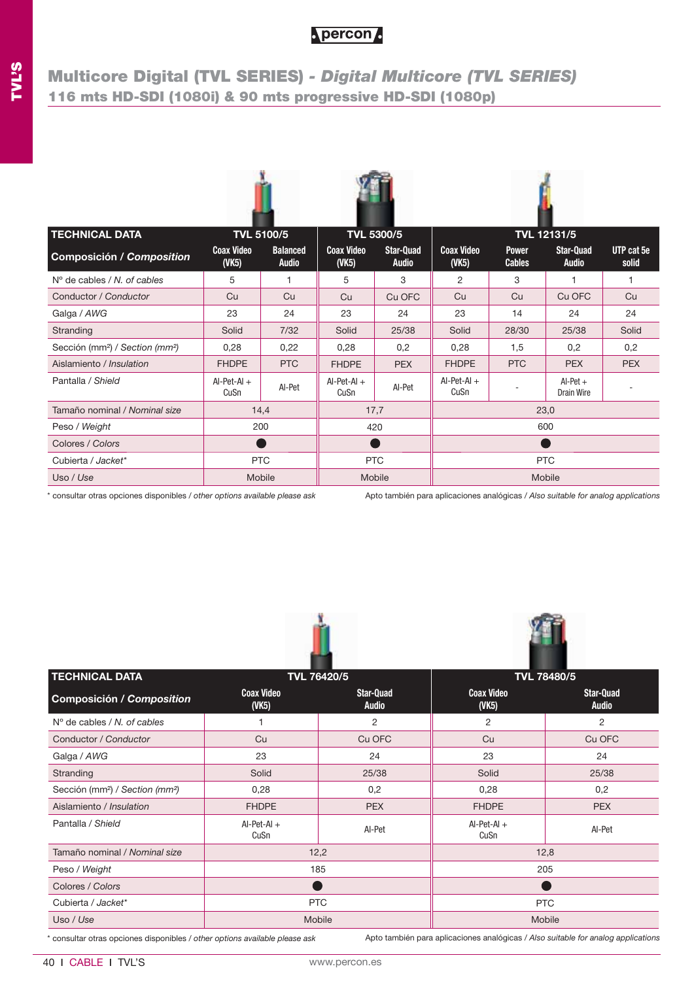## **Multicore Digital (TVL SERIES)** *- Digital Multicore (TVL SERIES)* **116 mts HD-SDI (1080i) & 90 mts progressive HD-SDI (1080p)**

| <b>TECHNICAL DATA</b>                                   | <b>TVL 5100/5</b>          |                                 |                                  | <b>TVL 5300/5</b>                |                            |                               | <b>TVL 12131/5</b>               |                     |  |
|---------------------------------------------------------|----------------------------|---------------------------------|----------------------------------|----------------------------------|----------------------------|-------------------------------|----------------------------------|---------------------|--|
| <b>Composición / Composition</b>                        | <b>Coax Video</b><br>(VK5) | <b>Balanced</b><br><b>Audio</b> | <b>Coax Video</b><br>$($ VK5 $)$ | <b>Star-Quad</b><br><b>Audio</b> | <b>Coax Video</b><br>(VK5) | <b>Power</b><br><b>Cables</b> | <b>Star-Quad</b><br><b>Audio</b> | UTP cat 5e<br>solid |  |
| $N^{\circ}$ de cables / N, of cables                    | 5                          | 1                               | 5                                | 3                                | 2                          | 3                             | 1                                |                     |  |
| Conductor / Conductor                                   | Cu                         | Cu                              | Cu                               | Cu OFC                           | Cu                         | Cu                            | Cu OFC                           | Cu                  |  |
| Galga / AWG                                             | 23                         | 24                              | 23                               | 24                               | 23                         | 14                            | 24                               | 24                  |  |
| Stranding                                               | Solid                      | 7/32                            | Solid                            | 25/38                            | Solid                      | 28/30                         | 25/38                            | Solid               |  |
| Sección (mm <sup>2</sup> ) / Section (mm <sup>2</sup> ) | 0,28                       | 0,22                            | 0,28                             | 0,2                              | 0,28                       | 1,5                           | 0,2                              | 0,2                 |  |
| Aislamiento / Insulation                                | <b>FHDPE</b>               | <b>PTC</b>                      | <b>FHDPE</b>                     | <b>PEX</b>                       | <b>FHDPE</b>               | <b>PTC</b>                    | <b>PEX</b>                       | <b>PEX</b>          |  |
| Pantalla / Shield                                       | $AI-Pet-AI +$<br>CuSn      | Al-Pet                          | $AI-Pet-AI +$<br>CuSn            | AI-Pet                           | $AI-Pet-AI +$<br>CuSn      |                               | $Al-Pet +$<br>Drain Wire         |                     |  |
| Tamaño nominal / Nominal size                           | 14,4                       |                                 |                                  | 17,7                             |                            |                               | 23,0                             |                     |  |
| Peso / Weight                                           | 200                        |                                 | 420<br>600                       |                                  |                            |                               |                                  |                     |  |
| Colores / Colors                                        |                            |                                 |                                  |                                  | Œ                          |                               |                                  |                     |  |
| Cubierta / Jacket*                                      | <b>PTC</b>                 |                                 | <b>PTC</b><br><b>PTC</b>         |                                  |                            |                               |                                  |                     |  |
| Uso / Use                                               |                            | Mobile                          |                                  | Mobile                           | Mobile                     |                               |                                  |                     |  |

\* consultar otras opciones disponibles / *other options available please ask*

Apto también para aplicaciones analógicas / *Also suitable for analog applications*

**VF** 

|                                                         |                            |                           | .                                            |                                  |  |  |  |
|---------------------------------------------------------|----------------------------|---------------------------|----------------------------------------------|----------------------------------|--|--|--|
| <b>TECHNICAL DATA</b>                                   |                            | TVL 76420/5               | <b>TVL 78480/5</b>                           |                                  |  |  |  |
| <b>Composición / Composition</b>                        | <b>Coax Video</b><br>(VK5) | Star-Quad<br><b>Audio</b> | <b>Coax Video</b><br>$($ VK <sub>5</sub> $)$ | <b>Star-Quad</b><br><b>Audio</b> |  |  |  |
| $No$ de cables / N, of cables                           |                            | 2                         | 2                                            | $\overline{2}$                   |  |  |  |
| Conductor / Conductor                                   | Cu                         | Cu OFC                    | Cu                                           | Cu OFC                           |  |  |  |
| Galga / AWG                                             | 23                         | 24                        | 23                                           | 24                               |  |  |  |
| Stranding                                               | Solid                      | 25/38                     | Solid                                        | 25/38                            |  |  |  |
| Sección (mm <sup>2</sup> ) / Section (mm <sup>2</sup> ) | 0,28                       | 0,2                       | 0,28                                         | 0,2                              |  |  |  |
| Aislamiento / Insulation                                | <b>FHDPE</b>               | <b>PEX</b>                | <b>FHDPE</b>                                 | <b>PEX</b>                       |  |  |  |
| Pantalla / Shield                                       | $AI-Pet-AI +$<br>CuSn      | AI-Pet                    | $AI-Pet-Al +$<br>CuSn                        | AI-Pet                           |  |  |  |
| Tamaño nominal / Nominal size                           |                            | 12,2                      | 12,8                                         |                                  |  |  |  |
| Peso / Weight                                           |                            | 185                       | 205                                          |                                  |  |  |  |
| Colores / Colors                                        |                            |                           |                                              |                                  |  |  |  |
| Cubierta / Jacket*                                      |                            | <b>PTC</b>                | <b>PTC</b>                                   |                                  |  |  |  |
| Uso / Use                                               | Mobile<br>Mobile           |                           |                                              |                                  |  |  |  |

*Francisco Commission*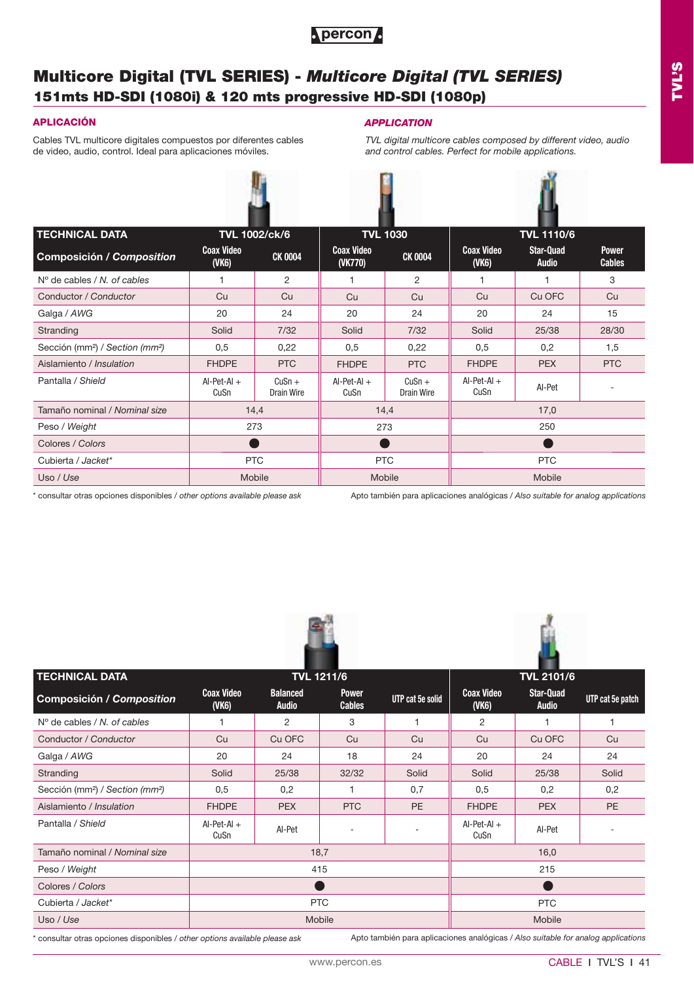

Cables TVL multicore digitales compuestos por diferentes cables de video, audio, control. Ideal para aplicaciones móviles.

## **APLICACIÓN** *APPLICATION*

*TVL digital multicore cables composed by different video, audio and control cables. Perfect for mobile applications.*



| <b>TECHNICAL DATA</b>                                   |                            | <b>TVL 1002/ck/6</b>   |                              | <b>TVL 1030</b>        |                            | <b>TVL 1110/6</b>                |                               |
|---------------------------------------------------------|----------------------------|------------------------|------------------------------|------------------------|----------------------------|----------------------------------|-------------------------------|
| <b>Composición / Composition</b>                        | <b>Coax Video</b><br>(VK6) | <b>CK 0004</b>         | <b>Coax Video</b><br>(VK770) | <b>CK 0004</b>         | <b>Coax Video</b><br>(VK6) | <b>Star-Quad</b><br><b>Audio</b> | <b>Power</b><br><b>Cables</b> |
| $N^{\circ}$ de cables / N, of cables                    |                            | $\overline{2}$         |                              | 2                      |                            |                                  | 3                             |
| Conductor / Conductor                                   | Cu                         | Cu                     | Cu                           | Cu                     | Cu                         | Cu OFC                           | Cu                            |
| Galga / AWG                                             | 20                         | 24                     | 20                           | 24                     | 20                         | 24                               | 15                            |
| Stranding                                               | Solid                      | 7/32                   | Solid                        | 7/32                   | Solid                      | 25/38                            | 28/30                         |
| Sección (mm <sup>2</sup> ) / Section (mm <sup>2</sup> ) | 0,5                        | 0,22                   | 0,5                          | 0,22                   | 0,5                        | 0,2                              | 1,5                           |
| Aislamiento / Insulation                                | <b>FHDPE</b>               | <b>PTC</b>             | <b>FHDPE</b>                 | <b>PTC</b>             | <b>FHDPE</b>               | <b>PEX</b>                       | <b>PTC</b>                    |
| Pantalla / Shield                                       | $AI-Pet-AI +$<br>CuSn      | $CuSn +$<br>Drain Wire | $Al-Pet-Al +$<br>CuSn        | $CuSn +$<br>Drain Wire | $Al-Pet-Al +$<br>CuSn      | AI-Pet                           |                               |
| Tamaño nominal / Nominal size                           |                            | 14,4                   |                              | 14,4                   |                            | 17,0                             |                               |
| Peso / Weight                                           |                            | 273                    |                              | 273                    |                            | 250                              |                               |
| Colores / Colors                                        |                            |                        |                              |                        |                            |                                  |                               |
| Cubierta / Jacket*                                      |                            | <b>PTC</b>             |                              | <b>PTC</b>             |                            | <b>PTC</b>                       |                               |

\* consultar otras opciones disponibles / *other options available please ask*

Apto también para aplicaciones analógicas / *Also suitable for analog applications*



Uso / *Use* | Mobile | Mobile || Mobile



| <b>TECHNICAL DATA</b>                                   |                            |                                 | <b>TVL 1211/6</b>             |                  |                            | <br><b>TVL 2101/6</b>            |                  |  |  |  |
|---------------------------------------------------------|----------------------------|---------------------------------|-------------------------------|------------------|----------------------------|----------------------------------|------------------|--|--|--|
| <b>Composición / Composition</b>                        | <b>Coax Video</b><br>(VK6) | <b>Balanced</b><br><b>Audio</b> | <b>Power</b><br><b>Cables</b> | UTP cat 5e solid | <b>Coax Video</b><br>(VK6) | <b>Star-Quad</b><br><b>Audio</b> | UTP cat 5e patch |  |  |  |
| $N^{\circ}$ de cables / N, of cables                    |                            | 2                               | 3                             |                  | 2                          |                                  |                  |  |  |  |
| Conductor / Conductor                                   | Cu                         | Cu OFC                          | Cu                            | Cu               | Cu                         | Cu OFC                           | Cu               |  |  |  |
| Galga / AWG                                             | 20                         | 24                              | 18                            | 24               | 20                         | 24                               | 24               |  |  |  |
| Stranding                                               | Solid                      | 25/38                           | 32/32                         | Solid            | Solid                      | 25/38                            | Solid            |  |  |  |
| Sección (mm <sup>2</sup> ) / Section (mm <sup>2</sup> ) | 0,5                        | 0,2                             |                               | 0,7              | 0,5                        | 0,2                              | 0,2              |  |  |  |
| Aislamiento / Insulation                                | <b>FHDPE</b>               | <b>PEX</b>                      | <b>PTC</b>                    | <b>PE</b>        | <b>FHDPE</b>               | <b>PEX</b>                       | PE               |  |  |  |
| Pantalla / Shield                                       | $AI-Pet-AI +$<br>CuSn      | AI-Pet                          |                               | ٠                | $Al-Pet-Al +$<br>CuSn      | AI-Pet                           |                  |  |  |  |
| Tamaño nominal / Nominal size                           |                            |                                 | 18,7                          |                  |                            | 16,0                             |                  |  |  |  |
| Peso / Weight                                           |                            |                                 | 415                           |                  |                            | 215                              |                  |  |  |  |
| Colores / Colors                                        |                            |                                 |                               |                  |                            |                                  |                  |  |  |  |
| Cubierta / Jacket*                                      |                            |                                 | <b>PTC</b>                    |                  |                            | <b>PTC</b>                       |                  |  |  |  |
| Uso / Use                                               |                            |                                 | Mobile                        |                  |                            | Mobile                           |                  |  |  |  |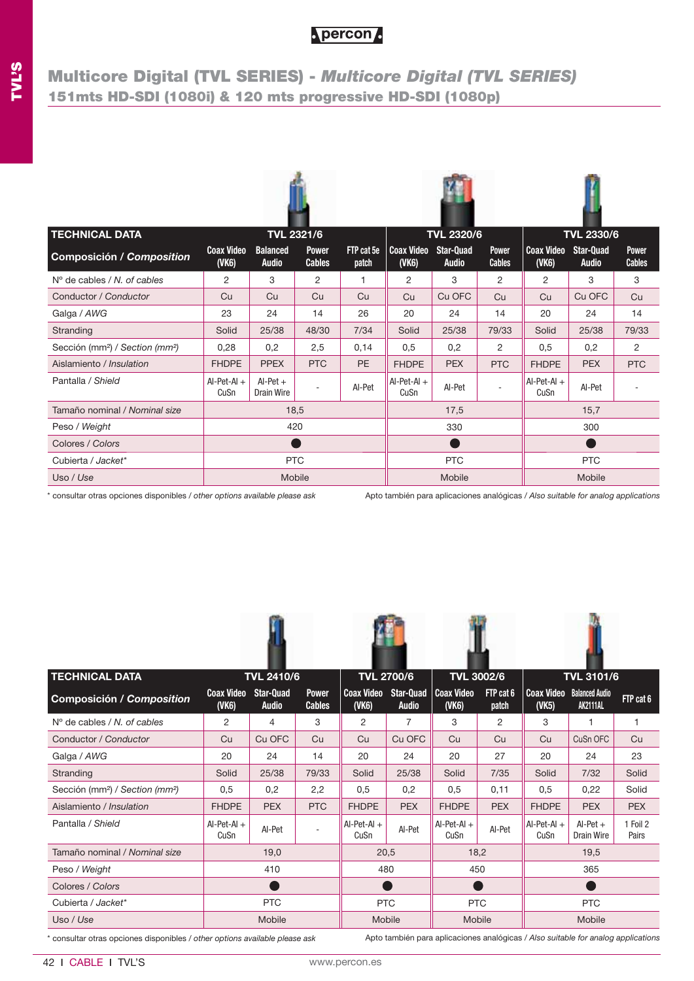## **Multicore Digital (TVL SERIES) -** *Multicore Digital (TVL SERIES)* **151mts HD-SDI (1080i) & 120 mts progressive HD-SDI (1080p)**

| <b>TECHNICAL DATA</b>                                   | <b>Coax Video</b>     | <b>TVL 2321/6</b><br><b>Balanced</b> | <b>Power</b>  | FTP cat 5e | <b>Coax Video</b>     | <b>TVL 2320/6</b><br><b>Star-Quad</b> | <b>Power</b>   | <b>Coax Video</b>     | <b>TVL 2330/6</b><br><b>Star-Quad</b> | <b>Power</b>  |
|---------------------------------------------------------|-----------------------|--------------------------------------|---------------|------------|-----------------------|---------------------------------------|----------------|-----------------------|---------------------------------------|---------------|
| Composición / Composition                               | $($ VK6 $)$           | <b>Audio</b>                         | <b>Cables</b> | patch      | (VK6)                 | <b>Audio</b>                          | <b>Cables</b>  | (VK6)                 | <b>Audio</b>                          | <b>Cables</b> |
| $N^{\circ}$ de cables / N, of cables                    | $\overline{2}$        | 3                                    | 2             | 1          | $\overline{2}$        | 3                                     | $\overline{c}$ | 2                     | 3                                     | 3             |
| Conductor / Conductor                                   | Cu                    | Cu                                   | Cu            | Cu         | Cu                    | Cu OFC                                | Cu             | Cu                    | Cu OFC                                | Cu            |
| Galga / AWG                                             | 23                    | 24                                   | 14            | 26         | 20                    | 24                                    | 14             | 20                    | 24                                    | 14            |
| Stranding                                               | Solid                 | 25/38                                | 48/30         | 7/34       | Solid                 | 25/38                                 | 79/33          | Solid                 | 25/38                                 | 79/33         |
| Sección (mm <sup>2</sup> ) / Section (mm <sup>2</sup> ) | 0,28                  | 0,2                                  | 2,5           | 0,14       | 0,5                   | 0,2                                   | 2              | 0,5                   | 0,2                                   | 2             |
| Aislamiento / Insulation                                | <b>FHDPE</b>          | <b>PPEX</b>                          | <b>PTC</b>    | PE         | <b>FHDPE</b>          | <b>PEX</b>                            | <b>PTC</b>     | <b>FHDPE</b>          | <b>PEX</b>                            | <b>PTC</b>    |
| Pantalla / Shield                                       | $Al-Pet-Al +$<br>CuSn | $Al-Pet +$<br>Drain Wire             |               | AI-Pet     | $AI-Pet-AI +$<br>CuSn | AI-Pet                                |                | $AI-Pet-AI +$<br>CuSn | AI-Pet                                |               |
| Tamaño nominal / Nominal size                           |                       | 18,5                                 |               |            |                       | 17,5                                  |                |                       | 15,7                                  |               |
| Peso / Weight                                           |                       | 420                                  |               |            |                       | 330                                   |                |                       | 300                                   |               |
| Colores / Colors                                        |                       |                                      |               |            |                       | n,                                    |                |                       |                                       |               |
| Cubierta / Jacket*                                      |                       | <b>PTC</b>                           |               |            | <b>PTC</b>            |                                       |                | <b>PTC</b>            |                                       |               |
| Uso / Use                                               |                       | Mobile                               |               |            |                       | Mobile                                |                | Mobile                |                                       |               |

\* consultar otras opciones disponibles / *other options available please ask*

Apto también para aplicaciones analógicas / *Also suitable for analog applications*

| <b>TECHNICAL DATA</b>                                   |                            | <b>TVL 2410/6</b>                |                               |                            | <b>TVL 2700/6</b>                |                            | <b>TVL 3002/6</b>  |                            | <b>TVL 3101/6</b>                        |                   |  |
|---------------------------------------------------------|----------------------------|----------------------------------|-------------------------------|----------------------------|----------------------------------|----------------------------|--------------------|----------------------------|------------------------------------------|-------------------|--|
| <b>Composición / Composition</b>                        | <b>Coax Video</b><br>(VK6) | <b>Star-Quad</b><br><b>Audio</b> | <b>Power</b><br><b>Cables</b> | <b>Coax Video</b><br>(VK6) | <b>Star-Quad</b><br><b>Audio</b> | <b>Coax Video</b><br>(VK6) | FTP cat 6<br>patch | <b>Coax Video</b><br>(VK5) | <b>Balanced Audio</b><br><b>AK2111AL</b> | FTP cat 6         |  |
| $N^{\circ}$ de cables / N, of cables                    | 2                          | 4                                | 3                             | 2                          | $\overline{7}$                   | 3                          | 2                  | 3                          |                                          |                   |  |
| Conductor / Conductor                                   | Cu                         | Cu OFC                           | Cu                            | Cu                         | Cu OFC                           | Cu                         | Cu                 | Cu                         | CuSn OFC                                 | Cu                |  |
| Galga / AWG                                             | 20                         | 24                               | 14                            | 20                         | 24                               | 20                         | 27                 | 20                         | 24                                       | 23                |  |
| Stranding                                               | Solid                      | 25/38                            | 79/33                         | Solid                      | 25/38                            | Solid                      | 7/35               | Solid                      | 7/32                                     | Solid             |  |
| Sección (mm <sup>2</sup> ) / Section (mm <sup>2</sup> ) | 0,5                        | 0,2                              | 2,2                           | 0,5                        | 0,2                              | 0,5                        | 0,11               | 0,5                        | 0,22                                     | Solid             |  |
| Aislamiento / Insulation                                | <b>FHDPE</b>               | <b>PEX</b>                       | <b>PTC</b>                    | <b>FHDPE</b>               | <b>PEX</b>                       | <b>FHDPE</b>               | <b>PEX</b>         | <b>FHDPE</b>               | <b>PEX</b>                               | <b>PEX</b>        |  |
| Pantalla / Shield                                       | $AI-Pet-AI +$<br>CuSn      | AI-Pet                           |                               | $AI-Pet-AI +$<br>CuSn      | AI-Pet                           | $AI-Pet-AI +$<br>CuSn      | AI-Pet             | $AI-Pet-AI +$<br>CuSn      | $Al-Pet +$<br><b>Drain Wire</b>          | 1 Foil 2<br>Pairs |  |
| Tamaño nominal / Nominal size                           |                            | 19,0                             |                               |                            | 20,5                             |                            | 18,2               |                            | 19,5                                     |                   |  |
| Peso / Weight                                           |                            | 410                              |                               | 480                        |                                  | 450                        |                    |                            | 365                                      |                   |  |
| Colores / Colors                                        |                            |                                  |                               |                            |                                  |                            |                    |                            |                                          |                   |  |
| Cubierta / Jacket*                                      |                            | <b>PTC</b>                       |                               | <b>PTC</b>                 |                                  | <b>PTC</b>                 |                    | <b>PTC</b>                 |                                          |                   |  |
| Uso / Use                                               |                            | Mobile                           |                               |                            | <b>Mobile</b>                    |                            | Mobile             |                            | Mobile                                   |                   |  |

 $\sqrt{2}$ 

\* consultar otras opciones disponibles / *other options available please ask*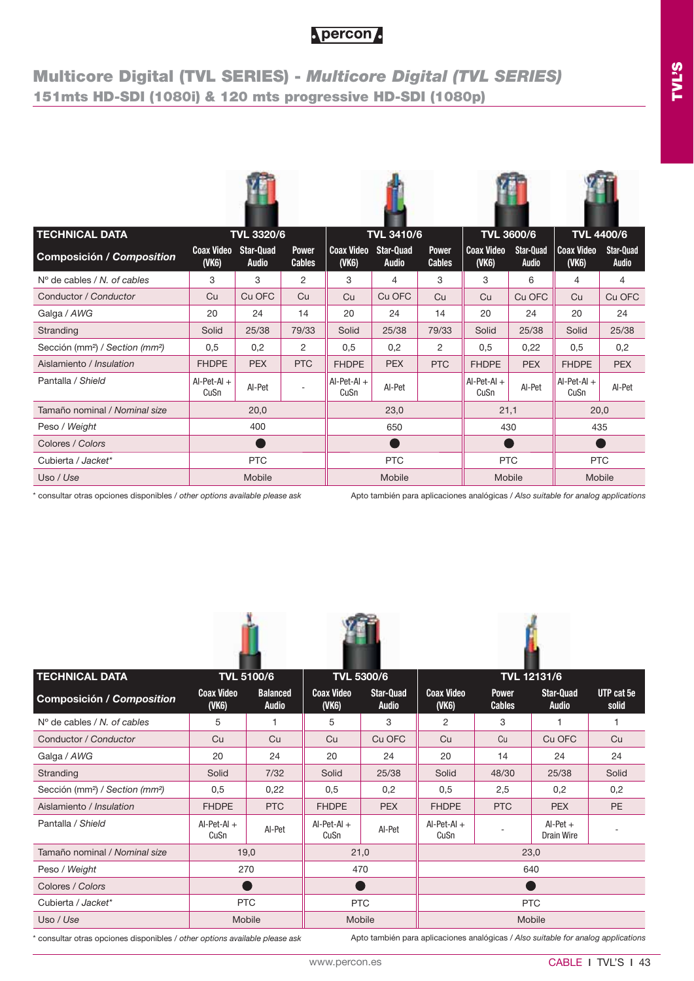## **Multicore Digital (TVL SERIES) -** *Multicore Digital (TVL SERIES)* **151mts HD-SDI (1080i) & 120 mts progressive HD-SDI (1080p)**

| <b>TECHNICAL DATA</b>                                   |                            | <b>TVL 3320/6</b>                |                               |                            | <b>TVL 3410/6</b>                |                               | <b>TVL 3600/6</b>          |                                  | <b>TVL 4400/6</b>          |                                  |
|---------------------------------------------------------|----------------------------|----------------------------------|-------------------------------|----------------------------|----------------------------------|-------------------------------|----------------------------|----------------------------------|----------------------------|----------------------------------|
| <b>Composición / Composition</b>                        | <b>Coax Video</b><br>(VK6) | <b>Star-Quad</b><br><b>Audio</b> | <b>Power</b><br><b>Cables</b> | <b>Coax Video</b><br>(VK6) | <b>Star-Quad</b><br><b>Audio</b> | <b>Power</b><br><b>Cables</b> | <b>Coax Video</b><br>(VK6) | <b>Star-Quad</b><br><b>Audio</b> | <b>Coax Video</b><br>(VK6) | <b>Star-Quad</b><br><b>Audio</b> |
| $N^{\circ}$ de cables / N, of cables                    | 3                          | 3                                | 2                             | 3                          | 4                                | 3                             | 3                          | 6                                | 4                          | 4                                |
| Conductor / Conductor                                   | Cu                         | Cu OFC                           | Cu                            | Cu                         | Cu OFC                           | Cu                            | Cu                         | Cu OFC                           | Cu                         | Cu OFC                           |
| Galga / AWG                                             | 20                         | 24                               | 14                            | 20                         | 24                               | 14                            | 20                         | 24                               | 20                         | 24                               |
| Stranding                                               | Solid                      | 25/38                            | 79/33                         | Solid                      | 25/38                            | 79/33                         | Solid                      | 25/38                            | Solid                      | 25/38                            |
| Sección (mm <sup>2</sup> ) / Section (mm <sup>2</sup> ) | 0,5                        | 0,2                              | 2                             | 0,5                        | 0,2                              | 2                             | 0,5                        | 0,22                             | 0,5                        | 0,2                              |
| Aislamiento / Insulation                                | <b>FHDPE</b>               | <b>PEX</b>                       | <b>PTC</b>                    | <b>FHDPE</b>               | <b>PEX</b>                       | <b>PTC</b>                    | <b>FHDPE</b>               | <b>PEX</b>                       | <b>FHDPE</b>               | <b>PEX</b>                       |
| Pantalla / Shield                                       | $AI-Pet-AI +$<br>CuSn      | AI-Pet                           |                               | $AI-Pet-AI +$<br>CuSn      | AI-Pet                           |                               | $Al-Pet-Al +$<br>CuSn      | AI-Pet                           | $Al-Pet-Al +$<br>CuSn      | AI-Pet                           |
| Tamaño nominal / Nominal size                           |                            | 20,0                             |                               |                            | 23,0                             |                               | 21,1                       |                                  | 20,0                       |                                  |
| Peso / Weight                                           |                            | 400                              |                               |                            | 650                              |                               | 430                        |                                  | 435                        |                                  |
| Colores / Colors                                        |                            |                                  |                               |                            |                                  |                               |                            |                                  |                            |                                  |
| Cubierta / Jacket*                                      |                            | <b>PTC</b>                       |                               |                            | <b>PTC</b>                       |                               | <b>PTC</b>                 |                                  | <b>PTC</b>                 |                                  |
| Uso / Use                                               |                            | Mobile                           |                               |                            | Mobile                           |                               | Mobile                     |                                  | Mobile                     |                                  |

\* consultar otras opciones disponibles / *other options available please ask*

Apto también para aplicaciones analógicas / *Also suitable for analog applications*







| <b>TECHNICAL DATA</b>                                   |                            | <b>TVL 5100/6</b>               |                            | <b>TVL 5300/6</b>                |                            |                               | <b>TVL 12131/6</b>        |                     |  |
|---------------------------------------------------------|----------------------------|---------------------------------|----------------------------|----------------------------------|----------------------------|-------------------------------|---------------------------|---------------------|--|
| <b>Composición / Composition</b>                        | <b>Coax Video</b><br>(VK6) | <b>Balanced</b><br><b>Audio</b> | <b>Coax Video</b><br>(VK6) | <b>Star-Quad</b><br><b>Audio</b> | <b>Coax Video</b><br>(VK6) | <b>Power</b><br><b>Cables</b> | Star-Quad<br><b>Audio</b> | UTP cat 5e<br>solid |  |
| $No$ de cables / N, of cables                           | 5                          |                                 | 5                          | 3                                | 2                          | 3                             |                           |                     |  |
| Conductor / Conductor                                   | Cu                         | Cu                              | Cu                         | Cu OFC                           | Cu                         | Cu                            | Cu OFC                    | Cu                  |  |
| Galga / AWG                                             | 20                         | 24                              | 20                         | 24                               | 20                         | 14                            | 24                        | 24                  |  |
| Stranding                                               | Solid                      | 7/32                            | Solid                      | 25/38                            | Solid                      | 48/30                         | 25/38                     | Solid               |  |
| Sección (mm <sup>2</sup> ) / Section (mm <sup>2</sup> ) | 0,5                        | 0,22                            | 0,5                        | 0,2                              | 0,5                        | 2,5                           | 0,2                       | 0,2                 |  |
| Aislamiento / Insulation                                | <b>FHDPE</b>               | <b>PTC</b>                      | <b>FHDPE</b>               | <b>PEX</b>                       | <b>FHDPE</b>               | <b>PTC</b>                    | <b>PEX</b>                | PE                  |  |
| Pantalla / Shield                                       | $AI-Pet-AI +$<br>CuSn      | AI-Pet                          | $AI-Pet-AI +$<br>CuSn      | Al-Pet                           | $AI-Pet-AI +$<br>CuSn      |                               | $Al-Pet +$<br>Drain Wire  |                     |  |
| Tamaño nominal / Nominal size                           |                            | 19,0                            |                            | 21,0                             |                            |                               | 23,0                      |                     |  |
| Peso / Weight                                           |                            | 270                             |                            | 470                              |                            |                               | 640                       |                     |  |
| Colores / Colors                                        |                            |                                 |                            |                                  |                            |                               |                           |                     |  |
| Cubierta / Jacket*                                      |                            | <b>PTC</b>                      | <b>PTC</b>                 |                                  | <b>PTC</b>                 |                               |                           |                     |  |
| Uso / Use                                               |                            | Mobile                          |                            | Mobile                           | Mobile                     |                               |                           |                     |  |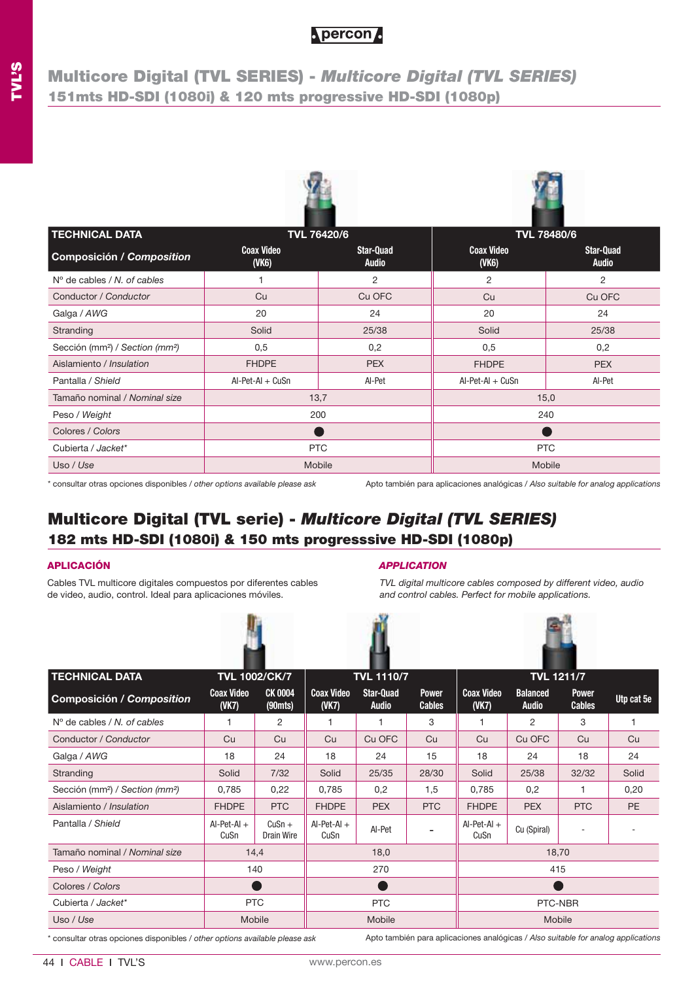## **Multicore Digital (TVL SERIES) -** *Multicore Digital (TVL SERIES)* **151mts HD-SDI (1080i) & 120 mts progressive HD-SDI (1080p)**





| <b>TECHNICAL DATA</b>                                   |                            | <b>TVL 76420/6</b>        |                            | <b>TVL 78480/6</b>        |  |
|---------------------------------------------------------|----------------------------|---------------------------|----------------------------|---------------------------|--|
| Composición / Composition                               | <b>Coax Video</b><br>(VK6) | Star-Quad<br><b>Audio</b> | <b>Coax Video</b><br>(VK6) | Star-Quad<br><b>Audio</b> |  |
| $No$ de cables / N, of cables                           |                            | 2                         | 2                          | 2                         |  |
| Conductor / Conductor                                   | Cu                         | Cu OFC                    | Cu                         | Cu OFC                    |  |
| Galga / AWG                                             | 20                         | 24                        | 20                         | 24                        |  |
| Stranding                                               | Solid                      | 25/38                     | Solid                      | 25/38                     |  |
| Sección (mm <sup>2</sup> ) / Section (mm <sup>2</sup> ) | 0,5                        | 0,2                       | 0,5                        | 0,2                       |  |
| Aislamiento / Insulation                                | <b>FHDPE</b>               | <b>PEX</b>                | <b>FHDPE</b>               | <b>PEX</b>                |  |
| Pantalla / Shield                                       | $AI-Pet-AI + CuSn$         | Al-Pet                    | $AI-Pet-AI + CuSn$         | AI-Pet                    |  |
| Tamaño nominal / Nominal size                           | 13,7                       |                           |                            | 15,0                      |  |
| Peso / Weight                                           | 200                        |                           | 240                        |                           |  |
| Colores / Colors                                        |                            |                           |                            |                           |  |
| Cubierta / Jacket*                                      |                            | <b>PTC</b>                | <b>PTC</b>                 |                           |  |
| Uso / Use                                               | Mobile                     |                           |                            | Mobile                    |  |

\* consultar otras opciones disponibles / *other options available please ask* Apto también para aplicaciones analógicas / *Also suitable for analog applications*

## **Multicore Digital (TVL serie) -** *Multicore Digital (TVL SERIES)* **182 mts HD-SDI (1080i) & 150 mts progresssive HD-SDI (1080p)**

Cables TVL multicore digitales compuestos por diferentes cables de video, audio, control. Ideal para aplicaciones móviles.



### **APLICACIÓN** *APPLICATION*

*TVL digital multicore cables composed by different video, audio and control cables. Perfect for mobile applications.*



| <b>TECHNICAL DATA</b>                                   |                            | <b>TVL 1002/CK/7</b>   | <b>TVL 1110/7</b>          |                           |                               |                            |                                 | <b>TVL 1211/7</b>             |            |
|---------------------------------------------------------|----------------------------|------------------------|----------------------------|---------------------------|-------------------------------|----------------------------|---------------------------------|-------------------------------|------------|
| <b>Composición / Composition</b>                        | <b>Coax Video</b><br>(VK7) | <b>CK 0004</b><br>(90) | <b>Coax Video</b><br>(VK7) | Star-Quad<br><b>Audio</b> | <b>Power</b><br><b>Cables</b> | <b>Coax Video</b><br>(VK7) | <b>Balanced</b><br><b>Audio</b> | <b>Power</b><br><b>Cables</b> | Utp cat 5e |
| $N^{\circ}$ de cables / N, of cables                    |                            | 2                      |                            |                           | 3                             |                            | 2                               | 3                             |            |
| Conductor / Conductor                                   | Cu                         | Cu                     | Cu                         | Cu OFC                    | Cu                            | Cu                         | Cu OFC                          | Cu                            | Cu         |
| Galga / AWG                                             | 18                         | 24                     | 18                         | 24                        | 15                            | 18                         | 24                              | 18                            | 24         |
| Stranding                                               | Solid                      | 7/32                   | Solid                      | 25/35                     | 28/30                         | Solid                      | 25/38                           | 32/32                         | Solid      |
| Sección (mm <sup>2</sup> ) / Section (mm <sup>2</sup> ) | 0,785                      | 0,22                   | 0,785                      | 0,2                       | 1,5                           | 0,785                      | 0,2                             | 1                             | 0,20       |
| Aislamiento / Insulation                                | <b>FHDPE</b>               | <b>PTC</b>             | <b>FHDPE</b>               | <b>PEX</b>                | <b>PTC</b>                    | <b>FHDPE</b>               | <b>PEX</b>                      | <b>PTC</b>                    | PE         |
| Pantalla / Shield                                       | $AI-Pet-AI +$<br>CuSn      | $CuSn +$<br>Drain Wire | $AI-Pet-AI +$<br>CuSn      | AI-Pet                    |                               | $AI-Pet-AI +$<br>CuSn      | Cu (Spiral)                     | ٠                             |            |
| Tamaño nominal / Nominal size                           | 14,4                       |                        |                            | 18,0                      |                               |                            |                                 | 18,70                         |            |
| Peso / Weight                                           |                            | 140                    |                            | 270                       |                               |                            |                                 | 415                           |            |
| Colores / Colors                                        |                            |                        |                            |                           |                               |                            |                                 |                               |            |
| Cubierta / Jacket*                                      | <b>PTC</b>                 |                        | <b>PTC</b>                 |                           |                               | PTC-NBR                    |                                 |                               |            |
| Uso / Use                                               | Mobile                     |                        |                            | Mobile                    |                               | Mobile                     |                                 |                               |            |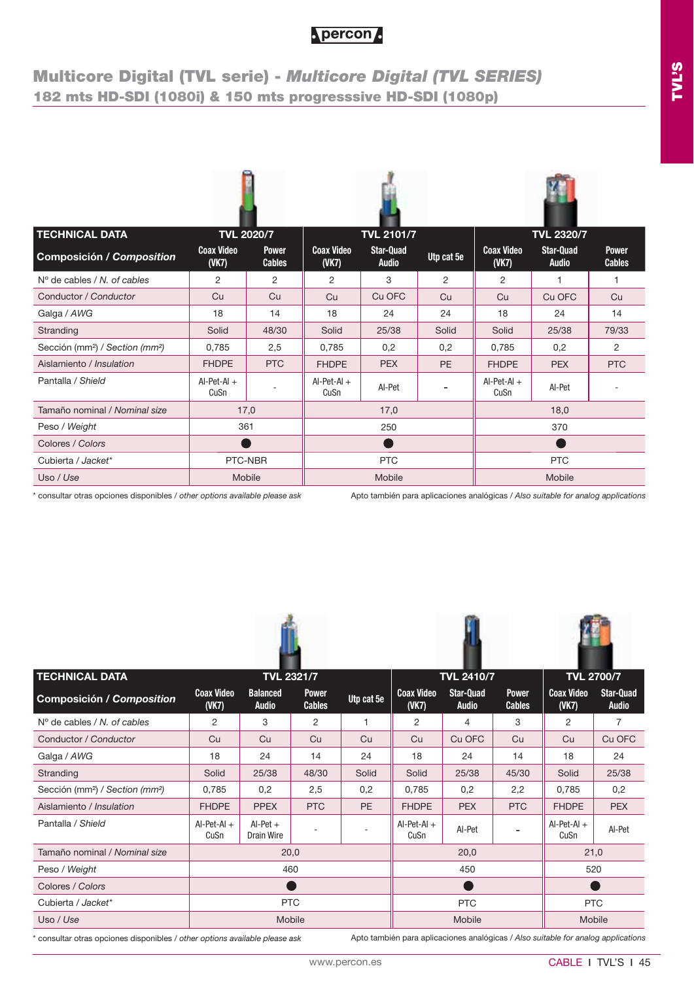## **Multicore Digital (TVL serie) -** *Multicore Digital (TVL SERIES)* **182 mts HD-SDI (1080i) & 150 mts progresssive HD-SDI (1080p)**

| <b>TECHNICAL DATA</b>                                   | <b>TVL 2020/7</b>          |                               |                            | <b>TVL 2101/7</b>                |            |                            | <b>TVL 2320/7</b>                |                               |  |
|---------------------------------------------------------|----------------------------|-------------------------------|----------------------------|----------------------------------|------------|----------------------------|----------------------------------|-------------------------------|--|
| <b>Composición / Composition</b>                        | <b>Coax Video</b><br>(VK7) | <b>Power</b><br><b>Cables</b> | <b>Coax Video</b><br>(VK7) | <b>Star-Quad</b><br><b>Audio</b> | Utp cat 5e | <b>Coax Video</b><br>(VK7) | <b>Star-Quad</b><br><b>Audio</b> | <b>Power</b><br><b>Cables</b> |  |
| $N^{\circ}$ de cables / N, of cables                    | $\overline{2}$             | 2                             | 2                          | 3                                | 2          | 2                          | 1                                | 1                             |  |
| Conductor / Conductor                                   | Cu                         | Cu                            | Cu                         | Cu OFC                           | Cu         | Cu                         | Cu OFC                           | Cu                            |  |
| Galga / AWG                                             | 18                         | 14                            | 18                         | 24                               | 24         | 18                         | 24                               | 14                            |  |
| Stranding                                               | Solid                      | 48/30                         | Solid                      | 25/38                            | Solid      | Solid                      | 25/38                            | 79/33                         |  |
| Sección (mm <sup>2</sup> ) / Section (mm <sup>2</sup> ) | 0.785                      | 2,5                           | 0.785                      | 0,2                              | 0,2        | 0,785                      | 0,2                              | 2                             |  |
| Aislamiento / Insulation                                | <b>FHDPE</b>               | <b>PTC</b>                    | <b>FHDPE</b>               | <b>PEX</b>                       | <b>PE</b>  | <b>FHDPE</b>               | <b>PEX</b>                       | <b>PTC</b>                    |  |
| Pantalla / Shield                                       | $AI-Pet-AI +$<br>CuSn      |                               | $Al-Pet-Al +$<br>CuSn      | AI-Pet                           |            | $Al-Pet-Al +$<br>CuSn      | AI-Pet                           |                               |  |
| Tamaño nominal / Nominal size                           |                            | 17,0                          |                            | 17,0                             |            |                            | 18,0                             |                               |  |
| Peso / Weight                                           | 361                        |                               | 250                        |                                  |            |                            | 370                              |                               |  |
| Colores / Colors                                        |                            |                               |                            |                                  |            |                            |                                  |                               |  |
| Cubierta / Jacket*                                      | PTC-NBR                    |                               | <b>PTC</b>                 |                                  |            | <b>PTC</b>                 |                                  |                               |  |
| Uso / Use                                               |                            | Mobile                        |                            | Mobile                           |            | Mobile                     |                                  |                               |  |

\* consultar otras opciones disponibles / *other options available please ask* Apto también para aplicaciones analógicas / *Also suitable for analog applications*





| <b>TECHNICAL DATA</b>                                   |                            | <b>TVL 2321/7</b>               |                               |            |                            | <b>TVL 2410/7</b>         | <b>TVL 2700/7</b>             |                            |                                  |
|---------------------------------------------------------|----------------------------|---------------------------------|-------------------------------|------------|----------------------------|---------------------------|-------------------------------|----------------------------|----------------------------------|
| <b>Composición / Composition</b>                        | <b>Coax Video</b><br>(VK7) | <b>Balanced</b><br><b>Audio</b> | <b>Power</b><br><b>Cables</b> | Utp cat 5e | <b>Coax Video</b><br>(VK7) | Star-Quad<br><b>Audio</b> | <b>Power</b><br><b>Cables</b> | <b>Coax Video</b><br>(VK7) | <b>Star-Quad</b><br><b>Audio</b> |
| $No$ de cables / N. of cables                           | 2                          | 3                               | 2                             |            | 2                          | 4                         | 3                             | $\overline{2}$             | $\overline{7}$                   |
| Conductor / Conductor                                   | Cu                         | Cu                              | Cu                            | Cu         | Cu                         | Cu OFC                    | Cu                            | Cu                         | Cu OFC                           |
| Galga / AWG                                             | 18                         | 24                              | 14                            | 24         | 18                         | 24                        | 14                            | 18                         | 24                               |
| Stranding                                               | Solid                      | 25/38                           | 48/30                         | Solid      | Solid                      | 25/38                     | 45/30                         | Solid                      | 25/38                            |
| Sección (mm <sup>2</sup> ) / Section (mm <sup>2</sup> ) | 0,785                      | 0,2                             | 2,5                           | 0,2        | 0,785                      | 0,2                       | 2,2                           | 0,785                      | 0,2                              |
| Aislamiento / Insulation                                | <b>FHDPE</b>               | <b>PPEX</b>                     | <b>PTC</b>                    | <b>PE</b>  | <b>FHDPE</b>               | <b>PEX</b>                | <b>PTC</b>                    | <b>FHDPE</b>               | <b>PEX</b>                       |
| Pantalla / Shield                                       | $AI-Pet-AI +$<br>CuSn      | $Al-Pet +$<br>Drain Wire        |                               |            | $AI-Pet-AI +$<br>CuSn      | AI-Pet                    |                               | $AI-Pet-AI +$<br>CuSn      | AI-Pet                           |
| Tamaño nominal / Nominal size                           |                            | 20,0                            |                               |            |                            | 20,0                      |                               | 21,0                       |                                  |
| Peso / Weight                                           |                            |                                 | 460                           |            |                            | 450                       |                               | 520                        |                                  |
| Colores / Colors                                        |                            |                                 |                               |            |                            |                           |                               |                            |                                  |
| Cubierta / Jacket*                                      | <b>PTC</b>                 |                                 |                               |            | <b>PTC</b>                 |                           |                               | <b>PTC</b>                 |                                  |
| Uso / Use                                               |                            |                                 | <b>Mobile</b>                 |            |                            | Mobile                    |                               | Mobile                     |                                  |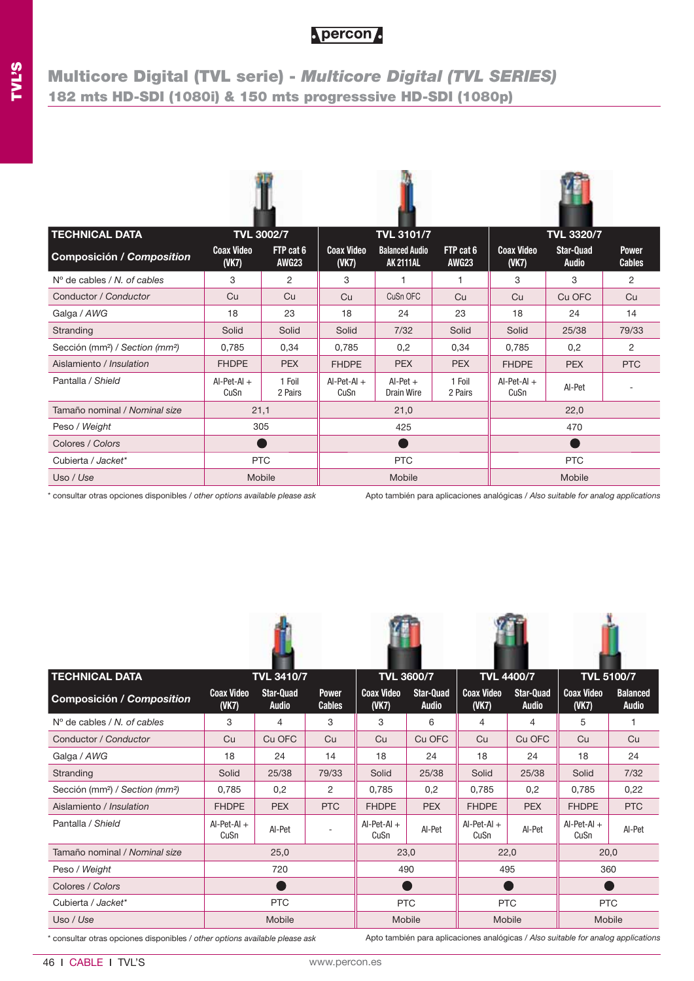## **Multicore Digital (TVL serie) -** *Multicore Digital (TVL SERIES)* **182 mts HD-SDI (1080i) & 150 mts progresssive HD-SDI (1080p)**

| <b>TECHNICAL DATA</b>                                   |                            | <b>TVL 3002/7</b>         |                            | <b>TVL 3101/7</b>                         |                           |                            | <b>TVL 3320/7</b>                |                               |  |  |
|---------------------------------------------------------|----------------------------|---------------------------|----------------------------|-------------------------------------------|---------------------------|----------------------------|----------------------------------|-------------------------------|--|--|
| <b>Composición / Composition</b>                        | <b>Coax Video</b><br>(VK7) | FTP cat 6<br><b>AWG23</b> | <b>Coax Video</b><br>(VK7) | <b>Balanced Audio</b><br><b>AK 2111AL</b> | FTP cat 6<br><b>AWG23</b> | <b>Coax Video</b><br>(VK7) | <b>Star-Quad</b><br><b>Audio</b> | <b>Power</b><br><b>Cables</b> |  |  |
| $N^{\circ}$ de cables / N, of cables                    | 3                          | 2                         | 3                          | 1                                         | 1                         | 3                          | 3                                | 2                             |  |  |
| Conductor / Conductor                                   | Cu                         | Cu                        | Cu                         | CuSn OFC                                  | Cu                        | Cu                         | Cu OFC                           | Cu                            |  |  |
| Galga / AWG                                             | 18                         | 23                        | 18                         | 24                                        | 23                        | 18                         | 24                               | 14                            |  |  |
| Stranding                                               | Solid                      | Solid                     | Solid                      | 7/32                                      | Solid                     | Solid                      | 25/38                            | 79/33                         |  |  |
| Sección (mm <sup>2</sup> ) / Section (mm <sup>2</sup> ) | 0.785                      | 0,34                      | 0,785                      | 0,2                                       | 0.34                      | 0,785                      | 0.2                              | 2                             |  |  |
| Aislamiento / Insulation                                | <b>FHDPE</b>               | <b>PEX</b>                | <b>FHDPE</b>               | <b>PEX</b>                                | <b>PEX</b>                | <b>FHDPE</b>               | <b>PEX</b>                       | <b>PTC</b>                    |  |  |
| Pantalla / Shield                                       | $AI-Pet-AI +$<br>CuSn      | 1 Foil<br>2 Pairs         | $AI-Pet-AI +$<br>CuSn      | $Al-Pet +$<br>Drain Wire                  | 1 Foil<br>2 Pairs         | $AI-Pet-AI +$<br>CuSn      | AI-Pet                           |                               |  |  |
| Tamaño nominal / Nominal size                           | 21,1                       |                           |                            | 21,0                                      |                           |                            | 22,0                             |                               |  |  |
| Peso / Weight                                           | 305                        |                           | 425                        |                                           |                           |                            | 470                              |                               |  |  |
| Colores / Colors                                        |                            |                           |                            |                                           |                           |                            |                                  |                               |  |  |
| Cubierta / Jacket*                                      | <b>PTC</b>                 |                           | <b>PTC</b>                 |                                           |                           | <b>PTC</b>                 |                                  |                               |  |  |
| Uso / Use                                               | Mobile                     |                           |                            | Mobile                                    |                           | Mobile                     |                                  |                               |  |  |

\* consultar otras opciones disponibles / *other options available please ask*

Apto también para aplicaciones analógicas / *Also suitable for analog applications*

| <b>TECHNICAL DATA</b>                                   |                            | <b>TVL 3410/7</b>         |                               | <b>TVL 3600/7</b>      |                           |                        | <b>TVL 4400/7</b>                | <b>TVL 5100/7</b>          |                                 |
|---------------------------------------------------------|----------------------------|---------------------------|-------------------------------|------------------------|---------------------------|------------------------|----------------------------------|----------------------------|---------------------------------|
| Composición / Composition                               | <b>Coax Video</b><br>(VK7) | Star-Quad<br><b>Audio</b> | <b>Power</b><br><b>Cables</b> | <b>Coax Video</b><br>( | Star-Quad<br><b>Audio</b> | <b>Coax Video</b><br>( | <b>Star-Quad</b><br><b>Audio</b> | <b>Coax Video</b><br>(VK7) | <b>Balanced</b><br><b>Audio</b> |
| $N^{\circ}$ de cables / N, of cables                    | 3                          | 4                         | 3                             | 3                      | 6                         | 4                      | 4                                | 5                          | 1                               |
| Conductor / Conductor                                   | Cu                         | Cu OFC                    | Cu                            | Cu                     | Cu OFC                    | Cu                     | Cu OFC                           | Cu                         | Cu                              |
| Galga / AWG                                             | 18                         | 24                        | 14                            | 18                     | 24                        | 18                     | 24                               | 18                         | 24                              |
| Stranding                                               | Solid                      | 25/38                     | 79/33                         | Solid                  | 25/38                     | Solid                  | 25/38                            | Solid                      | 7/32                            |
| Sección (mm <sup>2</sup> ) / Section (mm <sup>2</sup> ) | 0,785                      | 0,2                       | 2                             | 0,785                  | 0,2                       | 0,785                  | 0,2                              | 0,785                      | 0,22                            |
| Aislamiento / Insulation                                | <b>FHDPE</b>               | <b>PEX</b>                | <b>PTC</b>                    | <b>FHDPE</b>           | <b>PEX</b>                | <b>FHDPE</b>           | <b>PEX</b>                       | <b>FHDPE</b>               | <b>PTC</b>                      |
| Pantalla / Shield                                       | $AI-Pet-AI +$<br>CuSn      | AI-Pet                    | $\overline{\phantom{a}}$      | $Al-Pet-Al +$<br>CuSn  | AI-Pet                    | $AI-Pet-AI +$<br>CuSn  | AI-Pet                           | $AI-Pet-AI +$<br>CuSn      | AI-Pet                          |
| Tamaño nominal / Nominal size                           |                            | 25,0                      |                               | 23,0                   |                           | 22,0                   |                                  | 20,0                       |                                 |
| Peso / Weight                                           |                            | 720                       |                               | 490                    |                           | 495                    |                                  | 360                        |                                 |
| Colores / Colors                                        |                            | - 1                       |                               |                        |                           |                        |                                  | r i                        |                                 |
| Cubierta / Jacket*                                      |                            | <b>PTC</b>                |                               | <b>PTC</b>             |                           | <b>PTC</b>             |                                  | <b>PTC</b>                 |                                 |
| Uso / Use                                               |                            | Mobile                    |                               | Mobile                 |                           | Mobile                 |                                  | Mobile                     |                                 |

\* consultar otras opciones disponibles / *other options available please ask*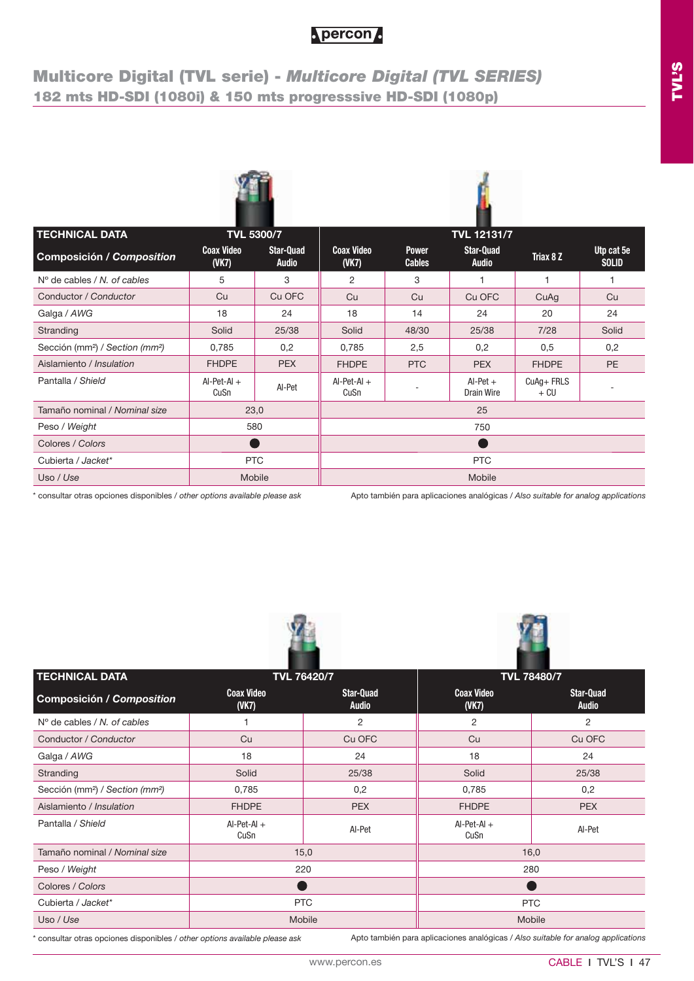## **Multicore Digital (TVL serie) -** *Multicore Digital (TVL SERIES)* **182 mts HD-SDI (1080i) & 150 mts progresssive HD-SDI (1080p)**





| <b>TECHNICAL DATA</b>                                   |                            | <b>TVL 5300/7</b>  |                            |                               | <b>TVL 12131/7</b>               |                   |                            |  |
|---------------------------------------------------------|----------------------------|--------------------|----------------------------|-------------------------------|----------------------------------|-------------------|----------------------------|--|
| Composición / Composition                               | <b>Coax Video</b><br>(VK7) | Star-Quad<br>Audio | <b>Coax Video</b><br>(VK7) | <b>Power</b><br><b>Cables</b> | <b>Star-Quad</b><br><b>Audio</b> | Triax 8 Z         | Utp cat 5e<br><b>SOLID</b> |  |
| $N^{\circ}$ de cables / N, of cables                    | 5                          | 3                  | 2                          | 3                             |                                  |                   |                            |  |
| Conductor / Conductor                                   | Cu                         | Cu OFC             | Cu                         | Cu                            | Cu OFC                           | CuAq              | Cu                         |  |
| Galga / AWG                                             | 18                         | 24                 | 18                         | 14                            | 24                               | 20                | 24                         |  |
| Stranding                                               | Solid                      | 25/38              | Solid                      | 48/30                         | 25/38                            | 7/28              | Solid                      |  |
| Sección (mm <sup>2</sup> ) / Section (mm <sup>2</sup> ) | 0,785                      | 0,2                | 0,785                      | 2,5                           | 0,2                              | 0,5               | 0,2                        |  |
| Aislamiento / Insulation                                | <b>FHDPE</b>               | <b>PEX</b>         | <b>FHDPE</b>               | <b>PTC</b>                    | <b>PEX</b>                       | <b>FHDPE</b>      | <b>PE</b>                  |  |
| Pantalla / Shield                                       | $AI-Pet-AI +$<br>CuSn      | AI-Pet             | $AI-Pet-AI +$<br>CuSn      |                               | $Al-Pet +$<br>Drain Wire         | CuAq+FRLS<br>+ CU |                            |  |
| Tamaño nominal / Nominal size                           |                            | 23,0               |                            |                               | 25                               |                   |                            |  |
| Peso / Weight                                           |                            | 580                |                            |                               | 750                              |                   |                            |  |
| Colores / Colors                                        |                            |                    |                            |                               |                                  |                   |                            |  |
| Cubierta / Jacket*                                      |                            | <b>PTC</b>         | <b>PTC</b>                 |                               |                                  |                   |                            |  |
| Uso / Use                                               |                            | Mobile             |                            |                               | Mobile                           |                   |                            |  |
|                                                         |                            |                    |                            |                               |                                  | .                 |                            |  |

\* consultar otras opciones disponibles / *other options available please ask* Apto también para aplicaciones analógicas / *Also suitable for analog applications*





| <b>TECHNICAL DATA</b>                                   |                        | <b>TVL 76420/7</b>               |                       | <b>TVL 78480/7</b>               |  |  |
|---------------------------------------------------------|------------------------|----------------------------------|-----------------------|----------------------------------|--|--|
| Composición / Composition                               | <b>Coax Video</b><br>( | <b>Star-Quad</b><br><b>Audio</b> |                       | <b>Star-Quad</b><br><b>Audio</b> |  |  |
| $No$ de cables / N, of cables                           |                        | 2                                | 2                     | 2                                |  |  |
| Conductor / Conductor                                   | Cu                     | Cu OFC                           | Cu                    | Cu OFC                           |  |  |
| Galga / AWG                                             | 18                     | 24                               | 18                    | 24                               |  |  |
| Stranding                                               | Solid                  | 25/38                            | Solid                 | 25/38                            |  |  |
| Sección (mm <sup>2</sup> ) / Section (mm <sup>2</sup> ) | 0,785                  | 0,2                              | 0,785                 | 0,2                              |  |  |
| Aislamiento / Insulation                                | <b>FHDPE</b>           | <b>PEX</b>                       | <b>FHDPE</b>          | <b>PEX</b>                       |  |  |
| Pantalla / Shield                                       | $AI-Pet-AI +$<br>CuSn  | AI-Pet                           | $AI-Pet-AI +$<br>CuSn | AI-Pet                           |  |  |
| Tamaño nominal / Nominal size                           |                        | 15,0                             |                       | 16,0                             |  |  |
| Peso / Weight                                           |                        | 220                              |                       | 280                              |  |  |
| Colores / Colors                                        |                        |                                  |                       |                                  |  |  |
| Cubierta / Jacket*                                      |                        | <b>PTC</b>                       | <b>PTC</b>            |                                  |  |  |
| Uso / Use                                               |                        | Mobile                           | <b>Mobile</b>         |                                  |  |  |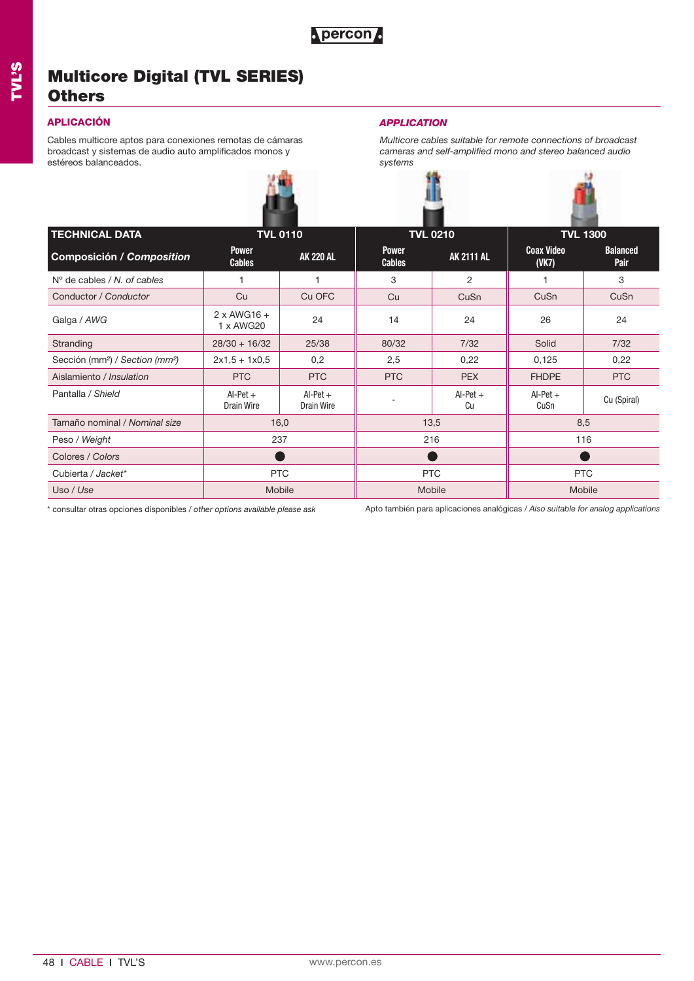## **Multicore Digital (TVL SERIES) Others**

## **APLICACIÓN** *APPLICATION*

Cables multicore aptos para conexiones remotas de cámaras broadcast y sistemas de audio auto amplificados monos y estéreos balanceados.



*Multicore cables suitable for remote connections of broadcast cameras and self-amplified mono and stereo balanced audio systems* 

| <b>TECHNICAL DATA</b>                                   |                                 | <b>TVL 0110</b>          |                               | <b>TVL 0210</b>   |                            | <b>TVL 1300</b>         |  |
|---------------------------------------------------------|---------------------------------|--------------------------|-------------------------------|-------------------|----------------------------|-------------------------|--|
| Composición / Composition                               | <b>Power</b><br><b>Cables</b>   | <b>AK 220 AL</b>         | <b>Power</b><br><b>Cables</b> | <b>AK 2111 AL</b> | <b>Coax Video</b><br>(VK7) | <b>Balanced</b><br>Pair |  |
| $No$ de cables / N, of cables                           |                                 |                          | 3                             | $\overline{2}$    |                            | 3                       |  |
| Conductor / Conductor                                   | Cu                              | Cu OFC                   | Cu                            | CuSn              | CuSn                       | CuSn                    |  |
| Galga / AWG                                             | $2 \times$ AWG16 +<br>1 x AWG20 | 24                       | 14                            | 24                | 26                         | 24                      |  |
| Stranding                                               | $28/30 + 16/32$                 | 25/38                    | 80/32                         | 7/32              | Solid                      | 7/32                    |  |
| Sección (mm <sup>2</sup> ) / Section (mm <sup>2</sup> ) | $2x1,5 + 1x0,5$                 | 0,2                      | 2,5                           | 0,22              | 0,125                      | 0,22                    |  |
| Aislamiento / Insulation                                | <b>PTC</b>                      | <b>PTC</b>               | <b>PTC</b>                    | <b>PEX</b>        | <b>FHDPE</b>               | <b>PTC</b>              |  |
| Pantalla / Shield                                       | $Al-Pet +$<br>Drain Wire        | $Al-Pet +$<br>Drain Wire |                               | $Al-Pet +$<br>Cu  | $Al-Pet +$<br>CuSn         | Cu (Spiral)             |  |
| Tamaño nominal / Nominal size                           | 16,0                            |                          |                               | 13,5              | 8,5                        |                         |  |
| Peso / Weight                                           | 237                             |                          |                               | 216               | 116                        |                         |  |
| Colores / Colors                                        |                                 |                          |                               |                   |                            |                         |  |
| Cubierta / Jacket*                                      | <b>PTC</b>                      |                          |                               | <b>PTC</b>        | <b>PTC</b>                 |                         |  |
| Uso / Use                                               | Mobile                          |                          |                               | Mobile            | Mobile                     |                         |  |

\* consultar otras opciones disponibles / *other options available please ask*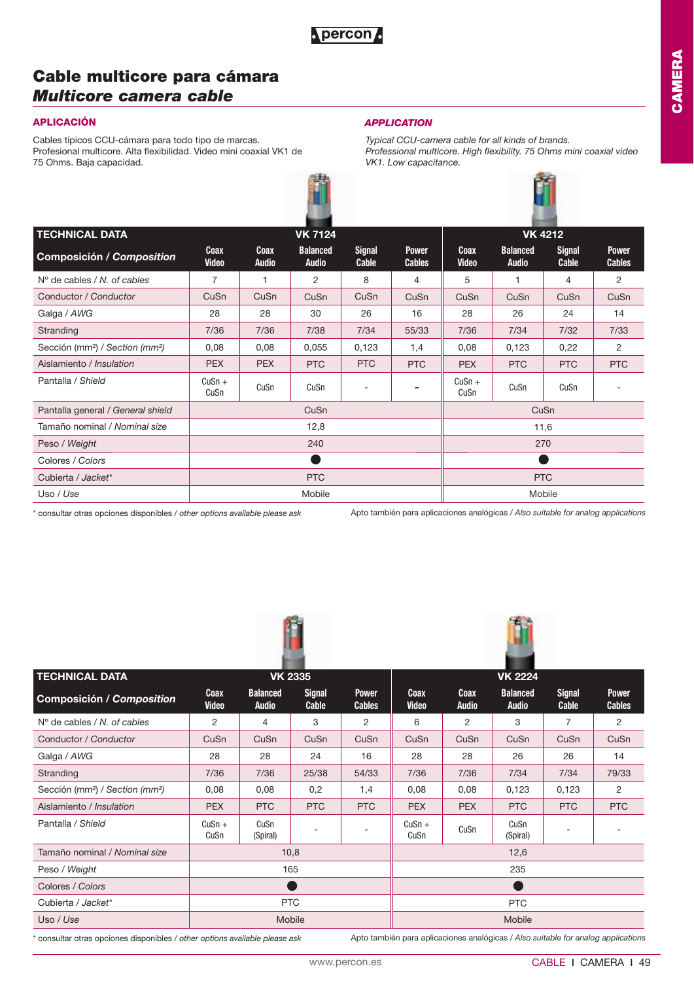## **Cable multicore para cámara**  *Multicore camera cable*

## **APLICACIÓN** *APPLICATION*

Cables típicos CCU-cámara para todo tipo de marcas. Profesional multicore. Alta flexibilidad. Video mini coaxial VK1 de 75 Ohms. Baja capacidad.



*Typical CCU-camera cable for all kinds of brands. Professional multicore. High flexibility. 75 Ohms mini coaxial video VK1. Low capacitance.*

| <b>TECHNICAL DATA</b>                                   |                             | <b>VK 7124</b>              |                                 |                        |                               |                             | <b>VK 4212</b>                  |                        |                               |  |  |
|---------------------------------------------------------|-----------------------------|-----------------------------|---------------------------------|------------------------|-------------------------------|-----------------------------|---------------------------------|------------------------|-------------------------------|--|--|
| <b>Composición / Composition</b>                        | <b>Coax</b><br><b>Video</b> | <b>Coax</b><br><b>Audio</b> | <b>Balanced</b><br><b>Audio</b> | <b>Signal</b><br>Cable | <b>Power</b><br><b>Cables</b> | <b>Coax</b><br><b>Video</b> | <b>Balanced</b><br><b>Audio</b> | <b>Signal</b><br>Cable | <b>Power</b><br><b>Cables</b> |  |  |
| $N^{\circ}$ de cables / N, of cables                    | $\overline{7}$              |                             | 2                               | 8                      | 4                             | 5                           | 1                               | 4                      | 2                             |  |  |
| Conductor / Conductor                                   | CuSn                        | CuSn                        | CuSn                            | CuSn                   | CuSn                          | CuSn                        | CuSn                            | CuSn                   | CuSn                          |  |  |
| Galga / AWG                                             | 28                          | 28                          | 30                              | 26                     | 16                            | 28                          | 26                              | 24                     | 14                            |  |  |
| Stranding                                               | 7/36                        | 7/36                        | 7/38                            | 7/34                   | 55/33                         | 7/36                        | 7/34                            | 7/32                   | 7/33                          |  |  |
| Sección (mm <sup>2</sup> ) / Section (mm <sup>2</sup> ) | 0,08                        | 0,08                        | 0,055                           | 0,123                  | 1,4                           | 0,08                        | 0,123                           | 0,22                   | 2                             |  |  |
| Aislamiento / Insulation                                | <b>PEX</b>                  | <b>PEX</b>                  | <b>PTC</b>                      | <b>PTC</b>             | <b>PTC</b>                    | <b>PEX</b>                  | <b>PTC</b>                      | <b>PTC</b>             | <b>PTC</b>                    |  |  |
| Pantalla / Shield                                       | $CuSn +$<br>CuSn            | CuSn                        | CuSn                            | ٠                      |                               | $CuSn +$<br>CuSn            | CuSn                            | CuSn                   |                               |  |  |
| Pantalla general / General shield                       |                             |                             | CuSn                            |                        |                               |                             | CuSn                            |                        |                               |  |  |
| Tamaño nominal / Nominal size                           |                             |                             | 12,8                            |                        |                               |                             |                                 | 11,6                   |                               |  |  |
| Peso / Weight                                           |                             |                             | 240                             |                        |                               |                             |                                 | 270                    |                               |  |  |
| Colores / Colors                                        |                             |                             | r i                             |                        |                               |                             |                                 |                        |                               |  |  |
| Cubierta / Jacket*                                      |                             |                             | <b>PTC</b>                      |                        |                               |                             |                                 | <b>PTC</b>             |                               |  |  |
| Uso / Use                                               |                             |                             | Mobile                          |                        |                               |                             |                                 | Mobile                 |                               |  |  |

\* consultar otras opciones disponibles / *other options available please ask*

Apto también para aplicaciones analógicas / *Also suitable for analog applications*





| <b>TECHNICAL DATA</b>                                   |                      |                                 | <b>VK 2335</b>         |                               |                      |                             | <b>VK 2224</b>                  |                        |                               |
|---------------------------------------------------------|----------------------|---------------------------------|------------------------|-------------------------------|----------------------|-----------------------------|---------------------------------|------------------------|-------------------------------|
| Composición / Composition                               | Coax<br><b>Video</b> | <b>Balanced</b><br><b>Audio</b> | <b>Signal</b><br>Cable | <b>Power</b><br><b>Cables</b> | Coax<br><b>Video</b> | <b>Coax</b><br><b>Audio</b> | <b>Balanced</b><br><b>Audio</b> | <b>Signal</b><br>Cable | <b>Power</b><br><b>Cables</b> |
| $N^{\circ}$ de cables / N, of cables                    | 2                    | 4                               | 3                      | 2                             | 6                    | 2                           | 3                               | 7                      | 2                             |
| Conductor / Conductor                                   | CuSn                 | CuSn                            | CuSn                   | CuSn                          | CuSn                 | CuSn                        | CuSn                            | CuSn                   | CuSn                          |
| Galga / AWG                                             | 28                   | 28                              | 24                     | 16                            | 28                   | 28                          | 26                              | 26                     | 14                            |
| Stranding                                               | 7/36                 | 7/36                            | 25/38                  | 54/33                         | 7/36                 | 7/36                        | 7/34                            | 7/34                   | 79/33                         |
| Sección (mm <sup>2</sup> ) / Section (mm <sup>2</sup> ) | 0,08                 | 0,08                            | 0,2                    | 1,4                           | 0,08                 | 0,08                        | 0,123                           | 0,123                  | 2                             |
| Aislamiento / Insulation                                | <b>PEX</b>           | <b>PTC</b>                      | <b>PTC</b>             | <b>PTC</b>                    | <b>PEX</b>           | <b>PEX</b>                  | PTC                             | <b>PTC</b>             | <b>PTC</b>                    |
| Pantalla / Shield                                       | $CuSn +$<br>CuSn     | CuSn<br>(Spiral)                |                        |                               | $CuSn +$<br>CuSn     | CuSn                        | CuSn<br>(Spiral)                |                        |                               |
| Tamaño nominal / Nominal size                           |                      |                                 | 10,8                   |                               |                      |                             | 12,6                            |                        |                               |
| Peso / Weight                                           |                      |                                 | 165                    |                               |                      |                             | 235                             |                        |                               |
| Colores / Colors                                        |                      |                                 |                        |                               |                      |                             |                                 |                        |                               |
| Cubierta / Jacket*                                      | <b>PTC</b>           |                                 |                        |                               | <b>PTC</b>           |                             |                                 |                        |                               |
| Uso / Use                                               |                      |                                 | Mobile                 |                               |                      |                             | Mobile                          |                        |                               |

\* consultar otras opciones disponibles / *other options available please ask*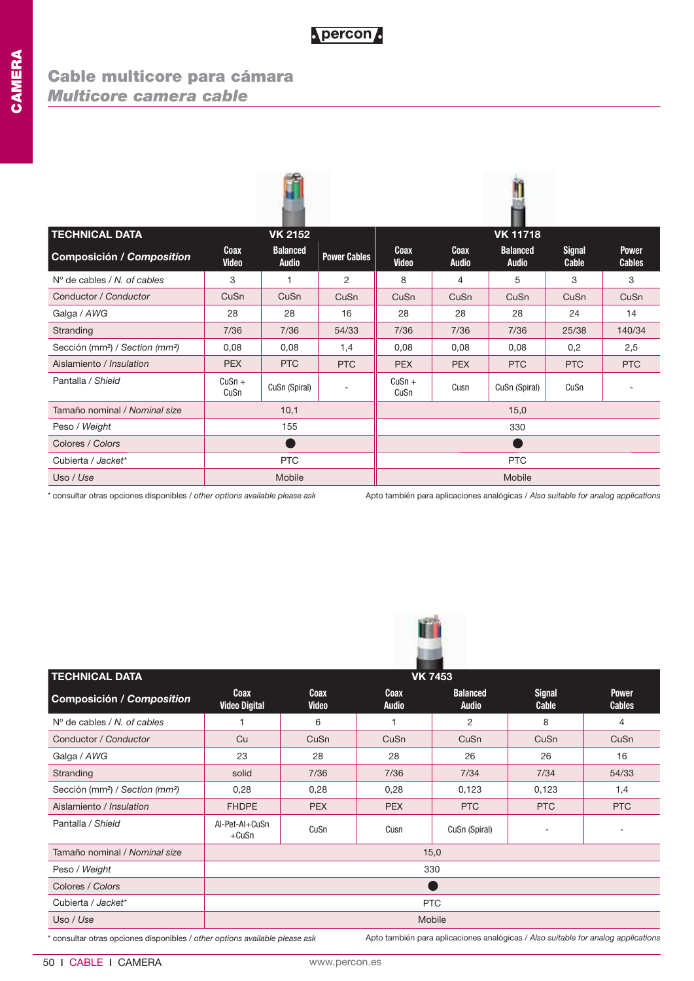## **Cable multicore para cámara**  *Multicore camera cable*

| <b>TECHNICAL DATA</b>                                   |                          | <b>VK 2152</b>                  |                     |                      |                      | <b>VK 11718</b>                 |                        |                               |
|---------------------------------------------------------|--------------------------|---------------------------------|---------------------|----------------------|----------------------|---------------------------------|------------------------|-------------------------------|
| Composición / Composition                               | Coax<br><b>Video</b>     | <b>Balanced</b><br><b>Audio</b> | <b>Power Cables</b> | Coax<br><b>Video</b> | Coax<br><b>Audio</b> | <b>Balanced</b><br><b>Audio</b> | <b>Signal</b><br>Cable | <b>Power</b><br><b>Cables</b> |
| $N^{\circ}$ de cables / N, of cables                    | 3                        | 1                               | 2                   | 8                    | 4                    | 5                               | 3                      | 3                             |
| Conductor / Conductor                                   | CuSn                     | CuSn                            | CuSn                | CuSn                 | CuSn                 | CuSn                            | CuSn                   | CuSn                          |
| Galga / AWG                                             | 28                       | 28                              | 16                  | 28                   | 28                   | 28                              | 24                     | 14                            |
| Stranding                                               | 7/36                     | 7/36                            | 54/33               | 7/36                 | 7/36                 | 7/36                            | 25/38                  | 140/34                        |
| Sección (mm <sup>2</sup> ) / Section (mm <sup>2</sup> ) | 0,08                     | 0,08                            | 1,4                 | 0,08                 | 0.08                 | 0.08                            | 0,2                    | 2,5                           |
| Aislamiento / Insulation                                | <b>PEX</b>               | <b>PTC</b>                      | <b>PTC</b>          | <b>PEX</b>           | <b>PEX</b>           | <b>PTC</b>                      | <b>PTC</b>             | <b>PTC</b>                    |
| Pantalla / Shield                                       | $CuSn +$<br>CuSn         | CuSn (Spiral)                   | $\sim$              | $CuSn +$<br>CuSn     | Cusn                 | CuSn (Spiral)                   | CuSn                   |                               |
| Tamaño nominal / Nominal size                           |                          | 10,1                            |                     |                      |                      | 15,0                            |                        |                               |
| Peso / Weight                                           |                          | 155                             |                     |                      |                      | 330                             |                        |                               |
| Colores / Colors                                        |                          | D                               |                     |                      |                      |                                 |                        |                               |
| Cubierta / Jacket*                                      | <b>PTC</b><br><b>PTC</b> |                                 |                     |                      |                      |                                 |                        |                               |
| Uso / Use                                               |                          | Mobile                          |                     |                      |                      | Mobile                          |                        |                               |

\* consultar otras opciones disponibles / *other options available please ask*

Apto también para aplicaciones analógicas / *Also suitable for analog applications*



| <b>TECHNICAL DATA</b>                                   |                                     |                      |                      | <b>VK 7453</b>                  |                        |                               |  |  |
|---------------------------------------------------------|-------------------------------------|----------------------|----------------------|---------------------------------|------------------------|-------------------------------|--|--|
| Composición / Composition                               | <b>Coax</b><br><b>Video Digital</b> | Coax<br><b>Video</b> | Coax<br><b>Audio</b> | <b>Balanced</b><br><b>Audio</b> | <b>Signal</b><br>Cable | <b>Power</b><br><b>Cables</b> |  |  |
| $No$ de cables / N, of cables                           |                                     | 6                    | 1                    | 2                               | 8                      | 4                             |  |  |
| Conductor / Conductor                                   | Cu                                  | CuSn                 | CuSn                 | CuSn                            | CuSn                   | CuSn                          |  |  |
| Galga / AWG                                             | 23                                  | 28                   | 28                   | 26                              | 26                     | 16                            |  |  |
| Stranding                                               | solid                               | 7/36                 | 7/36                 | 7/34                            | 7/34                   | 54/33                         |  |  |
| Sección (mm <sup>2</sup> ) / Section (mm <sup>2</sup> ) | 0,28                                | 0,28                 | 0,28                 | 0,123                           | 0,123                  | 1,4                           |  |  |
| Aislamiento / Insulation                                | <b>FHDPE</b>                        | <b>PEX</b>           | <b>PEX</b>           | <b>PTC</b>                      | <b>PTC</b>             | <b>PTC</b>                    |  |  |
| Pantalla / Shield                                       | Al-Pet-Al+CuSn<br>$+CuSn$           | CuSn                 | Cusn                 | CuSn (Spiral)                   |                        | ٠                             |  |  |
| Tamaño nominal / Nominal size                           |                                     |                      |                      | 15,0                            |                        |                               |  |  |
| Peso / Weight                                           |                                     |                      |                      | 330                             |                        |                               |  |  |
| Colores / Colors                                        |                                     |                      |                      |                                 |                        |                               |  |  |
| Cubierta / Jacket*                                      |                                     | <b>PTC</b>           |                      |                                 |                        |                               |  |  |
| Uso / Use                                               |                                     |                      |                      | Mobile                          |                        |                               |  |  |

\* consultar otras opciones disponibles / *other options available please ask*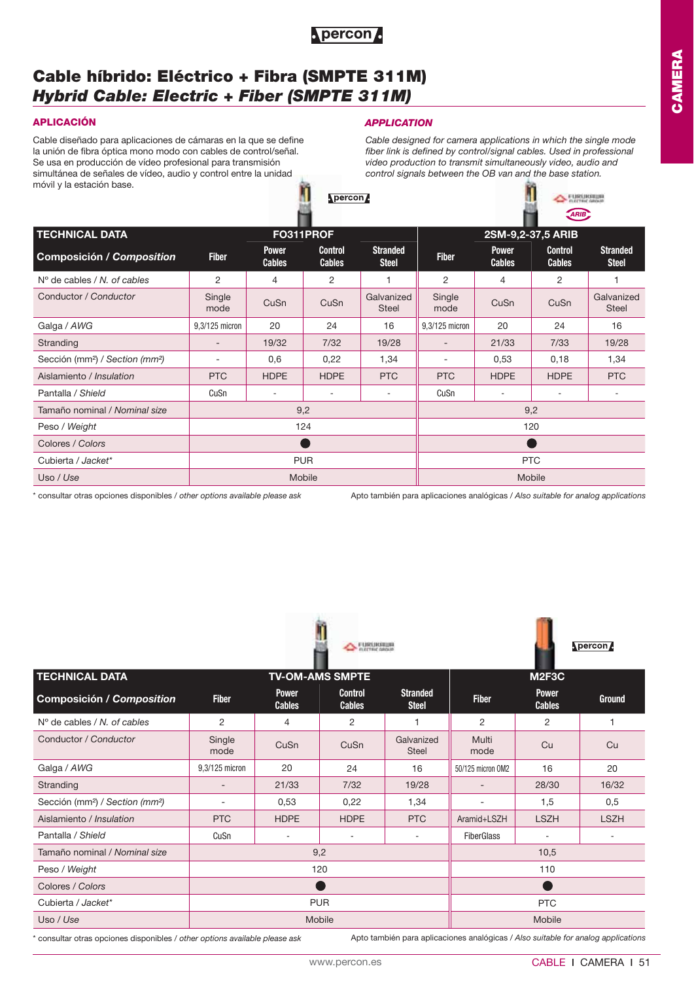

## **Cable híbrido: Eléctrico + Fibra (SMPTE 311M)** *Hybrid Cable: Electric + Fiber (SMPTE 311M)*

### **APLICACIÓN** *APPLICATION*

Cable diseñado para aplicaciones de cámaras en la que se define la unión de fibra óptica mono modo con cables de control/señal. Se usa en producción de vídeo profesional para transmisión simultánea de señales de vídeo, audio y control entre la unidad móvil y la estación base.

*Cable designed for camera applications in which the single mode fiber link is defined by control/signal cables. Used in professional video production to transmit simultaneously video, audio and control signals between the OB van and the base station.*

 $\leftarrow$  FURUIGIUM

|                                                         |                          |                               |                                 |                                 |                          |                               | ARIB                            |                                 |  |
|---------------------------------------------------------|--------------------------|-------------------------------|---------------------------------|---------------------------------|--------------------------|-------------------------------|---------------------------------|---------------------------------|--|
| <b>TECHNICAL DATA</b>                                   |                          | FO311PROF                     |                                 |                                 |                          | 2SM-9,2-37,5 ARIB             |                                 |                                 |  |
| <b>Composición / Composition</b>                        | <b>Fiber</b>             | <b>Power</b><br><b>Cables</b> | <b>Control</b><br><b>Cables</b> | <b>Stranded</b><br><b>Steel</b> | <b>Fiber</b>             | <b>Power</b><br><b>Cables</b> | <b>Control</b><br><b>Cables</b> | <b>Stranded</b><br><b>Steel</b> |  |
| $N^{\circ}$ de cables / N, of cables                    | 2                        | $\overline{4}$                | 2                               |                                 | 2                        | 4                             | 2                               |                                 |  |
| Conductor / Conductor                                   | Single<br>mode           | CuSn                          | CuSn                            | Galvanized<br><b>Steel</b>      | Single<br>mode           | CuSn                          | CuSn                            | Galvanized<br><b>Steel</b>      |  |
| Galga / AWG                                             | 9,3/125 micron           | 20                            | 24                              | 16                              | 9,3/125 micron           | 20                            | 24                              | 16                              |  |
| Stranding                                               | $\overline{\phantom{a}}$ | 19/32                         | 7/32                            | 19/28                           | $\overline{\phantom{a}}$ | 21/33                         | 7/33                            | 19/28                           |  |
| Sección (mm <sup>2</sup> ) / Section (mm <sup>2</sup> ) | ۰                        | 0,6                           | 0,22                            | 1,34                            | ۰                        | 0,53                          | 0,18                            | 1,34                            |  |
| Aislamiento / Insulation                                | <b>PTC</b>               | <b>HDPE</b>                   | <b>HDPE</b>                     | <b>PTC</b>                      | <b>PTC</b>               | <b>HDPE</b>                   | <b>HDPE</b>                     | <b>PTC</b>                      |  |
| Pantalla / Shield                                       | CuSn                     |                               | $\sim$                          |                                 | CuSn                     |                               |                                 |                                 |  |
| Tamaño nominal / Nominal size                           |                          |                               | 9,2                             |                                 |                          |                               | 9,2                             |                                 |  |
| Peso / Weight                                           |                          |                               | 124                             |                                 |                          |                               | 120                             |                                 |  |
| Colores / Colors                                        |                          |                               |                                 |                                 |                          |                               |                                 |                                 |  |
| Cubierta / Jacket*                                      | <b>PUR</b>               |                               |                                 |                                 |                          | <b>PTC</b>                    |                                 |                                 |  |
| Uso / Use                                               |                          |                               | Mobile                          |                                 |                          |                               | Mobile                          |                                 |  |
|                                                         |                          |                               |                                 |                                 |                          |                               |                                 |                                 |  |

\* consultar otras opciones disponibles / *other options available please ask*

Apto también para aplicaciones analógicas / *Also suitable for analog applications*

|                                                         |                          |                               | <b>WHAT FLEETING GROUP</b>      |                                 |                          |                               | $\blacksquare$ |
|---------------------------------------------------------|--------------------------|-------------------------------|---------------------------------|---------------------------------|--------------------------|-------------------------------|----------------|
| <b>TECHNICAL DATA</b>                                   |                          |                               | <b>TV-OM-AMS SMPTE</b>          |                                 |                          | M <sub>2F3C</sub>             |                |
| <b>Composición / Composition</b>                        | <b>Fiber</b>             | <b>Power</b><br><b>Cables</b> | <b>Control</b><br><b>Cables</b> | <b>Stranded</b><br><b>Steel</b> | <b>Fiber</b>             | <b>Power</b><br><b>Cables</b> | <b>Ground</b>  |
| $N^{\circ}$ de cables / N, of cables                    | 2                        | 4                             | 2                               |                                 | 2                        | $\overline{2}$                |                |
| Conductor / Conductor                                   | Single<br>mode           | CuSn                          | CuSn                            | Galvanized<br><b>Steel</b>      | Multi<br>mode            | Cu                            | Cu             |
| Galga / AWG                                             | 9,3/125 micron           | 20                            | 24                              | 16                              | 50/125 micron OM2        | 16                            | 20             |
| Stranding                                               | $\overline{\phantom{0}}$ | 21/33                         | 7/32                            | 19/28                           | $\overline{\phantom{a}}$ | 28/30                         | 16/32          |
| Sección (mm <sup>2</sup> ) / Section (mm <sup>2</sup> ) | ٠                        | 0,53                          | 0,22                            | 1,34                            | ٠                        | 1,5                           | 0,5            |
| Aislamiento / Insulation                                | <b>PTC</b>               | <b>HDPE</b>                   | <b>HDPE</b>                     | <b>PTC</b>                      | Aramid+LSZH              | <b>LSZH</b>                   | <b>LSZH</b>    |
| Pantalla / Shield                                       | CuSn                     |                               |                                 | ٠                               | <b>FiberGlass</b>        |                               | ٠              |
| Tamaño nominal / Nominal size                           |                          |                               | 9,2                             |                                 |                          | 10,5                          |                |
| Peso / Weight                                           |                          |                               | 120                             |                                 | 110                      |                               |                |
| Colores / Colors                                        |                          |                               |                                 |                                 |                          |                               |                |
| Cubierta / Jacket*                                      |                          |                               | <b>PUR</b>                      |                                 | <b>PTC</b>               |                               |                |
| Uso / Use                                               |                          |                               | Mobile                          |                                 |                          | Mobile                        |                |

**FURUISIUS** 

\* consultar otras opciones disponibles / *other options available please ask*

Apto también para aplicaciones analógicas / *Also suitable for analog applications*

nercon A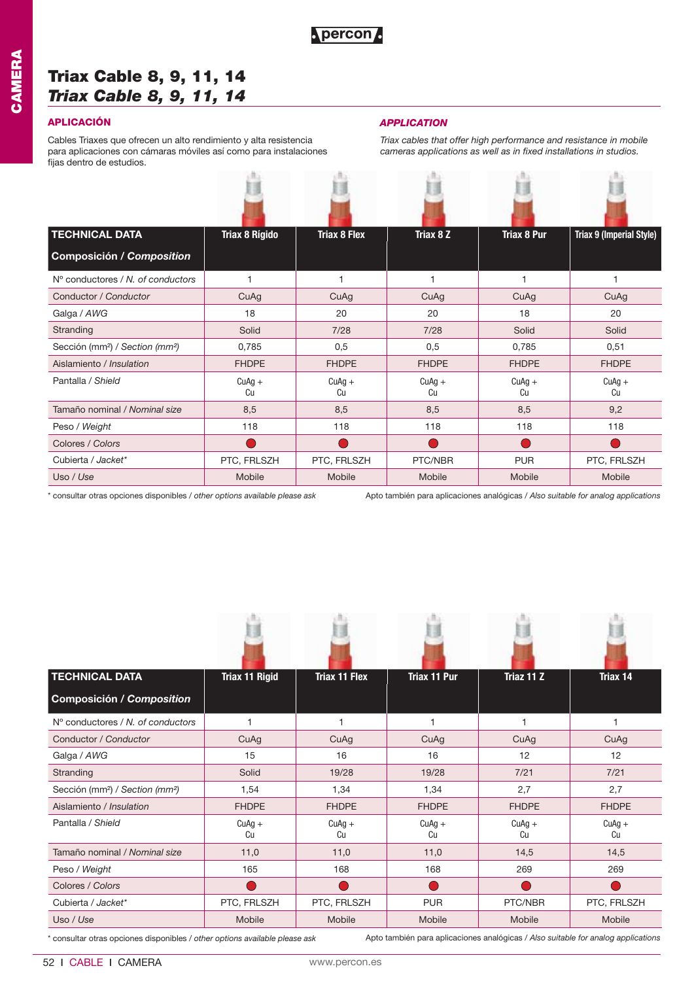## **Triax Cable 8, 9, 11, 14**  *Triax Cable 8, 9, 11, 14*

### **APLICACIÓN** *APPLICATION*

Cables Triaxes que ofrecen un alto rendimiento y alta resistencia para aplicaciones con cámaras móviles así como para instalaciones fijas dentro de estudios. 西 西

*Triax cables that offer high performance and resistance in mobile cameras applications as well as in fixed installations in studios.*

| <b>TECHNICAL DATA</b>                                   | <b>Triax 8 Rígido</b> | <b>Triax 8 Flex</b> | Triax 8 Z      | <b>Triax 8 Pur</b> | Triax 9 (Imperial Style) |
|---------------------------------------------------------|-----------------------|---------------------|----------------|--------------------|--------------------------|
| <b>Composición / Composition</b>                        |                       |                     |                |                    |                          |
| N° conductores / N. of conductors                       |                       |                     |                |                    |                          |
| Conductor / Conductor                                   | CuAg                  | CuAg                | CuAg           | CuAg               | CuAg                     |
| Galga / AWG                                             | 18                    | 20                  | 20             | 18                 | 20                       |
| Stranding                                               | Solid                 | 7/28                | 7/28           | Solid              | Solid                    |
| Sección (mm <sup>2</sup> ) / Section (mm <sup>2</sup> ) | 0,785                 | 0,5                 | 0,5            | 0,785              | 0,51                     |
| Aislamiento / Insulation                                | <b>FHDPE</b>          | <b>FHDPE</b>        | <b>FHDPE</b>   | <b>FHDPE</b>       | <b>FHDPE</b>             |
| Pantalla / Shield                                       | $CuAg +$<br>Cu        | $CuAg +$<br>Cu      | $CuAg +$<br>Cu | $CuAg +$<br>Cu     | $CuAg +$<br>Cu           |
| Tamaño nominal / Nominal size                           | 8,5                   | 8,5                 | 8,5            | 8,5                | 9,2                      |
| Peso / Weight                                           | 118                   | 118                 | 118            | 118                | 118                      |
| Colores / Colors                                        |                       |                     |                |                    |                          |
| Cubierta / Jacket*                                      | PTC, FRLSZH           | PTC, FRLSZH         | PTC/NBR        | <b>PUR</b>         | PTC, FRLSZH              |
| Uso / Use                                               | Mobile                | Mobile              | Mobile         | Mobile             | Mobile                   |

\* consultar otras opciones disponibles / *other options available please ask*

Apto también para aplicaciones analógicas / *Also suitable for analog applications*

| <b>TECHNICAL DATA</b>                                                       | <b>Triax 11 Rigid</b> | <b>Triax 11 Flex</b> | <b>Triax 11 Pur</b> | Triaz 11 Z     | Triax 14                                                                          |
|-----------------------------------------------------------------------------|-----------------------|----------------------|---------------------|----------------|-----------------------------------------------------------------------------------|
| <b>Composición / Composition</b>                                            |                       |                      |                     |                |                                                                                   |
| $No$ conductores / N, of conductors                                         | $\overline{1}$        | 1                    |                     |                |                                                                                   |
| Conductor / Conductor                                                       | CuAg                  | CuAq                 | CuAg                | CuAg           | CuAg                                                                              |
| Galga / AWG                                                                 | 15                    | 16                   | 16                  | 12             | 12                                                                                |
| Stranding                                                                   | Solid                 | 19/28                | 19/28               | 7/21           | 7/21                                                                              |
| Sección (mm <sup>2</sup> ) / Section (mm <sup>2</sup> )                     | 1,54                  | 1,34                 | 1,34                | 2,7            | 2,7                                                                               |
| Aislamiento / Insulation                                                    | <b>FHDPE</b>          | <b>FHDPE</b>         | <b>FHDPE</b>        | <b>FHDPE</b>   | <b>FHDPE</b>                                                                      |
| Pantalla / Shield                                                           | $CuAg +$<br>Cu        | $CuAg +$<br>Cu       | $CuAg +$<br>Cu      | $CuAg +$<br>Cu | $CuAg +$<br>Cu                                                                    |
| Tamaño nominal / Nominal size                                               | 11,0                  | 11,0                 | 11,0                | 14,5           | 14,5                                                                              |
| Peso / Weight                                                               | 165                   | 168                  | 168                 | 269            | 269                                                                               |
| Colores / Colors                                                            |                       |                      |                     |                |                                                                                   |
| Cubierta / Jacket*                                                          | PTC, FRLSZH           | PTC, FRLSZH          | <b>PUR</b>          | PTC/NBR        | PTC, FRLSZH                                                                       |
| Uso / Use                                                                   | Mobile                | Mobile               | Mobile              | Mobile         | Mobile                                                                            |
| * consultar otras opciones disponibles / other options available please ask |                       |                      |                     |                | Apto también para aplicaciones analógicas / Also suitable for analog applications |

52 ı CABLE ı CAMERA www.percon.es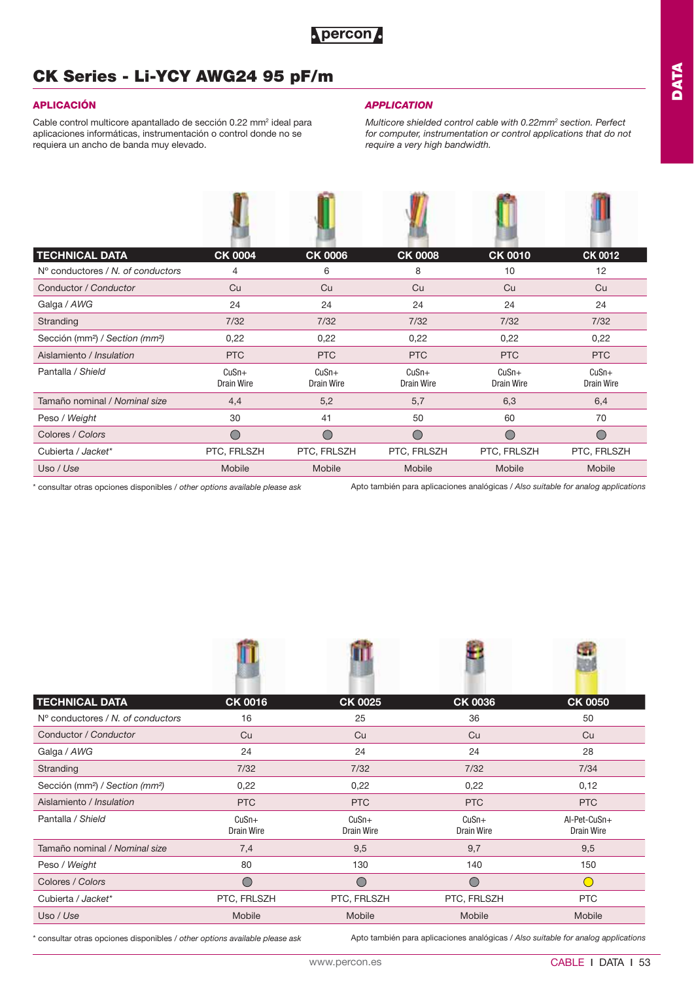## **CK Series - Li-YCY AWG24 95 pF/m**

Cable control multicore apantallado de sección 0.22 mm<sup>2</sup> ideal para aplicaciones informáticas, instrumentación o control donde no se requiera un ancho de banda muy elevado.

**COLOR** 

### **APLICACIÓN** *APPLICATION*

*Multicore shielded control cable with 0.22mm2 section. Perfect for computer, instrumentation or control applications that do not require a very high bandwidth.*

| <b>TECHNICAL DATA</b>                                   | <b>CK 0004</b>        | <b>CK 0006</b>               | <b>CK 0008</b>        | <b>CK 0010</b>        | <b>CK 0012</b>        |
|---------------------------------------------------------|-----------------------|------------------------------|-----------------------|-----------------------|-----------------------|
| $No$ conductores / N, of conductors                     | $\overline{4}$        | 6                            | 8                     | 10                    | 12                    |
| Conductor / Conductor                                   | Cu                    | Cu                           | Cu                    | Cu                    | Cu                    |
| Galga / AWG                                             | 24                    | 24                           | 24                    | 24                    | 24                    |
| Stranding                                               | 7/32                  | $7/32$                       | $7/32$                | $7/32$                | $7/32$                |
| Sección (mm <sup>2</sup> ) / Section (mm <sup>2</sup> ) | 0,22                  | 0,22                         | 0,22                  | 0,22                  | 0,22                  |
| Aislamiento / Insulation                                | <b>PTC</b>            | <b>PTC</b>                   | <b>PTC</b>            | <b>PTC</b>            | <b>PTC</b>            |
| Pantalla / Shield                                       | $CuSn+$<br>Drain Wire | $CuSn+$<br><b>Drain Wire</b> | $CuSn+$<br>Drain Wire | $CuSn+$<br>Drain Wire | $CuSn+$<br>Drain Wire |
| Tamaño nominal / Nominal size                           | 4,4                   | 5,2                          | 5,7                   | 6,3                   | 6,4                   |
| Peso / Weight                                           | 30                    | 41                           | 50                    | 60                    | 70                    |
| Colores / Colors                                        | $\bigcirc$            |                              | C                     | $\bigcirc$            | $\bigcirc$            |
| Cubierta / Jacket*                                      | PTC, FRLSZH           | PTC, FRLSZH                  | PTC, FRLSZH           | PTC, FRLSZH           | PTC, FRLSZH           |
| Uso / Use                                               | Mobile                | Mobile                       | Mobile                | Mobile                | Mobile                |

Apto también para aplicaciones analógicas / *Also suitable for analog applications* \* consultar otras opciones disponibles / *other options available please ask*

| <b>TECHNICAL DATA</b>                                   | <b>CK 0016</b>               | <b>CK 0025</b>               | <b>CK 0036</b>               | <b>CK 0050</b>                    |
|---------------------------------------------------------|------------------------------|------------------------------|------------------------------|-----------------------------------|
| $No$ conductores / N. of conductors                     | 16                           | 25                           | 36                           | 50                                |
| Conductor / Conductor                                   | Cu                           | Cu                           | Cu                           | Cu                                |
| Galga / AWG                                             | 24                           | 24                           | 24                           | 28                                |
| Stranding                                               | 7/32                         | 7/32                         | 7/32                         | 7/34                              |
| Sección (mm <sup>2</sup> ) / Section (mm <sup>2</sup> ) | 0,22                         | 0,22                         | 0,22                         | 0,12                              |
| Aislamiento / Insulation                                | <b>PTC</b>                   | <b>PTC</b>                   | <b>PTC</b>                   | <b>PTC</b>                        |
| Pantalla / Shield                                       | $CuSn+$<br><b>Drain Wire</b> | $CuSn+$<br><b>Drain Wire</b> | $CuSn+$<br><b>Drain Wire</b> | Al-Pet-CuSn+<br><b>Drain Wire</b> |
| Tamaño nominal / Nominal size                           | 7,4                          | 9,5                          | 9,7                          | 9,5                               |
| Peso / Weight                                           | 80                           | 130                          | 140                          | 150                               |
| Colores / Colors                                        | $\bigcirc$                   | $\subset$                    | ◯                            | $\overline{(\cdot)}$              |
| Cubierta / Jacket*                                      | PTC, FRLSZH                  | PTC, FRLSZH                  | PTC, FRLSZH                  | <b>PTC</b>                        |
| Uso / Use                                               | Mobile                       | Mobile                       | Mobile                       | Mobile                            |

\* consultar otras opciones disponibles / *other options available please ask*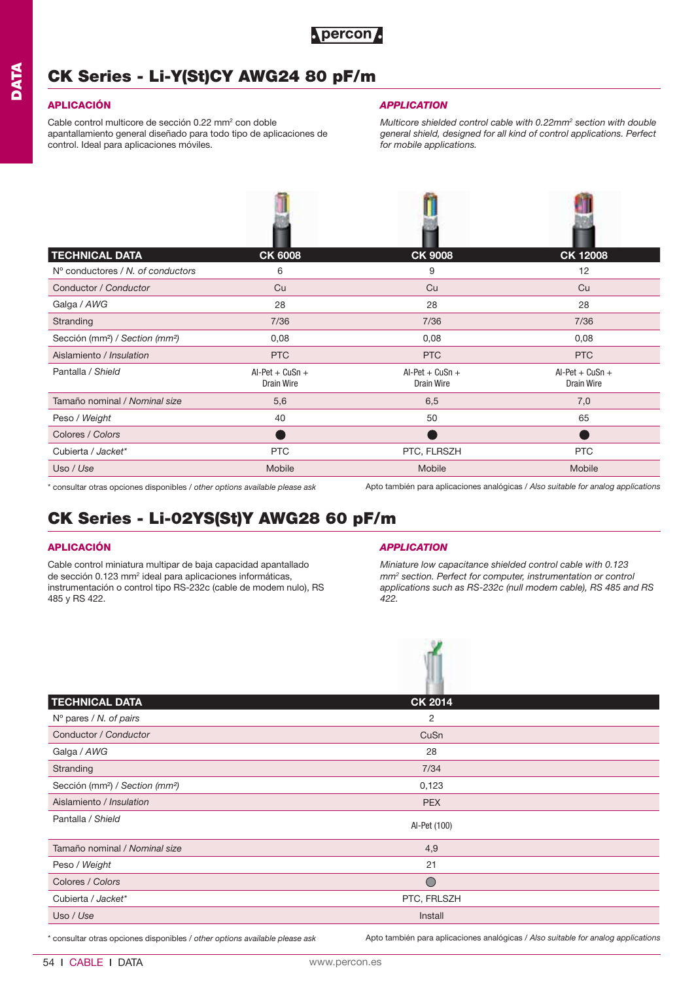

## **CK Series - Li-Y(St)CY AWG24 80 pF/m**

## **APLICACIÓN**

Cable control multicore de sección 0.22 mm<sup>2</sup> con doble apantallamiento general diseñado para todo tipo de aplicaciones de control. Ideal para aplicaciones móviles.

### *APPLICATION*

*Multicore shielded control cable with 0.22mm2 section with double general shield, designed for all kind of control applications. Perfect for mobile applications.*

| <b>TECHNICAL DATA</b>                                   | <b>CK 6008</b>                  | <b>CK 9008</b>                  | <b>CK 12008</b>                 |
|---------------------------------------------------------|---------------------------------|---------------------------------|---------------------------------|
| $No$ conductores / N, of conductors                     | 6                               | 9                               | 12                              |
| Conductor / Conductor                                   | Cu                              | Cu                              | Cu                              |
| Galga / AWG                                             | 28                              | 28                              | 28                              |
| Stranding                                               | 7/36                            | 7/36                            | 7/36                            |
| Sección (mm <sup>2</sup> ) / Section (mm <sup>2</sup> ) | 0,08                            | 0,08                            | 0,08                            |
| Aislamiento / Insulation                                | <b>PTC</b>                      | <b>PTC</b>                      | <b>PTC</b>                      |
| Pantalla / Shield                                       | $Al-Pet + CuSn +$<br>Drain Wire | $Al-Pet + CuSn +$<br>Drain Wire | $Al-Pet + CuSn +$<br>Drain Wire |
| Tamaño nominal / Nominal size                           | 5,6                             | 6,5                             | 7,0                             |
| Peso / Weight                                           | 40                              | 50                              | 65                              |
| Colores / Colors                                        |                                 |                                 |                                 |
| Cubierta / Jacket*                                      | <b>PTC</b>                      | PTC, FLRSZH                     | <b>PTC</b>                      |
| Uso / Use                                               | Mobile                          | Mobile                          | Mobile                          |

\* consultar otras opciones disponibles / *other options available please ask*

Apto también para aplicaciones analógicas / *Also suitable for analog applications*

## **CK Series - Li-02YS(St)Y AWG28 60 pF/m**

### **APLICACIÓN**

Cable control miniatura multipar de baja capacidad apantallado de sección 0.123 mm<sup>2</sup> ideal para aplicaciones informáticas, instrumentación o control tipo RS-232c (cable de modem nulo), RS 485 y RS 422.

### *APPLICATION*

 $\mathcal{L}$ 

*Miniature low capacitance shielded control cable with 0.123 mm2 section. Perfect for computer, instrumentation or control applications such as RS-232c (null modem cable), RS 485 and RS 422.*

| <b>TECHNICAL DATA</b>                                   | <b>CK 2014</b> |  |
|---------------------------------------------------------|----------------|--|
| $N^{\circ}$ pares / N. of pairs                         | 2              |  |
| Conductor / Conductor                                   | CuSn           |  |
| Galga / AWG                                             | 28             |  |
| Stranding                                               | 7/34           |  |
| Sección (mm <sup>2</sup> ) / Section (mm <sup>2</sup> ) | 0,123          |  |
| Aislamiento / Insulation                                | <b>PEX</b>     |  |
| Pantalla / Shield                                       | Al-Pet (100)   |  |
| Tamaño nominal / Nominal size                           | 4,9            |  |
| Peso / Weight                                           | 21             |  |
| Colores / Colors                                        | $\bigcirc$     |  |
| Cubierta / Jacket*                                      | PTC, FRLSZH    |  |
| Uso / Use                                               | Install        |  |

\* consultar otras opciones disponibles / *other options available please ask*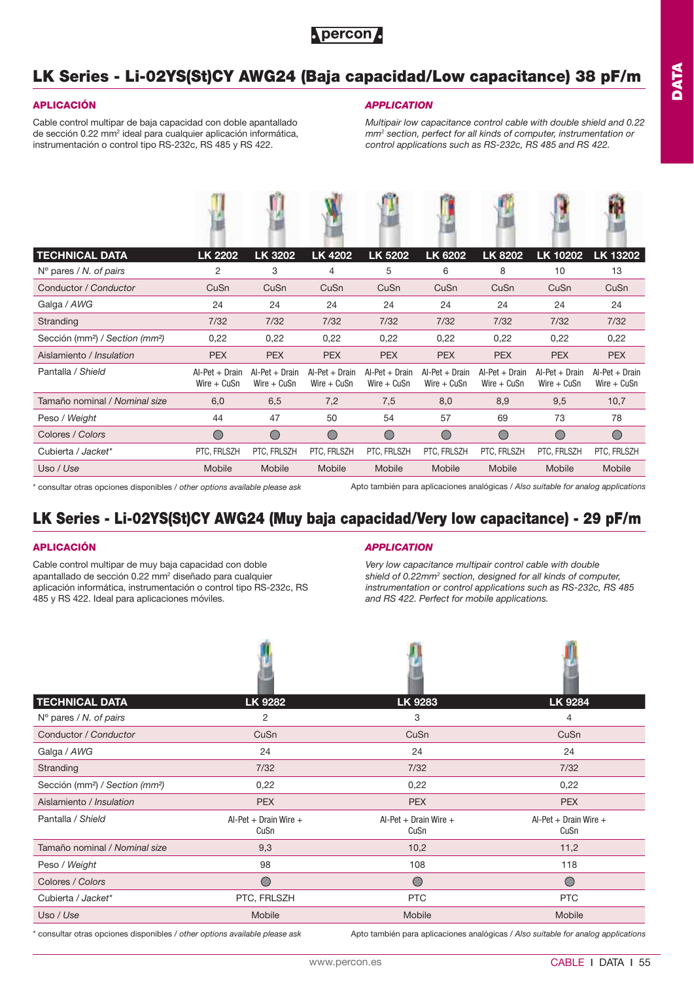## **LK Series - Li-02YS(St)CY AWG24 (Baja capacidad/Low capacitance) 38 pF/m**

### **APLICACIÓN**

Cable control multipar de baja capacidad con doble apantallado de sección 0.22 mm<sup>2</sup> ideal para cualquier aplicación informática, instrumentación o control tipo RS-232c, RS 485 y RS 422.

### *APPLICATION*

*Multipair low capacitance control cable with double shield and 0.22 mm2 section, perfect for all kinds of computer, instrumentation or control applications such as RS-232c, RS 485 and RS 422.*

| <b>TECHNICAL DATA</b>                                   | <b>LK 2202</b>                    | <b>LK 3202</b>                    | <b>LK 4202</b>                    | LK 5202                           | <b>LK 6202</b>                    | <b>LK 8202</b>                    | LK 10202                          | LK 13202                          |
|---------------------------------------------------------|-----------------------------------|-----------------------------------|-----------------------------------|-----------------------------------|-----------------------------------|-----------------------------------|-----------------------------------|-----------------------------------|
| $N^{\circ}$ pares / N. of pairs                         | 2                                 | 3                                 | 4                                 | 5                                 | 6                                 | 8                                 | 10                                | 13                                |
| Conductor / Conductor                                   | CuSn                              | CuSn                              | CuSn                              | CuSn                              | CuSn                              | CuSn                              | CuSn                              | CuSn                              |
| Galga / AWG                                             | 24                                | 24                                | 24                                | 24                                | 24                                | 24                                | 24                                | 24                                |
| Stranding                                               | 7/32                              | 7/32                              | 7/32                              | 7/32                              | 7/32                              | 7/32                              | 7/32                              | 7/32                              |
| Sección (mm <sup>2</sup> ) / Section (mm <sup>2</sup> ) | 0,22                              | 0,22                              | 0,22                              | 0,22                              | 0,22                              | 0,22                              | 0,22                              | 0,22                              |
| Aislamiento / Insulation                                | <b>PEX</b>                        | <b>PEX</b>                        | <b>PEX</b>                        | <b>PEX</b>                        | <b>PEX</b>                        | <b>PEX</b>                        | <b>PEX</b>                        | <b>PEX</b>                        |
| Pantalla / Shield                                       | $Al-Pet + Drain$<br>$Wire + CuSn$ | $Al-Pet + Drain$<br>$Wire + CuSn$ | $Al-Pet + Drain$<br>$Wire + CuSn$ | $Al-Pet + Drain$<br>$Wire + CuSn$ | $Al-Pet + Drain$<br>Wire $+$ CuSn | $Al-Pet + Drain$<br>Wire $+$ CuSn | $Al-Pet + Drain$<br>$Wire + CuSn$ | $Al-Pet + Drain$<br>Wire $+$ CuSn |
| Tamaño nominal / Nominal size                           | 6,0                               | 6,5                               | 7,2                               | 7,5                               | 8,0                               | 8,9                               | 9,5                               | 10,7                              |
| Peso / Weight                                           | 44                                | 47                                | 50                                | 54                                | 57                                | 69                                | 73                                | 78                                |
| Colores / Colors                                        | $\bigcirc$                        | ◯                                 | $\bigcirc$                        | ◯                                 | $\bigcirc$                        | $\bigcap$                         | $\bigcirc$                        | $\bigcirc$                        |
| Cubierta / Jacket*                                      | PTC, FRLSZH                       | PTC, FRLSZH                       | PTC, FRLSZH                       | PTC, FRLSZH                       | PTC, FRLSZH                       | PTC, FRLSZH                       | PTC, FRLSZH                       | PTC, FRLSZH                       |
| Uso / Use                                               | Mobile                            | Mobile                            | Mobile                            | <b>Mobile</b>                     | Mobile                            | Mobile                            | Mobile                            | Mobile                            |
|                                                         |                                   |                                   |                                   |                                   |                                   |                                   |                                   |                                   |

\* consultar otras opciones disponibles / *other options available please ask*

Apto también para aplicaciones analógicas / *Also suitable for analog applications*

## **LK Series - Li-02YS(St)CY AWG24 (Muy baja capacidad/Very low capacitance) - 29 pF/m**

**Ab** 

### **APLICACIÓN**

Cable control multipar de muy baja capacidad con doble apantallado de sección 0.22 mm<sup>2</sup> diseñado para cualquier aplicación informática, instrumentación o control tipo RS-232c, RS 485 y RS 422. Ideal para aplicaciones móviles.

### *APPLICATION*

**MAG** 

*Very low capacitance multipair control cable with double shield of 0.22mm2 section, designed for all kinds of computer, instrumentation or control applications such as RS-232c, RS 485 and RS 422. Perfect for mobile applications.*

**SOM** 

| <b>TECHNICAL DATA</b>                                                                                                                                                                                                          | <b>LK 9282</b>                | <b>LK 9283</b>                | <b>LK 9284</b>                |
|--------------------------------------------------------------------------------------------------------------------------------------------------------------------------------------------------------------------------------|-------------------------------|-------------------------------|-------------------------------|
| $N^{\circ}$ pares / N. of pairs                                                                                                                                                                                                | $\overline{2}$                | 3                             | 4                             |
| Conductor / Conductor                                                                                                                                                                                                          | CuSn                          | CuSn                          | CuSn                          |
| Galga / AWG                                                                                                                                                                                                                    | 24                            | 24                            | 24                            |
| Stranding                                                                                                                                                                                                                      | $7/32$                        | $7/32$                        | 7/32                          |
| Sección (mm <sup>2</sup> ) / Section (mm <sup>2</sup> )                                                                                                                                                                        | 0,22                          | 0,22                          | 0,22                          |
| Aislamiento / Insulation                                                                                                                                                                                                       | <b>PEX</b>                    | <b>PEX</b>                    | <b>PEX</b>                    |
| Pantalla / Shield                                                                                                                                                                                                              | Al-Pet + Drain Wire +<br>CuSn | Al-Pet + Drain Wire +<br>CuSn | Al-Pet + Drain Wire +<br>CuSn |
| Tamaño nominal / Nominal size                                                                                                                                                                                                  | 9,3                           | 10,2                          | 11,2                          |
| Peso / Weight                                                                                                                                                                                                                  | 98                            | 108                           | 118                           |
| Colores / Colors                                                                                                                                                                                                               | $\bigcirc$                    | $\bigcirc$                    | $\bigcirc$                    |
| Cubierta / Jacket*                                                                                                                                                                                                             | PTC, FRLSZH                   | <b>PTC</b>                    | <b>PTC</b>                    |
| Uso / Use                                                                                                                                                                                                                      | Mobile                        | Mobile                        | Mobile                        |
| records and the second contract of the contract of the contract of the contract of the contract of the contract of the contract of the contract of the contract of the contract of the contract of the contract of the contrac |                               |                               |                               |

\* consultar otras opciones disponibles / *other options available please ask*

Apto también para aplicaciones analógicas / *Also suitable for analog applications*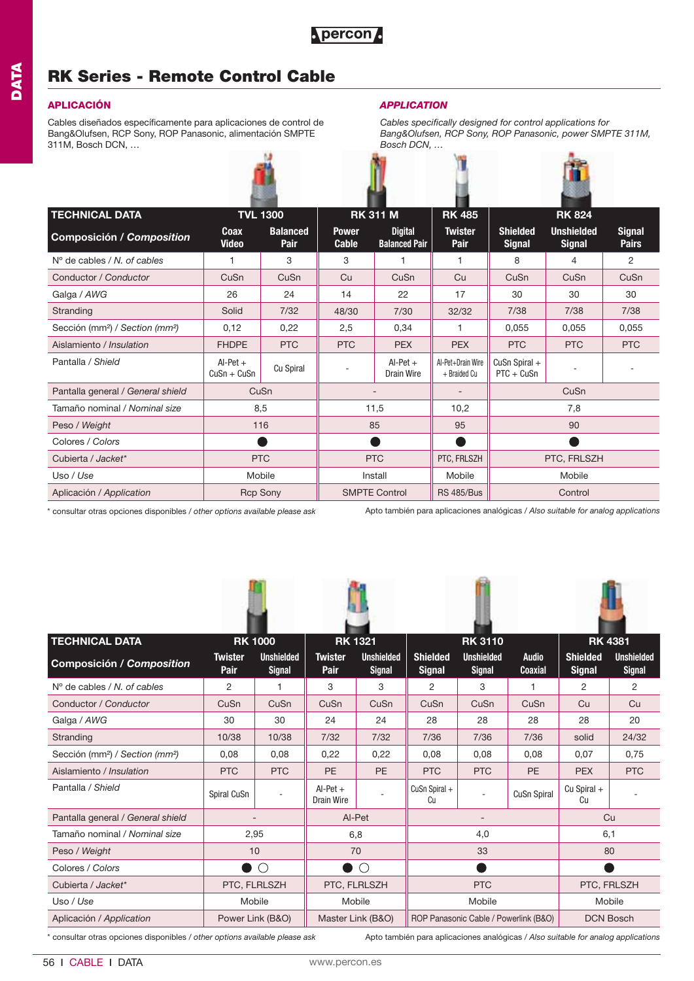## **RK Series - Remote Control Cable**

### **APLICACIÓN** *APPLICATION*

Cables diseñados específicamente para aplicaciones de control de Bang&Olufsen, RCP Sony, ROP Panasonic, alimentación SMPTE 311M, Bosch DCN, …



*Cables specifically designed for control applications for Bang&Olufsen, RCP Sony, ROP Panasonic, power SMPTE 311M, Bosch DCN, …*

| <b>TECHNICAL DATA</b>                                   |                             | <b>TVL 1300</b>                |                              | <b>RK 311 M</b>                        |                                   |                                  | <b>RK 824</b>                      |                               |
|---------------------------------------------------------|-----------------------------|--------------------------------|------------------------------|----------------------------------------|-----------------------------------|----------------------------------|------------------------------------|-------------------------------|
| <b>Composición / Composition</b>                        | Coax<br><b>Video</b>        | <b>Balanced</b><br><b>Pair</b> | <b>Power</b><br><b>Cable</b> | <b>Digital</b><br><b>Balanced Pair</b> | <b>Twister</b><br>Pair            | <b>Shielded</b><br><b>Signal</b> | <b>Unshielded</b><br><b>Signal</b> | <b>Signal</b><br><b>Pairs</b> |
| $No$ de cables / N, of cables                           | 1                           | 3                              | 3                            |                                        | 1                                 | 8                                | $\overline{4}$                     | $\overline{c}$                |
| Conductor / Conductor                                   | CuSn                        | CuSn                           | Cu                           | CuSn                                   | Cu                                | CuSn                             | CuSn                               | CuSn                          |
| Galga / AWG                                             | 26                          | 24                             | 14                           | 22                                     | 17                                | 30                               | 30                                 | 30                            |
| Stranding                                               | Solid                       | 7/32                           | 48/30                        | 7/30                                   | 32/32                             | 7/38                             | 7/38                               | 7/38                          |
| Sección (mm <sup>2</sup> ) / Section (mm <sup>2</sup> ) | 0,12                        | 0,22                           | 2,5                          | 0,34                                   |                                   | 0,055                            | 0,055                              | 0,055                         |
| Aislamiento / Insulation                                | <b>FHDPE</b>                | <b>PTC</b>                     | <b>PTC</b>                   | <b>PEX</b>                             | <b>PEX</b>                        | <b>PTC</b>                       | <b>PTC</b>                         | <b>PTC</b>                    |
| Pantalla / Shield                                       | $Al-Pet +$<br>$CuSn + CuSn$ | Cu Spiral                      |                              | $Al-Pet +$<br><b>Drain Wire</b>        | Al-Pet+Drain Wire<br>+ Braided Cu | CuSn Spiral $+$<br>$PTC + CuSn$  |                                    |                               |
| Pantalla general / General shield                       | CuSn                        |                                |                              |                                        |                                   |                                  | CuSn                               |                               |
| Tamaño nominal / Nominal size                           | 8,5                         |                                | 11,5<br>10,2                 |                                        |                                   | 7,8                              |                                    |                               |
| Peso / Weight                                           | 116                         |                                | 85                           |                                        | 95                                |                                  | 90                                 |                               |
| Colores / Colors                                        |                             |                                |                              |                                        |                                   |                                  |                                    |                               |
| Cubierta / Jacket*                                      | <b>PTC</b>                  |                                | <b>PTC</b>                   |                                        | PTC, FRLSZH                       | PTC, FRLSZH                      |                                    |                               |
| Uso / Use                                               | Mobile                      |                                |                              | Install                                | Mobile                            | Mobile                           |                                    |                               |
| Aplicación / Application                                |                             | <b>Rcp Sony</b>                | <b>SMPTE Control</b>         |                                        | <b>RS 485/Bus</b>                 |                                  | Control                            |                               |

\* consultar otras opciones disponibles / *other options available please ask*

Apto también para aplicaciones analógicas / *Also suitable for analog applications*

| <b>TECHNICAL DATA</b>                                   |                               | <b>RK 1000</b>                     |                          | <b>RK 1321</b>                     |                                  | <b>RK 3110</b>                        |                                | <b>RK 4381</b>                   |                                    |
|---------------------------------------------------------|-------------------------------|------------------------------------|--------------------------|------------------------------------|----------------------------------|---------------------------------------|--------------------------------|----------------------------------|------------------------------------|
| Composición / Composition                               | <b>Twister</b><br><b>Pair</b> | <b>Unshielded</b><br><b>Signal</b> | <b>Twister</b><br>Pair   | <b>Unshielded</b><br><b>Signal</b> | <b>Shielded</b><br><b>Signal</b> | <b>Unshielded</b><br><b>Signal</b>    | <b>Audio</b><br><b>Coaxial</b> | <b>Shielded</b><br><b>Signal</b> | <b>Unshielded</b><br><b>Signal</b> |
| $No$ de cables / N, of cables                           | $\overline{2}$                | 1                                  | 3                        | 3                                  | $\overline{c}$                   | 3                                     | 1                              | $\overline{2}$                   | $\overline{2}$                     |
| Conductor / Conductor                                   | CuSn                          | CuSn                               | CuSn                     | CuSn                               | CuSn                             | CuSn                                  | CuSn                           | Cu                               | Cu                                 |
| Galga / AWG                                             | 30                            | 30                                 | 24                       | 24                                 | 28                               | 28                                    | 28                             | 28                               | 20                                 |
| Stranding                                               | 10/38                         | 10/38                              | 7/32                     | 7/32                               | 7/36                             | 7/36                                  | 7/36                           | solid                            | 24/32                              |
| Sección (mm <sup>2</sup> ) / Section (mm <sup>2</sup> ) | 0,08                          | 0,08                               | 0,22                     | 0,22                               | 0,08                             | 0,08                                  | 0,08                           | 0,07                             | 0,75                               |
| Aislamiento / Insulation                                | <b>PTC</b>                    | <b>PTC</b>                         | <b>PE</b>                | <b>PE</b>                          | <b>PTC</b>                       | <b>PTC</b>                            | <b>PE</b>                      | <b>PEX</b>                       | <b>PTC</b>                         |
| Pantalla / Shield                                       | Spiral CuSn                   |                                    | $Al-Pet +$<br>Drain Wire |                                    | CuSn Spiral +<br>Cu              | ٠                                     | <b>CuSn Spiral</b>             | $Cu$ Spiral $+$<br>Cu            |                                    |
| Pantalla general / General shield                       |                               |                                    |                          | Al-Pet                             |                                  |                                       |                                | Cu                               |                                    |
| Tamaño nominal / Nominal size                           | 2,95                          |                                    |                          | 6,8                                | 4,0                              |                                       |                                | 6,1                              |                                    |
| Peso / Weight                                           | 10                            |                                    |                          | 70                                 |                                  | 33                                    |                                | 80                               |                                    |
| Colores / Colors                                        | D                             | $\bigcirc$                         |                          | $\bigcirc$                         |                                  |                                       |                                |                                  |                                    |
| Cubierta / Jacket*                                      |                               | PTC, FLRLSZH<br>PTC, FLRLSZH       |                          |                                    | <b>PTC</b>                       |                                       |                                | PTC, FRLSZH                      |                                    |
| Uso / Use                                               |                               | Mobile                             |                          | Mobile                             | Mobile                           |                                       |                                | Mobile                           |                                    |
| Aplicación / Application                                | Power Link (B&O)              |                                    |                          | Master Link (B&O)                  |                                  | ROP Panasonic Cable / Powerlink (B&O) |                                |                                  | <b>DCN Bosch</b>                   |

Apto también para aplicaciones analógicas / *Also suitable for analog applications* \* consultar otras opciones disponibles / *other options available please ask*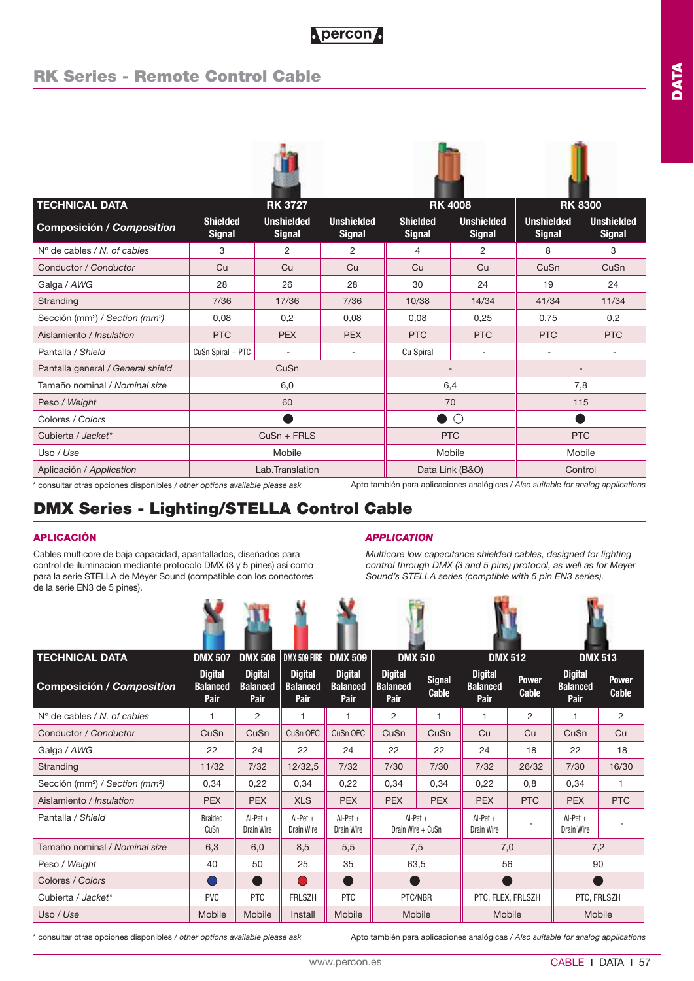## **RK Series - Remote Control Cable**

| <b>TECHNICAL DATA</b>                                   |                                  | <b>RK 3727</b>                     |                                    |                                  | <b>RK 4008</b>                     |                                    | <b>RK 8300</b>                     |  |
|---------------------------------------------------------|----------------------------------|------------------------------------|------------------------------------|----------------------------------|------------------------------------|------------------------------------|------------------------------------|--|
| Composición / Composition                               | <b>Shielded</b><br><b>Signal</b> | <b>Unshielded</b><br><b>Signal</b> | <b>Unshielded</b><br><b>Signal</b> | <b>Shielded</b><br><b>Signal</b> | <b>Unshielded</b><br><b>Signal</b> | <b>Unshielded</b><br><b>Signal</b> | <b>Unshielded</b><br><b>Signal</b> |  |
| $No$ de cables / N, of cables                           | 3                                | 2                                  | $\overline{2}$                     | 4                                | $\overline{2}$                     | 8                                  | 3                                  |  |
| Conductor / Conductor                                   | Cu                               | Cu                                 | Cu                                 | Cu                               | Cu                                 | CuSn                               | CuSn                               |  |
| Galga / AWG                                             | 28                               | 26                                 | 28                                 | 30                               | 24                                 | 19                                 | 24                                 |  |
| Stranding                                               | 7/36                             | 17/36                              | 7/36                               | 10/38                            | 14/34                              | 41/34                              | 11/34                              |  |
| Sección (mm <sup>2</sup> ) / Section (mm <sup>2</sup> ) | 0,08                             | 0,2                                | 0,08                               | 0.08                             | 0,25                               | 0,75                               | 0,2                                |  |
| Aislamiento / Insulation                                | <b>PTC</b>                       | <b>PEX</b>                         | <b>PEX</b>                         | <b>PTC</b>                       | <b>PTC</b>                         | <b>PTC</b>                         | <b>PTC</b>                         |  |
| Pantalla / Shield                                       | $CuSn$ Spiral + PTC              | ٠                                  |                                    | Cu Spiral                        |                                    |                                    |                                    |  |
| Pantalla general / General shield                       |                                  | CuSn                               |                                    |                                  | $\overline{\phantom{a}}$           | $\overline{\phantom{a}}$           |                                    |  |
| Tamaño nominal / Nominal size                           |                                  | 6,0                                |                                    | 6,4                              |                                    | 7,8                                |                                    |  |
| Peso / Weight                                           |                                  | 60                                 |                                    |                                  | 70                                 |                                    | 115                                |  |
| Colores / Colors                                        |                                  |                                    |                                    |                                  | $\bigcap$                          |                                    |                                    |  |
| Cubierta / Jacket*                                      |                                  | $CuSn + FRLS$                      |                                    |                                  | <b>PTC</b>                         |                                    | <b>PTC</b>                         |  |
| Uso / Use                                               |                                  | Mobile                             |                                    | Mobile                           |                                    | Mobile                             |                                    |  |
| Aplicación / Application                                |                                  | Lab.Translation                    |                                    |                                  | Data Link (B&O)                    | Control                            |                                    |  |

\* consultar otras opciones disponibles / *other options available please ask*

Apto también para aplicaciones analógicas / *Also suitable for analog applications*

## **DMX Series - Lighting/STELLA Control Cable**

Cables multicore de baja capacidad, apantallados, diseñados para control de iluminacion mediante protocolo DMX (3 y 5 pines) así como para la serie STELLA de Meyer Sound (compatible con los conectores de la serie EN3 de 5 pines).

### **APLICACIÓN** *APPLICATION*

*Multicore low capacitance shielded cables, designed for lighting control through DMX (3 and 5 pins) protocol, as well as for Meyer Sound's STELLA series (comptible with 5 pin EN3 series).*

**CONTRACTOR** 

| <b>TECHNICAL DATA</b>                                   | <b>DMX 507</b>                            | <b>DMX 508</b>                            | DMX 509 FIRE   DMX 509                    |                                           | <b>DMX 510</b>                            |                               | <b>DMX 512</b>                            |                       | <b>DMX 513</b>                            |                       |
|---------------------------------------------------------|-------------------------------------------|-------------------------------------------|-------------------------------------------|-------------------------------------------|-------------------------------------------|-------------------------------|-------------------------------------------|-----------------------|-------------------------------------------|-----------------------|
| Composición / Composition                               | <b>Digital</b><br><b>Balanced</b><br>Pair | <b>Digital</b><br><b>Balanced</b><br>Pair | <b>Digital</b><br><b>Balanced</b><br>Pair | <b>Digital</b><br><b>Balanced</b><br>Pair | <b>Digital</b><br><b>Balanced</b><br>Pair | <b>Signal</b><br><b>Cable</b> | <b>Digital</b><br><b>Balanced</b><br>Pair | <b>Power</b><br>Cable | <b>Digital</b><br><b>Balanced</b><br>Pair | <b>Power</b><br>Cable |
| $N^{\circ}$ de cables / N, of cables                    | $\mathbf{1}$                              | 2                                         |                                           |                                           | 2                                         | 1                             | 1                                         | 2                     | 1                                         | $\overline{2}$        |
| Conductor / Conductor                                   | CuSn                                      | CuSn                                      | CuSn OFC                                  | CuSn OFC                                  | CuSn                                      | CuSn                          | Cu                                        | Cu                    | CuSn                                      | Cu                    |
| Galga / AWG                                             | 22                                        | 24                                        | 22                                        | 24                                        | 22                                        | 22                            | 24                                        | 18                    | 22                                        | 18                    |
| Stranding                                               | 11/32                                     | 7/32                                      | 12/32,5                                   | 7/32                                      | 7/30                                      | 7/30                          | 7/32                                      | 26/32                 | 7/30                                      | 16/30                 |
| Sección (mm <sup>2</sup> ) / Section (mm <sup>2</sup> ) | 0,34                                      | 0,22                                      | 0,34                                      | 0,22                                      | 0,34                                      | 0,34                          | 0,22                                      | 0.8                   | 0.34                                      | 1                     |
| Aislamiento / Insulation                                | <b>PEX</b>                                | <b>PEX</b>                                | <b>XLS</b>                                | <b>PEX</b>                                | <b>PEX</b>                                | <b>PEX</b>                    | <b>PEX</b>                                | <b>PTC</b>            | <b>PEX</b>                                | <b>PTC</b>            |
| Pantalla / Shield                                       | <b>Braided</b><br>CuSn                    | $Al-Pet +$<br><b>Drain Wire</b>           | $Al-Pet +$<br><b>Drain Wire</b>           | $Al-Pet +$<br>Drain Wire                  | $Al-Pet +$<br>Drain Wire + CuSn           |                               | $Al-Pet +$<br><b>Drain Wire</b>           |                       | $Al-Pet +$<br>Drain Wire                  |                       |
| Tamaño nominal / Nominal size                           | 6.3                                       | 6,0                                       | 8,5                                       | 5,5                                       | 7,5                                       |                               | 7,0                                       |                       | 7,2                                       |                       |
| Peso / Weight                                           | 40                                        | 50                                        | 25                                        | 35                                        | 63,5                                      |                               | 56                                        |                       | 90                                        |                       |
| Colores / Colors                                        |                                           | Ð                                         |                                           | - 1                                       | e i                                       |                               |                                           |                       |                                           |                       |
| Cubierta / Jacket*                                      | <b>PVC</b>                                | <b>PTC</b>                                | <b>FRLSZH</b>                             | <b>PTC</b>                                | PTC/NBR                                   |                               | PTC, FLEX, FRLSZH                         |                       | PTC, FRLSZH                               |                       |
| Uso / Use                                               | Mobile                                    | Mobile                                    | Install                                   | Mobile                                    | Mobile                                    |                               | Mobile                                    |                       | Mobile                                    |                       |

\* consultar otras opciones disponibles / *other options available please ask*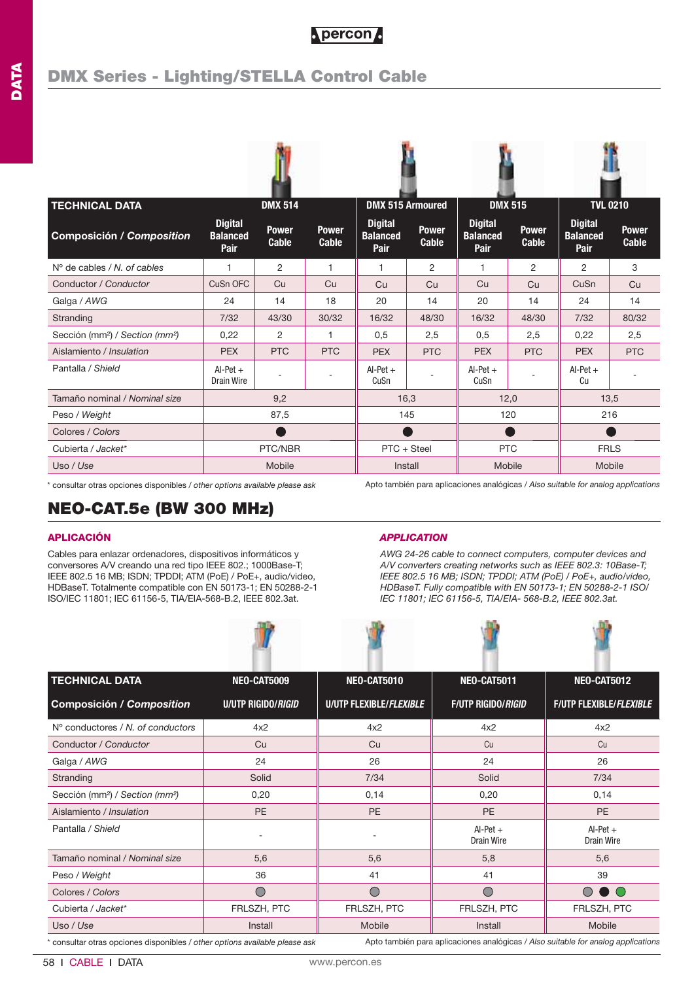| <b>TECHNICAL DATA</b>                                   |                                           | <b>DMX 514</b>               |                              |                                           | <b>DMX 515 Armoured</b>      | <b>DMX 515</b>                            |                              | <b>TVL 0210</b>                                  |                              |
|---------------------------------------------------------|-------------------------------------------|------------------------------|------------------------------|-------------------------------------------|------------------------------|-------------------------------------------|------------------------------|--------------------------------------------------|------------------------------|
| <b>Composición / Composition</b>                        | <b>Digital</b><br><b>Balanced</b><br>Pair | <b>Power</b><br><b>Cable</b> | <b>Power</b><br><b>Cable</b> | <b>Digital</b><br><b>Balanced</b><br>Pair | <b>Power</b><br><b>Cable</b> | <b>Digital</b><br><b>Balanced</b><br>Pair | <b>Power</b><br><b>Cable</b> | <b>Digital</b><br><b>Balanced</b><br><b>Pair</b> | <b>Power</b><br><b>Cable</b> |
| $No$ de cables / N, of cables                           | 1                                         | $\overline{c}$               | 1                            | 1                                         | $\overline{2}$               | 1                                         | 2                            | 2                                                | 3                            |
| Conductor / Conductor                                   | CuSn OFC                                  | Cu                           | Cu                           | Cu                                        | Cu                           | Cu                                        | Cu                           | CuSn                                             | Cu                           |
| Galga / AWG                                             | 24                                        | 14                           | 18                           | 20                                        | 14                           | 20                                        | 14                           | 24                                               | 14                           |
| Stranding                                               | 7/32                                      | 43/30                        | 30/32                        | 16/32                                     | 48/30                        | 16/32                                     | 48/30                        | 7/32                                             | 80/32                        |
| Sección (mm <sup>2</sup> ) / Section (mm <sup>2</sup> ) | 0.22                                      | 2                            | 1                            | 0,5                                       | 2,5                          | 0,5                                       | 2,5                          | 0,22                                             | 2,5                          |
| Aislamiento / Insulation                                | <b>PEX</b>                                | <b>PTC</b>                   | <b>PTC</b>                   | <b>PEX</b>                                | <b>PTC</b>                   | <b>PEX</b>                                | <b>PTC</b>                   | <b>PEX</b>                                       | <b>PTC</b>                   |
| Pantalla / Shield                                       | $Al-Pet +$<br>Drain Wire                  |                              |                              | $Al-Pet +$<br>CuSn                        |                              | $Al-Pet +$<br>CuSn                        |                              | $Al-Pet +$<br>Cu                                 |                              |
| Tamaño nominal / Nominal size                           |                                           | 9,2                          |                              |                                           | 16,3                         | 12,0                                      |                              | 13,5                                             |                              |
| Peso / Weight                                           |                                           | 87,5                         |                              | 145                                       |                              | 120                                       |                              | 216                                              |                              |
| Colores / Colors                                        |                                           |                              |                              |                                           |                              |                                           |                              |                                                  |                              |
| Cubierta / Jacket*                                      |                                           | PTC/NBR                      |                              | PTC + Steel                               |                              | <b>PTC</b>                                |                              | <b>FRLS</b>                                      |                              |
| Uso / Use                                               |                                           | Mobile                       |                              | Install                                   |                              | Mobile                                    |                              | Mobile                                           |                              |

\* consultar otras opciones disponibles / *other options available please ask* Apto también para aplicaciones analógicas / *Also suitable for analog applications*

## **NEO-CAT.5e (BW 300 MHz)**

Cables para enlazar ordenadores, dispositivos informáticos y conversores A/V creando una red tipo IEEE 802.; 1000Base-T; IEEE 802.5 16 MB; ISDN; TPDDI; ATM (PoE) / PoE+, audio/video, HDBaseT. Totalmente compatible con EN 50173-1; EN 50288-2-1 ISO/IEC 11801; IEC 61156-5, TIA/EIA-568-B.2, IEEE 802.3at.



### **APLICACIÓN** *APPLICATION*

*AWG 24-26 cable to connect computers, computer devices and A/V converters creating networks such as IEEE 802.3: 10Base-T; IEEE 802.5 16 MB; ISDN; TPDDI; ATM (PoE) / PoE+, audio/video, HDBaseT. Fully compatible with EN 50173-1; EN 50288-2-1 ISO/ IEC 11801; IEC 61156-5, TIA/EIA- 568-B.2, IEEE 802.3at.*

| <b>TECHNICAL DATA</b>                                                                                                                                          | <b>NEO-CAT5009</b>         | NEO-CAT5010                    | <b>NEO-CAT5011</b>               | <b>NEO-CAT5012</b>             |  |
|----------------------------------------------------------------------------------------------------------------------------------------------------------------|----------------------------|--------------------------------|----------------------------------|--------------------------------|--|
| <b>Composición / Composition</b>                                                                                                                               | U/UTP RIGIDO/ <i>RIGID</i> | <b>U/UTP FLEXIBLE/FLEXIBLE</b> | <b>F/UTP RIGIDO/<i>RIGID</i></b> | <b>F/UTP FLEXIBLE/FLEXIBLE</b> |  |
| $No$ conductores / N, of conductors                                                                                                                            | 4x2                        | 4x2                            | 4x2                              | 4x2                            |  |
| Conductor / Conductor                                                                                                                                          | Cu                         | Cu                             | Cu                               | Cu                             |  |
| Galga / AWG                                                                                                                                                    | 24                         | 26                             | 24                               | 26                             |  |
| Stranding                                                                                                                                                      | Solid                      | 7/34                           | Solid                            | 7/34                           |  |
| Sección (mm <sup>2</sup> ) / Section (mm <sup>2</sup> )                                                                                                        | 0,20                       | 0,14                           | 0,20                             | 0,14                           |  |
| Aislamiento / Insulation                                                                                                                                       | <b>PE</b>                  | <b>PE</b>                      | PE                               | <b>PE</b>                      |  |
| Pantalla / Shield                                                                                                                                              |                            |                                | $Al-Pet +$<br><b>Drain Wire</b>  | $Al-Pet +$<br>Drain Wire       |  |
| Tamaño nominal / Nominal size                                                                                                                                  | 5,6                        | 5,6                            | 5,8                              | 5,6                            |  |
| Peso / Weight                                                                                                                                                  | 36                         | 41                             | 41                               | 39                             |  |
| Colores / Colors                                                                                                                                               | $\bigcirc$                 | $\bigcirc$                     | $\bigcirc$                       | $\circ \bullet \circ$          |  |
| Cubierta / Jacket*                                                                                                                                             | FRLSZH, PTC                | FRLSZH, PTC                    | FRLSZH, PTC                      | FRLSZH, PTC                    |  |
| Uso / Use                                                                                                                                                      | Install                    | Mobile                         | Install                          | Mobile                         |  |
| Apto también para aplicaciones analógicas / Also suitable for analog applications<br>consultar otras opciones disponibles / other options available please ask |                            |                                |                                  |                                |  |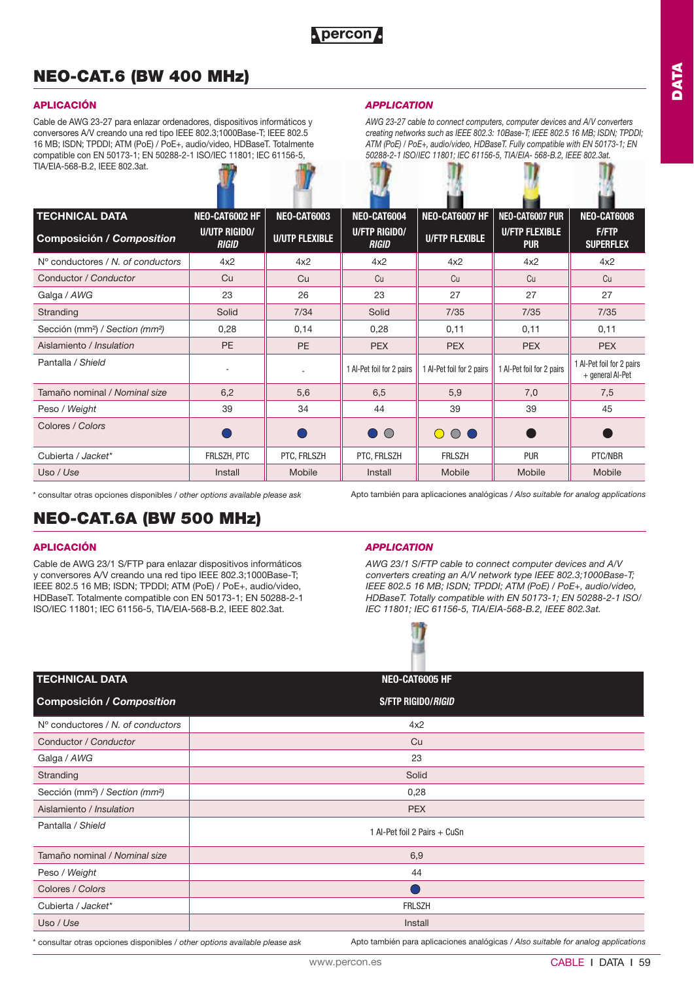## **NEO-CAT.6 (BW 400 MHz)**

## **APLICACIÓN**

Cable de AWG 23-27 para enlazar ordenadores, dispositivos informáticos y conversores A/V creando una red tipo IEEE 802.3;1000Base-T; IEEE 802.5 16 MB; ISDN; TPDDI; ATM (PoE) / PoE+, audio/video, HDBaseT. Totalmente compatible con EN 50173-1; EN 50288-2-1 ISO/IEC 11801; IEC 61156-5, TIA/EIA-568-B.2, IEEE 802.3at.

## *APPLICATION*

*AWG 23-27 cable to connect computers, computer devices and A/V converters creating networks such as IEEE 802.3: 10Base-T; IEEE 802.5 16 MB; ISDN; TPDDI; ATM (PoE) / PoE+, audio/video, HDBaseT. Fully compatible with EN 50173-1; EN 50288-2-1 ISO/IEC 11801; IEC 61156-5, TIA/EIA- 568-B.2, IEEE 802.3at.* 

| <b>TECHNICAL DATA</b>                                   | NEO-CAT6002 HF                | NEO-CAT6003           | NEO-CAT6004                   | NEO-CAT6007 HF            | NEO-CAT6007 PUR                     | NEO-CAT6008                                   |
|---------------------------------------------------------|-------------------------------|-----------------------|-------------------------------|---------------------------|-------------------------------------|-----------------------------------------------|
| <b>Composición / Composition</b>                        | U/UTP RIGIDO/<br><b>RIGID</b> | <b>U/UTP FLEXIBLE</b> | U/FTP RIGIDO/<br><b>RIGID</b> | <b>U/FTP FLEXIBLE</b>     | <b>U/FTP FLEXIBLE</b><br><b>PUR</b> | <b>F/FTP</b><br><b>SUPERFLEX</b>              |
| $No$ conductores / N, of conductors                     | 4x2                           | 4x2                   | 4x2                           | 4x2                       | 4x2                                 | 4x2                                           |
| Conductor / Conductor                                   | Cu                            | Cu                    | Cu                            | Cu                        | Cu                                  | Cu                                            |
| Galga / AWG                                             | 23                            | 26                    | 23                            | 27                        | 27                                  | 27                                            |
| Stranding                                               | Solid                         | 7/34                  | Solid                         | 7/35                      | 7/35                                | 7/35                                          |
| Sección (mm <sup>2</sup> ) / Section (mm <sup>2</sup> ) | 0,28                          | 0,14                  | 0,28                          | 0,11                      | 0,11                                | 0,11                                          |
| Aislamiento / Insulation                                | <b>PE</b>                     | <b>PE</b>             | <b>PEX</b>                    | <b>PEX</b>                | <b>PEX</b>                          | <b>PEX</b>                                    |
| Pantalla / Shield                                       |                               | ÷.                    | 1 Al-Pet foil for 2 pairs     | 1 Al-Pet foil for 2 pairs | 1 Al-Pet foil for 2 pairs           | 1 Al-Pet foil for 2 pairs<br>+ general Al-Pet |
| Tamaño nominal / Nominal size                           | 6,2                           | 5,6                   | 6,5                           | 5,9                       | 7,0                                 | 7,5                                           |
| Peso / Weight                                           | 39                            | 34                    | 44                            | 39                        | 39                                  | 45                                            |
| Colores / Colors                                        |                               |                       | $\bullet$ $\circ$             | $\circ$<br>$\bigcirc$     |                                     |                                               |
| Cubierta / Jacket*                                      | FRLSZH, PTC                   | PTC, FRLSZH           | PTC, FRLSZH                   | <b>FRLSZH</b>             | <b>PUR</b>                          | PTC/NBR                                       |
| Uso / Use                                               | Install                       | Mobile                | Install                       | Mobile                    | Mobile                              | Mobile                                        |

\* consultar otras opciones disponibles / *other options available please ask*

Apto también para aplicaciones analógicas / *Also suitable for analog applications*

## **NEO-CAT.6A (BW 500 MHz)**

## **APLICACIÓN**

Cable de AWG 23/1 S/FTP para enlazar dispositivos informáticos y conversores A/V creando una red tipo IEEE 802.3;1000Base-T; IEEE 802.5 16 MB; ISDN; TPDDI; ATM (PoE) / PoE+, audio/video, HDBaseT. Totalmente compatible con EN 50173-1; EN 50288-2-1 ISO/IEC 11801; IEC 61156-5, TIA/EIA-568-B.2, IEEE 802.3at.

## *APPLICATION*

*AWG 23/1 S/FTP cable to connect computer devices and A/V converters creating an A/V network type IEEE 802.3;1000Base-T; IEEE 802.5 16 MB; ISDN; TPDDI; ATM (PoE) / PoE+, audio/video, HDBaseT. Totally compatible with EN 50173-1; EN 50288-2-1 ISO/ IEC 11801; IEC 61156-5, TIA/EIA-568-B.2, IEEE 802.3at.* 

Apto también para aplicaciones analógicas / *Also suitable for analog applications*

| <b>TECHNICAL DATA</b>                                   | NEO-CAT6005 HF               |
|---------------------------------------------------------|------------------------------|
| Composición / Composition                               | S/FTP RIGIDO/RIGID           |
| $No$ conductores / N, of conductors                     | 4x2                          |
| Conductor / Conductor                                   | Cu                           |
| Galga / AWG                                             | 23                           |
| Stranding                                               | Solid                        |
| Sección (mm <sup>2</sup> ) / Section (mm <sup>2</sup> ) | 0,28                         |
| Aislamiento / Insulation                                | <b>PEX</b>                   |
| Pantalla / Shield                                       | 1 Al-Pet foil 2 Pairs + CuSn |
| Tamaño nominal / Nominal size                           | 6,9                          |
| Peso / Weight                                           | 44                           |
| Colores / Colors                                        |                              |
| Cubierta / Jacket*                                      | <b>FRLSZH</b>                |
| Uso / Use                                               | Install                      |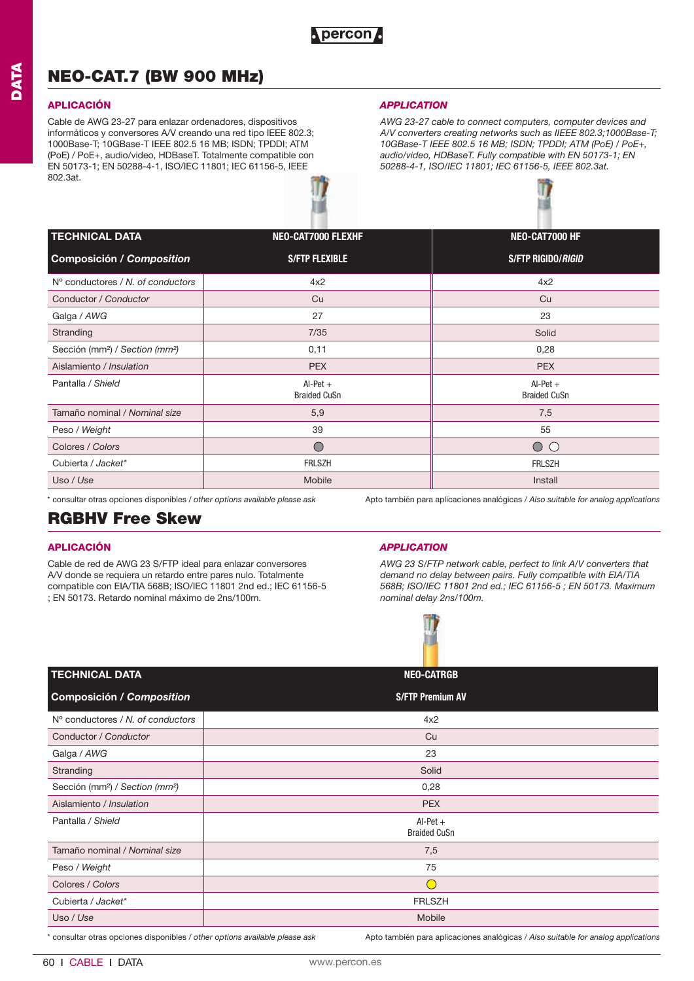## **NEO-CAT.7 (BW 900 MHz)**

Cable de AWG 23-27 para enlazar ordenadores, dispositivos informáticos y conversores A/V creando una red tipo IEEE 802.3; 1000Base-T; 10GBase-T IEEE 802.5 16 MB; ISDN; TPDDI; ATM (PoE) / PoE+, audio/video, HDBaseT. Totalmente compatible con EN 50173-1; EN 50288-4-1, ISO/IEC 11801; IEC 61156-5, IEEE 802.3at.

### **APLICACIÓN** *APPLICATION*

*AWG 23-27 cable to connect computers, computer devices and A/V converters creating networks such as IIEEE 802.3;1000Base-T; 10GBase-T IEEE 802.5 16 MB; ISDN; TPDDI; ATM (PoE) / PoE+, audio/video, HDBaseT. Fully compatible with EN 50173-1; EN 50288-4-1, ISO/IEC 11801; IEC 61156-5, IEEE 802.3at.* 



| <b>TECHNICAL DATA</b>                                   | <b>NEO-CAT7000 FLEXHF</b>         | NEO-CAT7000 HF                    |
|---------------------------------------------------------|-----------------------------------|-----------------------------------|
| <b>Composición / Composition</b>                        | <b>S/FTP FLEXIBLE</b>             | <b>S/FTP RIGIDO/<i>RIGID</i></b>  |
| N° conductores / N, of conductors                       | 4x2                               | 4x2                               |
| Conductor / Conductor                                   | Cu                                | Cu                                |
| Galga / AWG                                             | 27                                | 23                                |
| Stranding                                               | 7/35                              | Solid                             |
| Sección (mm <sup>2</sup> ) / Section (mm <sup>2</sup> ) | 0,11                              | 0,28                              |
| Aislamiento / Insulation                                | <b>PEX</b>                        | <b>PEX</b>                        |
| Pantalla / Shield                                       | $Al-Pet +$<br><b>Braided CuSn</b> | $Al-Pet +$<br><b>Braided CuSn</b> |
| Tamaño nominal / Nominal size                           | 5,9                               | 7,5                               |
| Peso / Weight                                           | 39                                | 55                                |
| Colores / Colors                                        | $\bigcirc$                        | $\circ$                           |
| Cubierta / Jacket*                                      | <b>FRLSZH</b>                     | <b>FRLSZH</b>                     |
| Uso / Use                                               | Mobile                            | Install                           |

\* consultar otras opciones disponibles / *other options available please ask* Apto también para aplicaciones analógicas / *Also suitable for analog applications*

## **RGBHV Free Skew**

Cable de red de AWG 23 S/FTP ideal para enlazar conversores A/V donde se requiera un retardo entre pares nulo. Totalmente compatible con EIA/TIA 568B; ISO/IEC 11801 2nd ed.; IEC 61156-5 ; EN 50173. Retardo nominal máximo de 2ns/100m.

## **APLICACIÓN** *APPLICATION*

*AWG 23 S/FTP network cable, perfect to link A/V converters that demand no delay between pairs. Fully compatible with EIA/TIA 568B; ISO/IEC 11801 2nd ed.; IEC 61156-5 ; EN 50173. Maximum nominal delay 2ns/100m.*



| <b>TECHNICAL DATA</b>                                   | <b>NEO-CATRGB</b>                 |
|---------------------------------------------------------|-----------------------------------|
| Composición / Composition                               | <b>S/FTP Premium AV</b>           |
| N° conductores / N. of conductors                       | 4x2                               |
| Conductor / Conductor                                   | Cu                                |
| Galga / AWG                                             | 23                                |
| Stranding                                               | Solid                             |
| Sección (mm <sup>2</sup> ) / Section (mm <sup>2</sup> ) | 0,28                              |
| Aislamiento / Insulation                                | <b>PEX</b>                        |
| Pantalla / Shield                                       | $Al-Pet +$<br><b>Braided CuSn</b> |
| Tamaño nominal / Nominal size                           | 7,5                               |
| Peso / Weight                                           | 75                                |
| Colores / Colors                                        | $\sqrt{2}$                        |
| Cubierta / Jacket*                                      | <b>FRLSZH</b>                     |
| Uso / Use                                               | Mobile                            |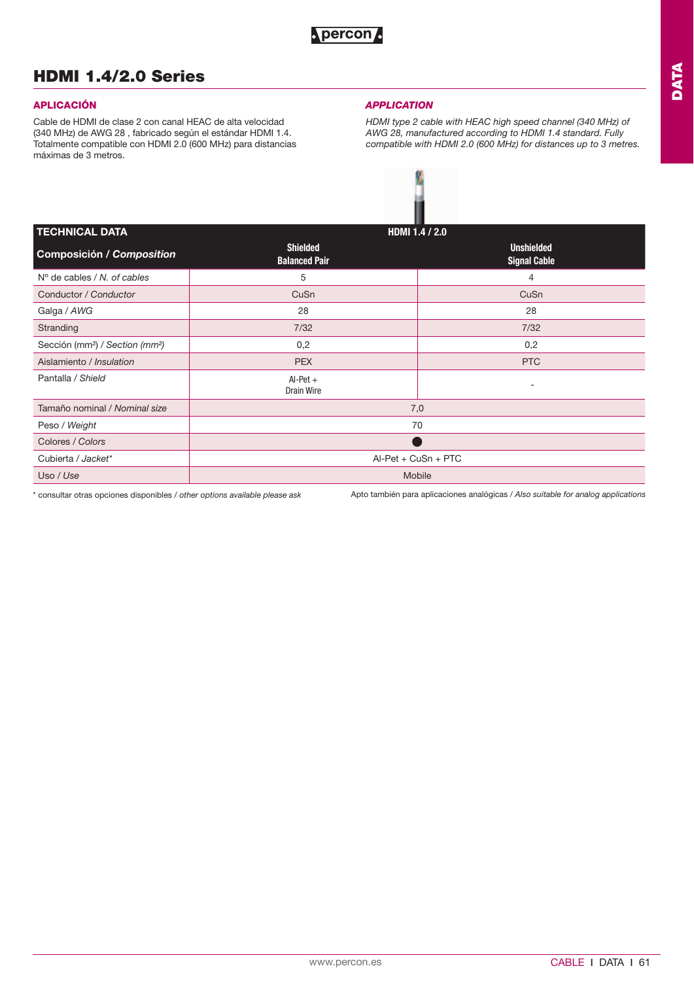## **HDMI 1.4/2.0 Series**

Cable de HDMI de clase 2 con canal HEAC de alta velocidad (340 MHz) de AWG 28 , fabricado según el estándar HDMI 1.4. Totalmente compatible con HDMI 2.0 (600 MHz) para distancias máximas de 3 metros.

### **APLICACIÓN** *APPLICATION*

*HDMI type 2 cable with HEAC high speed channel (340 MHz) of AWG 28, manufactured according to HDMI 1.4 standard. Fully compatible with HDMI 2.0 (600 MHz) for distances up to 3 metres.*



| <b>TECHNICAL DATA</b>                                   |                                         | HDMI 1.4 / 2.0                           |  |  |  |
|---------------------------------------------------------|-----------------------------------------|------------------------------------------|--|--|--|
| <b>Composición / Composition</b>                        | <b>Shielded</b><br><b>Balanced Pair</b> | <b>Unshielded</b><br><b>Signal Cable</b> |  |  |  |
| $No$ de cables / N. of cables                           | 5                                       | 4                                        |  |  |  |
| Conductor / Conductor                                   | CuSn                                    | CuSn                                     |  |  |  |
| Galga / AWG                                             | 28                                      | 28                                       |  |  |  |
| Stranding                                               | 7/32                                    | 7/32                                     |  |  |  |
| Sección (mm <sup>2</sup> ) / Section (mm <sup>2</sup> ) | 0,2                                     | 0,2                                      |  |  |  |
| Aislamiento / Insulation                                | <b>PEX</b>                              | <b>PTC</b>                               |  |  |  |
| Pantalla / Shield                                       | $Al-Pet +$<br>Drain Wire                | -                                        |  |  |  |
| Tamaño nominal / Nominal size                           |                                         | 7,0                                      |  |  |  |
| Peso / Weight                                           |                                         | 70                                       |  |  |  |
| Colores / Colors                                        |                                         |                                          |  |  |  |
| Cubierta / Jacket*                                      | $AI-Pet + CuSn + PTC$                   |                                          |  |  |  |
| Uso / Use                                               |                                         | Mobile                                   |  |  |  |
|                                                         |                                         |                                          |  |  |  |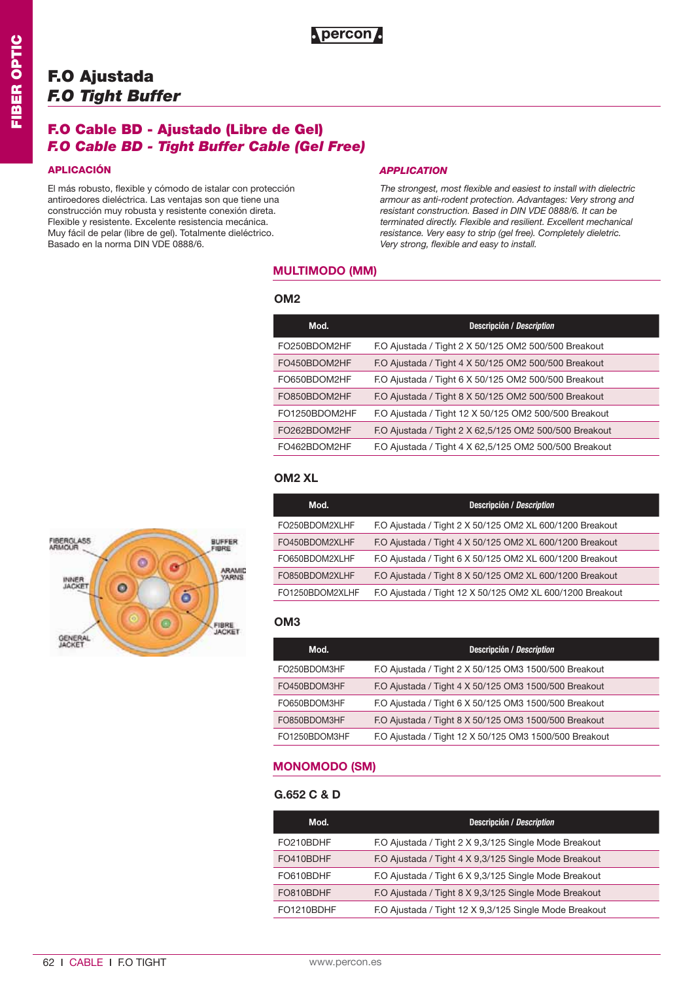## **F.O Cable BD - Ajustado (Libre de Gel)** *F.O Cable BD - Tight Buffer Cable (Gel Free)*

El más robusto, flexible y cómodo de istalar con protección antiroedores dieléctrica. Las ventajas son que tiene una construcción muy robusta y resistente conexión direta. Flexible y resistente. Excelente resistencia mecánica. Muy fácil de pelar (libre de gel). Totalmente dieléctrico. Basado en la norma DIN VDE 0888/6.

#### **APLICACIÓN** *APPLICATION*

*The strongest, most flexible and easiest to install with dielectric armour as anti-rodent protection. Advantages: Very strong and resistant construction. Based in DIN VDE 0888/6. It can be terminated directly. Flexible and resilient. Excellent mechanical resistance. Very easy to strip (gel free). Completely dieletric. Very strong, flexible and easy to install.*

### **MULTIMODO (MM)**

**Apercon** 

#### **OM2**

| Mod.          | <b>Descripción / Description</b>                       |
|---------------|--------------------------------------------------------|
| FO250BDOM2HF  | F.O Ajustada / Tight 2 X 50/125 OM2 500/500 Breakout   |
| FO450BDOM2HF  | F.O Ajustada / Tight 4 X 50/125 OM2 500/500 Breakout   |
| FO650BDOM2HF  | F.O Ajustada / Tight 6 X 50/125 OM2 500/500 Breakout   |
| FO850BDOM2HF  | F.O Ajustada / Tight 8 X 50/125 OM2 500/500 Breakout   |
| FO1250BDOM2HF | F.O Ajustada / Tight 12 X 50/125 OM2 500/500 Breakout  |
| FO262BDOM2HF  | F.O Ajustada / Tight 2 X 62,5/125 OM2 500/500 Breakout |
| FO462BDOM2HF  | F.O Ajustada / Tight 4 X 62,5/125 OM2 500/500 Breakout |

## **OM2 XL**

| Mod.            | <b>Descripción / Description</b>                          |
|-----------------|-----------------------------------------------------------|
| FO250BDOM2XLHF  | F.O Ajustada / Tight 2 X 50/125 OM2 XL 600/1200 Breakout  |
| FO450BDOM2XLHF  | F.O Ajustada / Tight 4 X 50/125 OM2 XL 600/1200 Breakout  |
| FO650BDOM2XLHF  | F.O Ajustada / Tight 6 X 50/125 OM2 XL 600/1200 Breakout  |
| FO850BDOM2XLHF  | F.O Ajustada / Tight 8 X 50/125 OM2 XL 600/1200 Breakout  |
| FO1250BDOM2XLHF | F.O Ajustada / Tight 12 X 50/125 OM2 XL 600/1200 Breakout |

### **OM3**

| Mod.          | Descripción / Description                              |
|---------------|--------------------------------------------------------|
| FO250BDOM3HF  | F.O Ajustada / Tight 2 X 50/125 OM3 1500/500 Breakout  |
| FO450BDOM3HF  | F.O Ajustada / Tight 4 X 50/125 OM3 1500/500 Breakout  |
| FO650BDOM3HF  | F.O Ajustada / Tight 6 X 50/125 OM3 1500/500 Breakout  |
| FO850BDOM3HF  | F.O Ajustada / Tight 8 X 50/125 OM3 1500/500 Breakout  |
| FO1250BDOM3HF | F.O Ajustada / Tight 12 X 50/125 OM3 1500/500 Breakout |

### **MONOMODO (SM)**

| Mod.       | Descripción / Description                              |
|------------|--------------------------------------------------------|
| FO210BDHF  | F.O Ajustada / Tight 2 X 9.3/125 Single Mode Breakout  |
| FO410BDHF  | F.O Ajustada / Tight 4 X 9,3/125 Single Mode Breakout  |
| FO610BDHF  | F.O Ajustada / Tight 6 X 9.3/125 Single Mode Breakout  |
| FO810BDHF  | F.O Ajustada / Tight 8 X 9.3/125 Single Mode Breakout  |
| FO1210BDHF | F.O Ajustada / Tight 12 X 9,3/125 Single Mode Breakout |

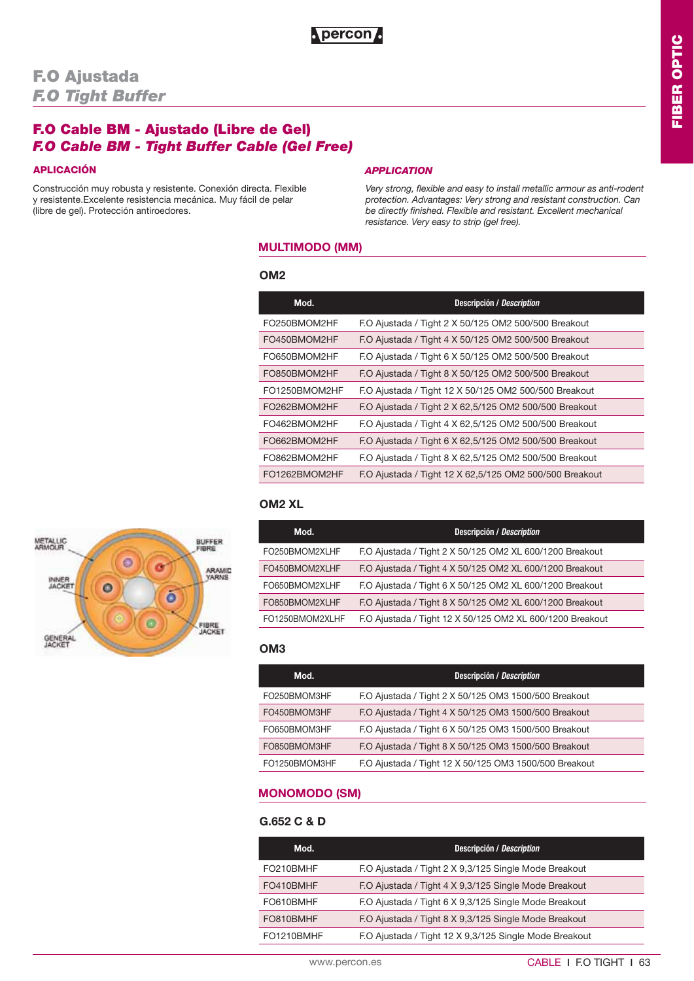## **F.O Cable BM - Ajustado (Libre de Gel)** *F.O Cable BM - Tight Buffer Cable (Gel Free)*

Construcción muy robusta y resistente. Conexión directa. Flexible y resistente.Excelente resistencia mecánica. Muy fácil de pelar (libre de gel). Protección antiroedores.

### **APLICACIÓN** *APPLICATION*

*Very strong, flexible and easy to install metallic armour as anti-rodent protection. Advantages: Very strong and resistant construction. Can be directly finished. Flexible and resistant. Excellent mechanical resistance. Very easy to strip (gel free).*

### **MULTIMODO (MM)**

#### **OM2**

| Mod.          | Descripción / Description                               |
|---------------|---------------------------------------------------------|
| FO250BMOM2HF  | F.O Ajustada / Tight 2 X 50/125 OM2 500/500 Breakout    |
| FO450BMOM2HF  | F.O Ajustada / Tight 4 X 50/125 OM2 500/500 Breakout    |
| FO650BMOM2HF  | F.O Ajustada / Tight 6 X 50/125 OM2 500/500 Breakout    |
| FO850BMOM2HF  | F.O Ajustada / Tight 8 X 50/125 OM2 500/500 Breakout    |
| FO1250BMOM2HF | F.O Ajustada / Tight 12 X 50/125 OM2 500/500 Breakout   |
| FO262BMOM2HF  | F.O Ajustada / Tight 2 X 62,5/125 OM2 500/500 Breakout  |
| FO462BMOM2HF  | F.O Ajustada / Tight 4 X 62,5/125 OM2 500/500 Breakout  |
| FO662BMOM2HF  | F.O Ajustada / Tight 6 X 62,5/125 OM2 500/500 Breakout  |
| FO862BMOM2HF  | F.O Ajustada / Tight 8 X 62,5/125 OM2 500/500 Breakout  |
| FO1262BMOM2HF | F.O Ajustada / Tight 12 X 62,5/125 OM2 500/500 Breakout |

| Mod.            | Descripción / Description                                 |
|-----------------|-----------------------------------------------------------|
| FO250BMOM2XLHF  | F.O Ajustada / Tight 2 X 50/125 OM2 XL 600/1200 Breakout  |
| FO450BMOM2XLHF  | F.O Ajustada / Tight 4 X 50/125 OM2 XL 600/1200 Breakout  |
| FO650BMOM2XLHF  | F.O Ajustada / Tight 6 X 50/125 OM2 XL 600/1200 Breakout  |
| FO850BMOM2XLHF  | F.O Ajustada / Tight 8 X 50/125 OM2 XL 600/1200 Breakout  |
| FO1250BMOM2XLHF | F.O Ajustada / Tight 12 X 50/125 OM2 XL 600/1200 Breakout |

### **OM3**

| Mod.          | Descripción / Description                              |
|---------------|--------------------------------------------------------|
| FO250BMOM3HF  | F.O Ajustada / Tight 2 X 50/125 OM3 1500/500 Breakout  |
| FO450BMOM3HF  | F.O Ajustada / Tight 4 X 50/125 OM3 1500/500 Breakout  |
| FO650BMOM3HF  | F.O Ajustada / Tight 6 X 50/125 OM3 1500/500 Breakout  |
| FO850BMOM3HF  | F.O Ajustada / Tight 8 X 50/125 OM3 1500/500 Breakout  |
| FO1250BMOM3HF | F.O Ajustada / Tight 12 X 50/125 OM3 1500/500 Breakout |

## **MONOMODO (SM)**

| Mod.       | Descripción / Description                              |
|------------|--------------------------------------------------------|
| FO210BMHF  | F.O Ajustada / Tight 2 X 9,3/125 Single Mode Breakout  |
| FO410BMHF  | F.O Ajustada / Tight 4 X 9,3/125 Single Mode Breakout  |
| FO610BMHF  | F.O Ajustada / Tight 6 X 9,3/125 Single Mode Breakout  |
| FO810BMHF  | F.O Ajustada / Tight 8 X 9,3/125 Single Mode Breakout  |
| FO1210BMHF | F.O Ajustada / Tight 12 X 9,3/125 Single Mode Breakout |

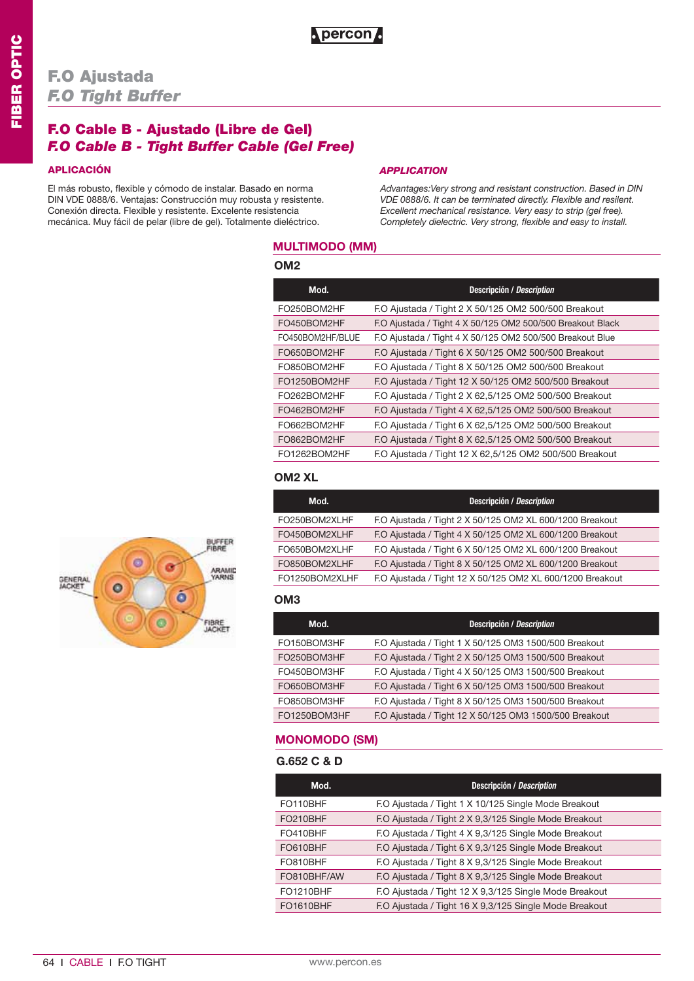## **F.O Cable B - Ajustado (Libre de Gel)** *F.O Cable B - Tight Buffer Cable (Gel Free)*

### **APLICACIÓN** *APPLICATION*

El más robusto, flexible y cómodo de instalar. Basado en norma DIN VDE 0888/6. Ventajas: Construcción muy robusta y resistente. Conexión directa. Flexible y resistente. Excelente resistencia mecánica. Muy fácil de pelar (libre de gel). Totalmente dieléctrico.

*Advantages:Very strong and resistant construction. Based in DIN VDE 0888/6. It can be terminated directly. Flexible and resilent. Excellent mechanical resistance. Very easy to strip (gel free). Completely dielectric. Very strong, flexible and easy to install.*

### **MULTIMODO (MM)**

**Apercon** 

### **OM2**

| Mod.             | Descripción / Description                                  |
|------------------|------------------------------------------------------------|
| FO250BOM2HF      | F.O Ajustada / Tight 2 X 50/125 OM2 500/500 Breakout       |
| FO450BOM2HF      | F.O Ajustada / Tight 4 X 50/125 OM2 500/500 Breakout Black |
| FO450BOM2HF/BLUE | F.O Ajustada / Tight 4 X 50/125 OM2 500/500 Breakout Blue  |
| FO650BOM2HF      | F.O Ajustada / Tight 6 X 50/125 OM2 500/500 Breakout       |
| FO850BOM2HF      | F.O Ajustada / Tight 8 X 50/125 OM2 500/500 Breakout       |
| FO1250BOM2HF     | F.O Ajustada / Tight 12 X 50/125 OM2 500/500 Breakout      |
| FO262BOM2HF      | F.O Ajustada / Tight 2 X 62,5/125 OM2 500/500 Breakout     |
| FO462BOM2HF      | F.O Ajustada / Tight 4 X 62,5/125 OM2 500/500 Breakout     |
| FO662BOM2HF      | F.O Ajustada / Tight 6 X 62,5/125 OM2 500/500 Breakout     |
| FO862BOM2HF      | F.O Ajustada / Tight 8 X 62,5/125 OM2 500/500 Breakout     |
| FO1262BOM2HF     | F.O Ajustada / Tight 12 X 62,5/125 OM2 500/500 Breakout    |

### **OM2 XL**

| Mod.           | Descripción / Description                                 |
|----------------|-----------------------------------------------------------|
| FO250BOM2XLHF  | F.O Ajustada / Tight 2 X 50/125 OM2 XL 600/1200 Breakout  |
| FO450BOM2XLHF  | F.O Ajustada / Tight 4 X 50/125 OM2 XL 600/1200 Breakout  |
| FO650BOM2XLHF  | F.O Ajustada / Tight 6 X 50/125 OM2 XL 600/1200 Breakout  |
| FO850BOM2XLHF  | F.O Ajustada / Tight 8 X 50/125 OM2 XL 600/1200 Breakout  |
| FO1250BOM2XLHF | F.O Ajustada / Tight 12 X 50/125 OM2 XL 600/1200 Breakout |

#### **OM3**

| Mod.         | <b>Descripción / Description</b>                       |
|--------------|--------------------------------------------------------|
| FO150BOM3HF  | F.O Ajustada / Tight 1 X 50/125 OM3 1500/500 Breakout  |
| FO250BOM3HF  | F.O Ajustada / Tight 2 X 50/125 OM3 1500/500 Breakout  |
| FO450BOM3HF  | F.O Ajustada / Tight 4 X 50/125 OM3 1500/500 Breakout  |
| FO650BOM3HF  | F.O Ajustada / Tight 6 X 50/125 OM3 1500/500 Breakout  |
| FO850BOM3HF  | F.O Ajustada / Tight 8 X 50/125 OM3 1500/500 Breakout  |
| FO1250BOM3HF | F.O Ajustada / Tight 12 X 50/125 OM3 1500/500 Breakout |

#### **MONOMODO (SM)**

| Mod.             | Descripción / Description                              |
|------------------|--------------------------------------------------------|
| FO110BHF         | F.O Ajustada / Tight 1 X 10/125 Single Mode Breakout   |
| FO210BHF         | F.O Ajustada / Tight 2 X 9,3/125 Single Mode Breakout  |
| FO410BHF         | F.O Ajustada / Tight 4 X 9,3/125 Single Mode Breakout  |
| FO610BHF         | F.O Ajustada / Tight 6 X 9,3/125 Single Mode Breakout  |
| FO810BHF         | F.O Ajustada / Tight 8 X 9,3/125 Single Mode Breakout  |
| FO810BHF/AW      | F.O Ajustada / Tight 8 X 9,3/125 Single Mode Breakout  |
| <b>FO1210BHF</b> | F.O Ajustada / Tight 12 X 9,3/125 Single Mode Breakout |
| <b>FO1610BHF</b> | F.O Ajustada / Tight 16 X 9,3/125 Single Mode Breakout |

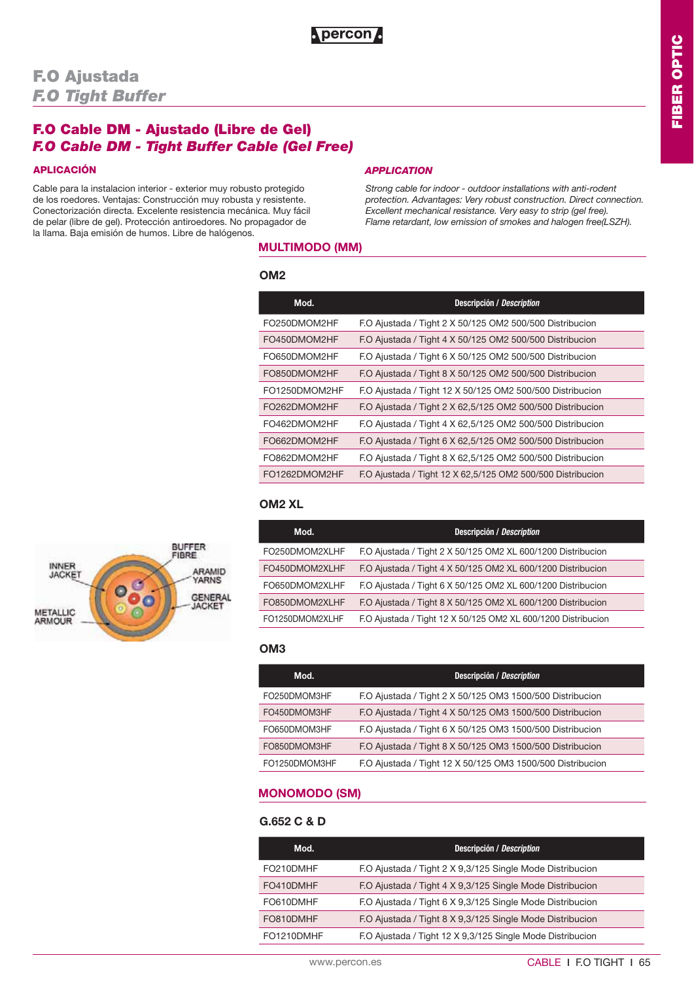## **F.O Cable DM - Ajustado (Libre de Gel)** *F.O Cable DM - Tight Buffer Cable (Gel Free)*

Cable para la instalacion interior - exterior muy robusto protegido de los roedores. Ventajas: Construcción muy robusta y resistente. Conectorización directa. Excelente resistencia mecánica. Muy fácil de pelar (libre de gel). Protección antiroedores. No propagador de la llama. Baja emisión de humos. Libre de halógenos.

#### **APLICACIÓN** *APPLICATION*

*Strong cable for indoor - outdoor installations with anti-rodent protection. Advantages: Very robust construction. Direct connection. Excellent mechanical resistance. Very easy to strip (gel free). Flame retardant, low emission of smokes and halogen free(LSZH).* 

### **MULTIMODO (MM)**

#### **OM2**

| Mod.          | Descripción / Description                                   |
|---------------|-------------------------------------------------------------|
| FO250DMOM2HF  | F.O Ajustada / Tight 2 X 50/125 OM2 500/500 Distribucion    |
| FO450DMOM2HF  | F.O Ajustada / Tight 4 X 50/125 OM2 500/500 Distribucion    |
| FO650DMOM2HF  | F.O Ajustada / Tight 6 X 50/125 OM2 500/500 Distribucion    |
| FO850DMOM2HF  | F.O Ajustada / Tight 8 X 50/125 OM2 500/500 Distribucion    |
| FO1250DMOM2HF | F.O Ajustada / Tight 12 X 50/125 OM2 500/500 Distribucion   |
| FO262DMOM2HF  | F.O Ajustada / Tight 2 X 62,5/125 OM2 500/500 Distribucion  |
| FO462DMOM2HF  | F.O Ajustada / Tight 4 X 62,5/125 OM2 500/500 Distribucion  |
| FO662DMOM2HF  | F.O Ajustada / Tight 6 X 62,5/125 OM2 500/500 Distribucion  |
| FO862DMOM2HF  | F.O Ajustada / Tight 8 X 62,5/125 OM2 500/500 Distribucion  |
| FO1262DMOM2HF | F.O Ajustada / Tight 12 X 62,5/125 OM2 500/500 Distribucion |

### **OM2 XL**

| Mod.            | <b>Descripción / Description</b>                              |
|-----------------|---------------------------------------------------------------|
| FO250DMOM2XLHF  | F.O Ajustada / Tight 2 X 50/125 OM2 XL 600/1200 Distribucion  |
| FO450DMOM2XLHF  | F.O Ajustada / Tight 4 X 50/125 OM2 XL 600/1200 Distribucion  |
| FO650DMOM2XLHF  | F.O Ajustada / Tight 6 X 50/125 OM2 XL 600/1200 Distribucion  |
| FO850DMOM2XLHF  | F.O Ajustada / Tight 8 X 50/125 OM2 XL 600/1200 Distribucion  |
| FO1250DMOM2XLHF | F.O Ajustada / Tight 12 X 50/125 OM2 XL 600/1200 Distribucion |

#### **OM3**

| Mod.          | <b>Descripción / Description</b>                           |
|---------------|------------------------------------------------------------|
| FO250DMOM3HF  | F.O Ajustada / Tight 2 X 50/125 OM3 1500/500 Distribucion  |
| FO450DMOM3HF  | F.O Ajustada / Tight 4 X 50/125 OM3 1500/500 Distribucion  |
| FO650DMOM3HF  | F.O Ajustada / Tight 6 X 50/125 OM3 1500/500 Distribucion  |
| FO850DMOM3HF  | F.O Ajustada / Tight 8 X 50/125 OM3 1500/500 Distribucion  |
| FO1250DMOM3HF | F.O Ajustada / Tight 12 X 50/125 OM3 1500/500 Distribucion |

## **MONOMODO (SM)**

| Mod.       | Descripción / Description                                  |
|------------|------------------------------------------------------------|
| FO210DMHF  | F.O Ajustada / Tight 2 X 9,3/125 Single Mode Distribucion  |
| FO410DMHF  | F.O Ajustada / Tight 4 X 9,3/125 Single Mode Distribucion  |
| FO610DMHF  | F.O Ajustada / Tight 6 X 9,3/125 Single Mode Distribucion  |
| FO810DMHF  | F.O Ajustada / Tight 8 X 9,3/125 Single Mode Distribucion  |
| FO1210DMHF | F.O Ajustada / Tight 12 X 9,3/125 Single Mode Distribucion |

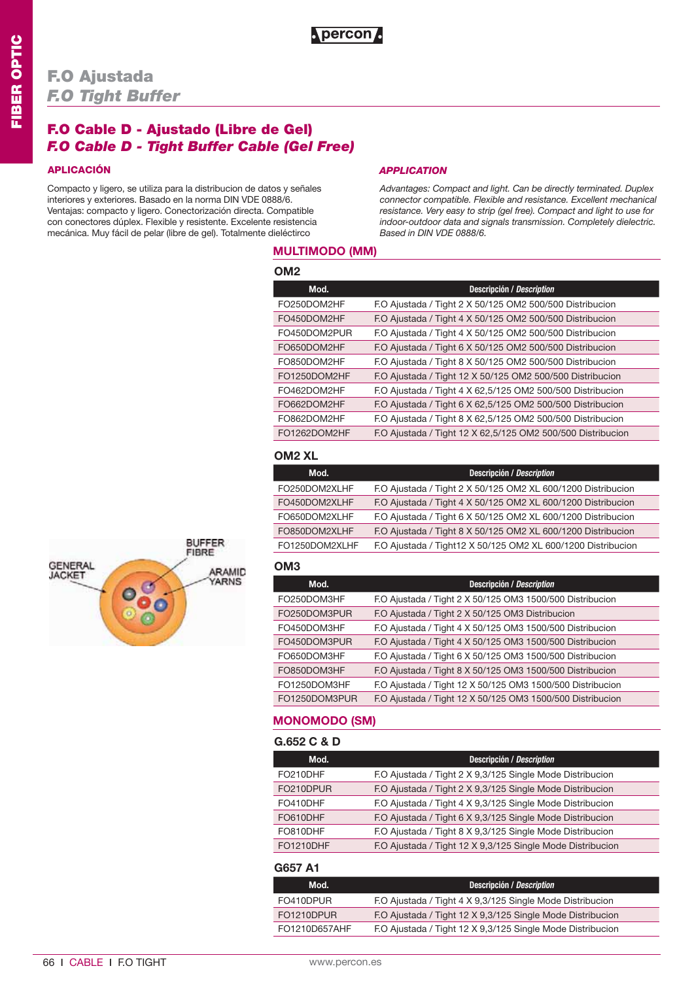## **F.O Cable D - Ajustado (Libre de Gel)** *F.O Cable D - Tight Buffer Cable (Gel Free)*

Compacto y ligero, se utiliza para la distribucion de datos y señales interiores y exteriores. Basado en la norma DIN VDE 0888/6. Ventajas: compacto y ligero. Conectorización directa. Compatible con conectores dúplex. Flexible y resistente. Excelente resistencia mecánica. Muy fácil de pelar (libre de gel). Totalmente dieléctirco

#### **APLICACIÓN** *APPLICATION*

*Advantages: Compact and light. Can be directly terminated. Duplex connector compatible. Flexible and resistance. Excellent mechanical resistance. Very easy to strip (gel free). Compact and light to use for indoor-outdoor data and signals transmission. Completely dielectric. Based in DIN VDE 0888/6.*

## **MULTIMODO (MM)**

**Apercon** 

| OM <sub>2</sub> |                                                             |
|-----------------|-------------------------------------------------------------|
| Mod.            | <b>Descripción / Description</b>                            |
| FO250DOM2HF     | F.O Ajustada / Tight 2 X 50/125 OM2 500/500 Distribucion    |
| FO450DOM2HF     | F.O Ajustada / Tight 4 X 50/125 OM2 500/500 Distribucion    |
| FO450DOM2PUR    | F.O Ajustada / Tight 4 X 50/125 OM2 500/500 Distribucion    |
| FO650DOM2HF     | F.O Ajustada / Tight 6 X 50/125 OM2 500/500 Distribucion    |
| FO850DOM2HF     | F.O Ajustada / Tight 8 X 50/125 OM2 500/500 Distribucion    |
| FO1250DOM2HF    | F.O Ajustada / Tight 12 X 50/125 OM2 500/500 Distribucion   |
| FO462DOM2HF     | F.O Ajustada / Tight 4 X 62,5/125 OM2 500/500 Distribucion  |
| FO662DOM2HF     | F.O Ajustada / Tight 6 X 62,5/125 OM2 500/500 Distribucion  |
| FO862DOM2HF     | F.O Ajustada / Tight 8 X 62,5/125 OM2 500/500 Distribucion  |
| FO1262DOM2HF    | F.O Ajustada / Tight 12 X 62,5/125 OM2 500/500 Distribucion |

### **OM2 XL**

| Mod.           | Descripción / Description                                    |
|----------------|--------------------------------------------------------------|
| FO250DOM2XLHF  | F.O Ajustada / Tight 2 X 50/125 OM2 XL 600/1200 Distribucion |
| FO450DOM2XLHF  | F.O Ajustada / Tight 4 X 50/125 OM2 XL 600/1200 Distribucion |
| FO650DOM2XLHF  | F.O Ajustada / Tight 6 X 50/125 OM2 XL 600/1200 Distribucion |
| FO850DOM2XLHF  | F.O Ajustada / Tight 8 X 50/125 OM2 XL 600/1200 Distribucion |
| FO1250DOM2XLHF | F.O Ajustada / Tight12 X 50/125 OM2 XL 600/1200 Distribucion |

## **OM3**

L

| Mod.          | Descripción / Description                                  |
|---------------|------------------------------------------------------------|
| FO250DOM3HF   | F.O Ajustada / Tight 2 X 50/125 OM3 1500/500 Distribucion  |
| FO250DOM3PUR  | F.O Ajustada / Tight 2 X 50/125 OM3 Distribucion           |
| FO450DOM3HF   | F.O Ajustada / Tight 4 X 50/125 OM3 1500/500 Distribucion  |
| FO450DOM3PUR  | F.O Ajustada / Tight 4 X 50/125 OM3 1500/500 Distribucion  |
| FO650DOM3HF   | F.O Ajustada / Tight 6 X 50/125 OM3 1500/500 Distribucion  |
| FO850DOM3HF   | F.O Ajustada / Tight 8 X 50/125 OM3 1500/500 Distribucion  |
| FO1250DOM3HF  | F.O Ajustada / Tight 12 X 50/125 OM3 1500/500 Distribucion |
| FO1250DOM3PUR | F.O Ajustada / Tight 12 X 50/125 OM3 1500/500 Distribucion |
|               |                                                            |

### **MONOMODO (SM)**

| G.652 C & D |  |  |
|-------------|--|--|
|             |  |  |

| Mod.             | <b>Descripción / Description</b>                           |
|------------------|------------------------------------------------------------|
| FO210DHF         | F.O Ajustada / Tight 2 X 9,3/125 Single Mode Distribucion  |
| FO210DPUR        | F.O Ajustada / Tight 2 X 9,3/125 Single Mode Distribucion  |
| FO410DHF         | F.O Ajustada / Tight 4 X 9,3/125 Single Mode Distribucion  |
| FO610DHF         | F.O Ajustada / Tight 6 X 9,3/125 Single Mode Distribucion  |
| FO810DHF         | F.O Ajustada / Tight 8 X 9,3/125 Single Mode Distribucion  |
| <b>FO1210DHF</b> | F.O Ajustada / Tight 12 X 9,3/125 Single Mode Distribucion |

#### **G657 A1**

| Mod.          | Descripción / Description                                  |
|---------------|------------------------------------------------------------|
| FO410DPUR     | F.O Ajustada / Tight 4 X 9,3/125 Single Mode Distribucion  |
| FO1210DPUR    | F.O Ajustada / Tight 12 X 9,3/125 Single Mode Distribucion |
| FO1210D657AHF | F.O Ajustada / Tight 12 X 9,3/125 Single Mode Distribucion |

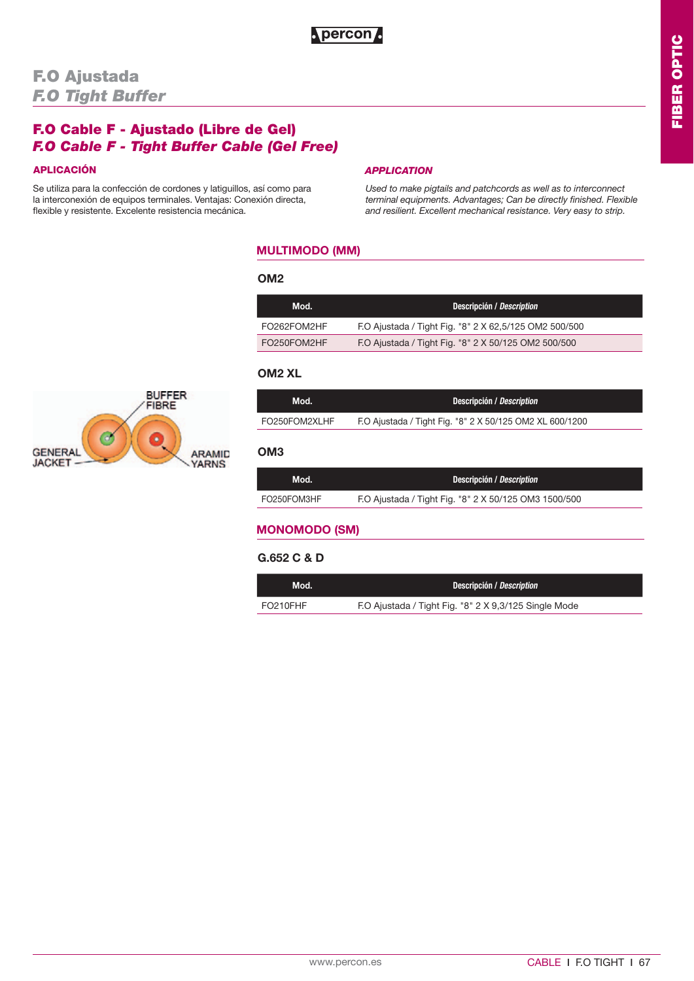## **F.O Cable F - Ajustado (Libre de Gel)** *F.O Cable F - Tight Buffer Cable (Gel Free)*

Se utiliza para la confección de cordones y latiguillos, así como para la interconexión de equipos terminales. Ventajas: Conexión directa, flexible y resistente. Excelente resistencia mecánica.

#### **APLICACIÓN** *APPLICATION*

*Used to make pigtails and patchcords as well as to interconnect terminal equipments. Advantages; Can be directly finished. Flexible and resilient. Excellent mechanical resistance. Very easy to strip.*

## **MULTIMODO (MM)**

#### **OM2**

| Mod.        | Descripción / Description                              |
|-------------|--------------------------------------------------------|
| FO262FOM2HF | F.O Ajustada / Tight Fig. "8" 2 X 62,5/125 OM2 500/500 |
| FO250FOM2HF | F.O Ajustada / Tight Fig. "8" 2 X 50/125 OM2 500/500   |

### **OM2 XL**

| Mod.          | Descripción / Description                                |
|---------------|----------------------------------------------------------|
| FO250FOM2XLHF | F.O Ajustada / Tight Fig. "8" 2 X 50/125 OM2 XL 600/1200 |

### **OM3**

| Mod.        | Descripción / Description                             |
|-------------|-------------------------------------------------------|
| FO250FOM3HF | F.O Ajustada / Tight Fig. "8" 2 X 50/125 OM3 1500/500 |

## **MONOMODO (SM)**

| Mod.     | Descripción / Description                             |
|----------|-------------------------------------------------------|
| FO210FHF | F.O Ajustada / Tight Fig. "8" 2 X 9,3/125 Single Mode |

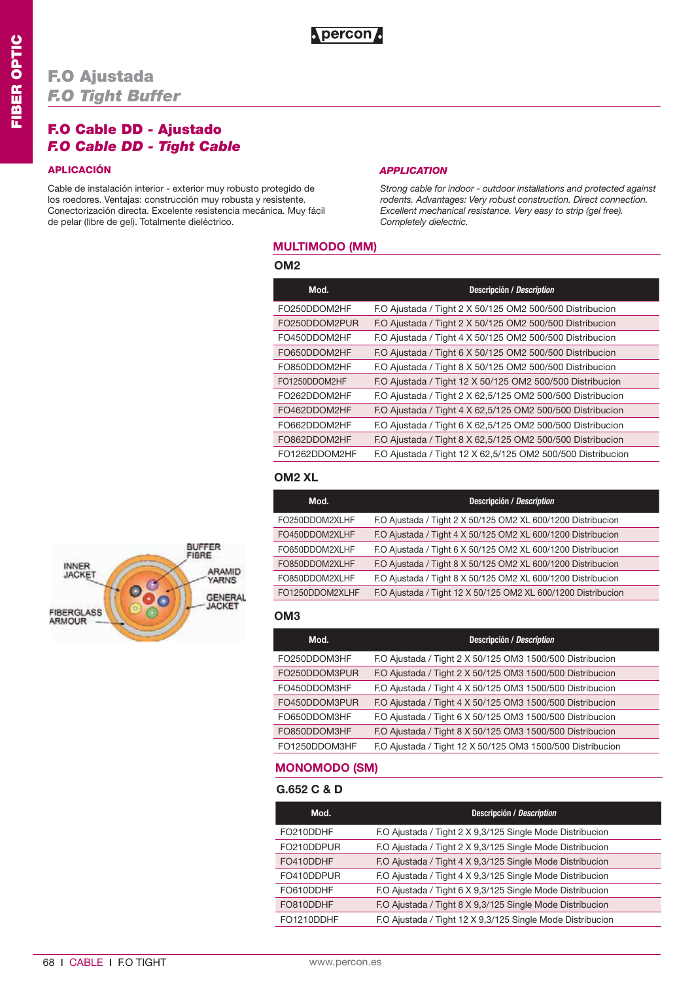## **F.O Ajustada** *F.O Tight Buffer*

## **F.O Cable DD - Ajustado**  *F.O Cable DD - Tight Cable*

Cable de instalación interior - exterior muy robusto protegido de los roedores. Ventajas: construcción muy robusta y resistente. Conectorización directa. Excelente resistencia mecánica. Muy fácil de pelar (libre de gel). Totalmente dieléctrico.

#### **APLICACIÓN** *APPLICATION*

*Strong cable for indoor - outdoor installations and protected against rodents. Advantages: Very robust construction. Direct connection. Excellent mechanical resistance. Very easy to strip (gel free). Completely dielectric.*

## **MULTIMODO (MM)**

#### **OM2**

| Mod.          | <b>Descripción / Description</b>                            |
|---------------|-------------------------------------------------------------|
| FO250DDOM2HF  | F.O Ajustada / Tight 2 X 50/125 OM2 500/500 Distribucion    |
| FO250DDOM2PUR | F.O Ajustada / Tight 2 X 50/125 OM2 500/500 Distribucion    |
| FO450DDOM2HF  | F.O Ajustada / Tight 4 X 50/125 OM2 500/500 Distribucion    |
| FO650DDOM2HF  | F.O Ajustada / Tight 6 X 50/125 OM2 500/500 Distribucion    |
| FO850DDOM2HF  | F.O Ajustada / Tight 8 X 50/125 OM2 500/500 Distribucion    |
| FO1250DDOM2HF | F.O Ajustada / Tight 12 X 50/125 OM2 500/500 Distribucion   |
| FO262DDOM2HF  | F.O Ajustada / Tight 2 X 62,5/125 OM2 500/500 Distribucion  |
| FO462DDOM2HF  | F.O Ajustada / Tight 4 X 62,5/125 OM2 500/500 Distribucion  |
| FO662DDOM2HF  | F.O Ajustada / Tight 6 X 62,5/125 OM2 500/500 Distribucion  |
| FO862DDOM2HF  | F.O Ajustada / Tight 8 X 62,5/125 OM2 500/500 Distribucion  |
| FO1262DDOM2HF | F.O Ajustada / Tight 12 X 62,5/125 OM2 500/500 Distribucion |

### **OM2 XL**

| Mod.            | <b>Descripción / Description</b>                              |
|-----------------|---------------------------------------------------------------|
| FO250DDOM2XLHF  | F.O Ajustada / Tight 2 X 50/125 OM2 XL 600/1200 Distribucion  |
| FO450DDOM2XLHF  | F.O Ajustada / Tight 4 X 50/125 OM2 XL 600/1200 Distribucion  |
| FO650DDOM2XLHF  | F.O Ajustada / Tight 6 X 50/125 OM2 XL 600/1200 Distribucion  |
| FO850DDOM2XLHF  | F.O Ajustada / Tight 8 X 50/125 OM2 XL 600/1200 Distribucion  |
| FO850DDOM2XLHF  | F.O Ajustada / Tight 8 X 50/125 OM2 XL 600/1200 Distribucion  |
| FO1250DDOM2XLHF | F.O Ajustada / Tight 12 X 50/125 OM2 XL 600/1200 Distribucion |

#### **OM3**

| Mod.          | <b>Descripción / Description</b>                           |
|---------------|------------------------------------------------------------|
| FO250DDOM3HF  | F.O Ajustada / Tight 2 X 50/125 OM3 1500/500 Distribucion  |
| FO250DDOM3PUR | F.O Ajustada / Tight 2 X 50/125 OM3 1500/500 Distribucion  |
| FO450DDOM3HF  | F.O Ajustada / Tight 4 X 50/125 OM3 1500/500 Distribucion  |
| FO450DDOM3PUR | F.O Ajustada / Tight 4 X 50/125 OM3 1500/500 Distribucion  |
| FO650DDOM3HF  | F.O Ajustada / Tight 6 X 50/125 OM3 1500/500 Distribucion  |
| FO850DDOM3HF  | F.O Ajustada / Tight 8 X 50/125 OM3 1500/500 Distribucion  |
| FO1250DDOM3HF | F.O Ajustada / Tight 12 X 50/125 OM3 1500/500 Distribucion |

## **MONOMODO (SM)**

## **G.652 C & D**

 $\overline{\phantom{a}}$ 

| Mod.       | Descripción / Description                                  |
|------------|------------------------------------------------------------|
| FO210DDHF  | F.O Ajustada / Tight 2 X 9,3/125 Single Mode Distribucion  |
| FO210DDPUR | F.O Ajustada / Tight 2 X 9,3/125 Single Mode Distribucion  |
| FO410DDHF  | F.O Ajustada / Tight 4 X 9,3/125 Single Mode Distribucion  |
| FO410DDPUR | F.O Ajustada / Tight 4 X 9,3/125 Single Mode Distribucion  |
| FO610DDHF  | F.O Ajustada / Tight 6 X 9,3/125 Single Mode Distribucion  |
| FO810DDHF  | F.O Ajustada / Tight 8 X 9,3/125 Single Mode Distribucion  |
| FO1210DDHF | F.O Ajustada / Tight 12 X 9,3/125 Single Mode Distribucion |